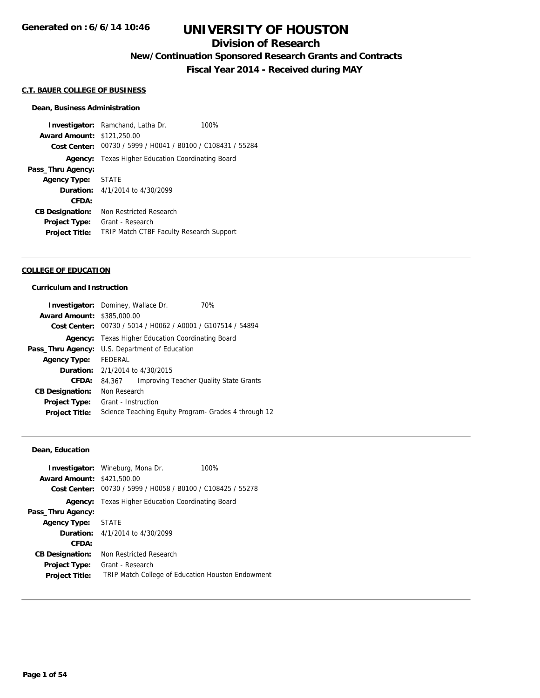## **Division of Research**

**New/Continuation Sponsored Research Grants and Contracts**

**Fiscal Year 2014 - Received during MAY**

#### **C.T. BAUER COLLEGE OF BUSINESS**

#### **Dean, Business Administration**

**Investigator:** Ramchand, Latha Dr. 100% **Award Amount:** \$121,250.00 **Cost Center:** 00730 / 5999 / H0041 / B0100 / C108431 / 55284 **Agency:** Texas Higher Education Coordinating Board **Pass\_Thru Agency: Agency Type:** STATE **Duration:** 4/1/2014 to 4/30/2099 **CFDA: CB Designation:** Non Restricted Research **Project Type:** Grant - Research **Project Title:** TRIP Match CTBF Faculty Research Support

#### **COLLEGE OF EDUCATION**

#### **Curriculum and Instruction**

|                                   | Investigator: Dominey, Wallace Dr.<br>70%                   |
|-----------------------------------|-------------------------------------------------------------|
| <b>Award Amount: \$385,000.00</b> |                                                             |
|                                   | Cost Center: 00730 / 5014 / H0062 / A0001 / G107514 / 54894 |
|                                   | <b>Agency:</b> Texas Higher Education Coordinating Board    |
|                                   | <b>Pass_Thru Agency:</b> U.S. Department of Education       |
| <b>Agency Type:</b>               | FEDERAL                                                     |
|                                   | <b>Duration:</b> 2/1/2014 to 4/30/2015                      |
| CFDA:                             | <b>Improving Teacher Quality State Grants</b><br>84.367     |
| <b>CB Designation:</b>            | Non Research                                                |
| <b>Project Type:</b>              | Grant - Instruction                                         |
| <b>Project Title:</b>             | Science Teaching Equity Program- Grades 4 through 12        |

#### **Dean, Education**

|                         | 100%                                                                                                                                                                                                                                                                                                    |
|-------------------------|---------------------------------------------------------------------------------------------------------------------------------------------------------------------------------------------------------------------------------------------------------------------------------------------------------|
|                         |                                                                                                                                                                                                                                                                                                         |
|                         |                                                                                                                                                                                                                                                                                                         |
|                         |                                                                                                                                                                                                                                                                                                         |
|                         |                                                                                                                                                                                                                                                                                                         |
|                         |                                                                                                                                                                                                                                                                                                         |
| Non Restricted Research |                                                                                                                                                                                                                                                                                                         |
| Grant - Research        |                                                                                                                                                                                                                                                                                                         |
|                         |                                                                                                                                                                                                                                                                                                         |
|                         | <b>Investigator:</b> Wineburg, Mona Dr.<br><b>Award Amount: \$421,500.00</b><br>Cost Center: 00730 / 5999 / H0058 / B0100 / C108425 / 55278<br><b>Texas Higher Education Coordinating Board</b><br>STATE<br><b>Duration:</b> 4/1/2014 to 4/30/2099<br>TRIP Match College of Education Houston Endowment |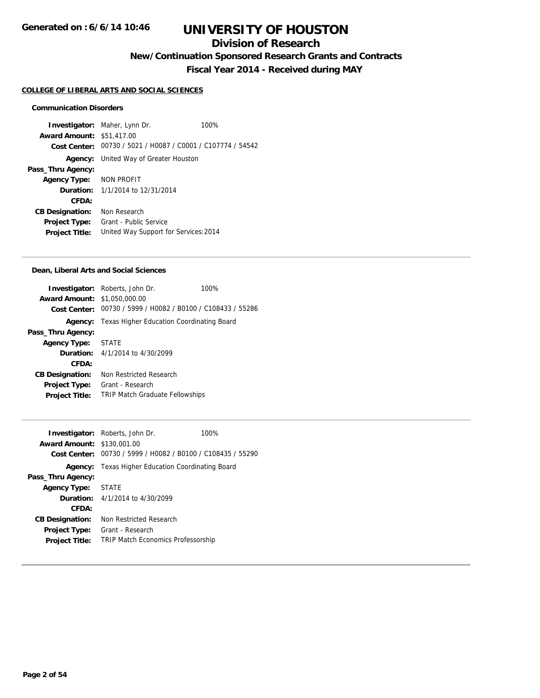## **Division of Research**

**New/Continuation Sponsored Research Grants and Contracts**

**Fiscal Year 2014 - Received during MAY**

#### **COLLEGE OF LIBERAL ARTS AND SOCIAL SCIENCES**

#### **Communication Disorders**

**Investigator:** Maher, Lynn Dr. 100% **Award Amount:** \$51,417.00 **Cost Center:** 00730 / 5021 / H0087 / C0001 / C107774 / 54542 **Agency:** United Way of Greater Houston **Pass\_Thru Agency: Agency Type:** NON PROFIT **Duration:** 1/1/2014 to 12/31/2014 **CFDA: CB Designation:** Non Research **Project Type:** Grant - Public Service **Project Title:** United Way Support for Services:2014

#### **Dean, Liberal Arts and Social Sciences**

|                                     | <b>Investigator:</b> Roberts, John Dr.                      | 100% |
|-------------------------------------|-------------------------------------------------------------|------|
| <b>Award Amount: \$1,050,000.00</b> |                                                             |      |
|                                     | Cost Center: 00730 / 5999 / H0082 / B0100 / C108433 / 55286 |      |
|                                     | <b>Agency:</b> Texas Higher Education Coordinating Board    |      |
| Pass_Thru Agency:                   |                                                             |      |
| Agency Type: STATE                  |                                                             |      |
|                                     | <b>Duration:</b> 4/1/2014 to 4/30/2099                      |      |
| CFDA:                               |                                                             |      |
| <b>CB Designation:</b>              | Non Restricted Research                                     |      |
| <b>Project Type:</b>                | Grant - Research                                            |      |
| <b>Project Title:</b>               | <b>TRIP Match Graduate Fellowships</b>                      |      |
|                                     |                                                             |      |

| <b>Award Amount: \$130,001.00</b> | <b>Investigator:</b> Roberts, John Dr.<br>Cost Center: 00730 / 5999 / H0082 / B0100 / C108435 / 55290 | 100% |
|-----------------------------------|-------------------------------------------------------------------------------------------------------|------|
|                                   | <b>Agency:</b> Texas Higher Education Coordinating Board                                              |      |
| Pass_Thru Agency:                 |                                                                                                       |      |
| Agency Type: STATE                |                                                                                                       |      |
|                                   | <b>Duration:</b> $4/1/2014$ to $4/30/2099$                                                            |      |
| CFDA:                             |                                                                                                       |      |
| <b>CB Designation:</b>            | Non Restricted Research                                                                               |      |
| <b>Project Type:</b>              | Grant - Research                                                                                      |      |
| <b>Project Title:</b>             | <b>TRIP Match Economics Professorship</b>                                                             |      |
|                                   |                                                                                                       |      |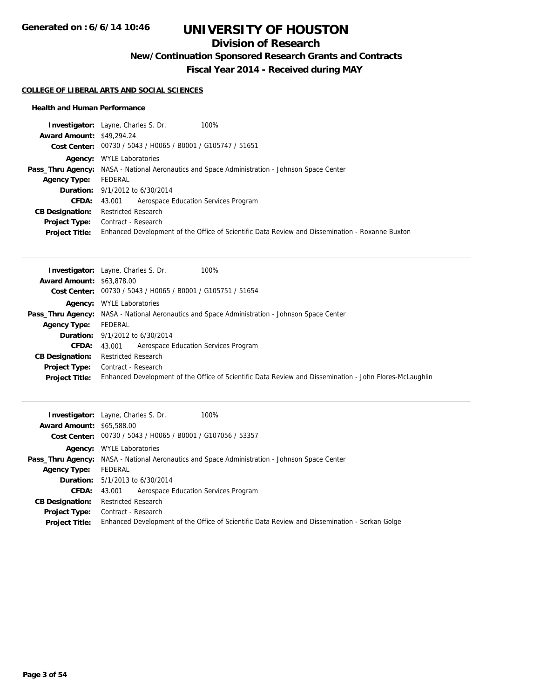## **Division of Research**

**New/Continuation Sponsored Research Grants and Contracts**

**Fiscal Year 2014 - Received during MAY**

#### **COLLEGE OF LIBERAL ARTS AND SOCIAL SCIENCES**

#### **Health and Human Performance**

|                                  | <b>Investigator:</b> Layne, Charles S. Dr.<br>100%                                                   |
|----------------------------------|------------------------------------------------------------------------------------------------------|
| <b>Award Amount: \$49,294.24</b> |                                                                                                      |
|                                  | Cost Center: 00730 / 5043 / H0065 / B0001 / G105747 / 51651                                          |
|                                  | <b>Agency:</b> WYLE Laboratories                                                                     |
|                                  | <b>Pass_Thru Agency:</b> NASA - National Aeronautics and Space Administration - Johnson Space Center |
| <b>Agency Type:</b>              | FEDERAL                                                                                              |
|                                  | <b>Duration:</b> $9/1/2012$ to $6/30/2014$                                                           |
| <b>CFDA:</b>                     | 43.001 Aerospace Education Services Program                                                          |
| <b>CB Designation:</b>           | <b>Restricted Research</b>                                                                           |
| <b>Project Type:</b>             | Contract - Research                                                                                  |
| <b>Project Title:</b>            | Enhanced Development of the Office of Scientific Data Review and Dissemination - Roxanne Buxton      |

|                                  | 100%<br><b>Investigator:</b> Layne, Charles S. Dr.                                                      |
|----------------------------------|---------------------------------------------------------------------------------------------------------|
| <b>Award Amount: \$63,878,00</b> |                                                                                                         |
|                                  | Cost Center: 00730 / 5043 / H0065 / B0001 / G105751 / 51654                                             |
|                                  | <b>Agency:</b> WYLE Laboratories                                                                        |
|                                  | <b>Pass_Thru Agency:</b> NASA - National Aeronautics and Space Administration - Johnson Space Center    |
| <b>Agency Type:</b>              | FEDERAL                                                                                                 |
|                                  | <b>Duration:</b> $9/1/2012$ to $6/30/2014$                                                              |
| <b>CFDA:</b>                     | Aerospace Education Services Program<br>43.001                                                          |
| <b>CB Designation:</b>           | <b>Restricted Research</b>                                                                              |
| <b>Project Type:</b>             | Contract - Research                                                                                     |
| <b>Project Title:</b>            | Enhanced Development of the Office of Scientific Data Review and Dissemination - John Flores-McLaughlin |

|                                  | <b>Investigator:</b> Layne, Charles S. Dr.<br>100%                                                   |
|----------------------------------|------------------------------------------------------------------------------------------------------|
| <b>Award Amount: \$65,588.00</b> |                                                                                                      |
|                                  | Cost Center: 00730 / 5043 / H0065 / B0001 / G107056 / 53357                                          |
|                                  | <b>Agency:</b> WYLE Laboratories                                                                     |
|                                  | <b>Pass_Thru Agency:</b> NASA - National Aeronautics and Space Administration - Johnson Space Center |
| <b>Agency Type:</b>              | FEDERAL                                                                                              |
|                                  | <b>Duration:</b> 5/1/2013 to 6/30/2014                                                               |
| <b>CFDA:</b>                     | 43.001 Aerospace Education Services Program                                                          |
| <b>CB Designation:</b>           | <b>Restricted Research</b>                                                                           |
|                                  | <b>Project Type:</b> Contract - Research                                                             |
| <b>Project Title:</b>            | Enhanced Development of the Office of Scientific Data Review and Dissemination - Serkan Golge        |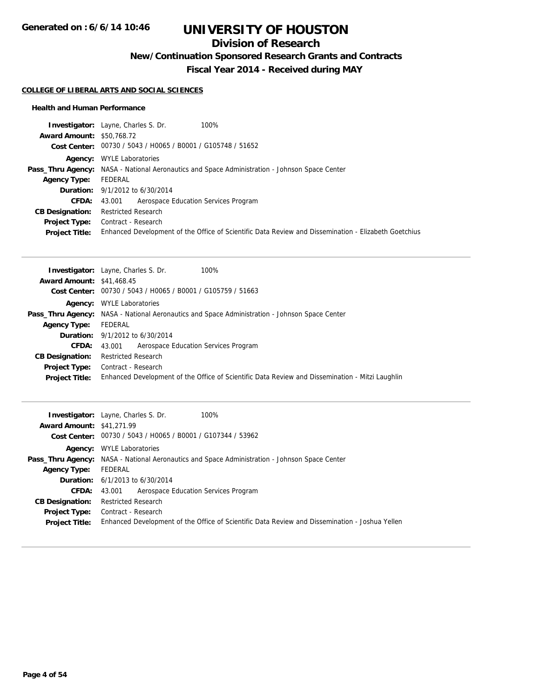## **Division of Research**

**New/Continuation Sponsored Research Grants and Contracts**

**Fiscal Year 2014 - Received during MAY**

#### **COLLEGE OF LIBERAL ARTS AND SOCIAL SCIENCES**

#### **Health and Human Performance**

|                                  | 100%<br><b>Investigator:</b> Layne, Charles S. Dr.                                                   |
|----------------------------------|------------------------------------------------------------------------------------------------------|
| <b>Award Amount: \$50,768.72</b> |                                                                                                      |
|                                  | Cost Center: 00730 / 5043 / H0065 / B0001 / G105748 / 51652                                          |
|                                  | <b>Agency:</b> WYLE Laboratories                                                                     |
|                                  | <b>Pass_Thru Agency:</b> NASA - National Aeronautics and Space Administration - Johnson Space Center |
| <b>Agency Type:</b>              | FEDERAL                                                                                              |
|                                  | <b>Duration:</b> $9/1/2012$ to $6/30/2014$                                                           |
| CFDA:                            | Aerospace Education Services Program<br>43.001                                                       |
| <b>CB Designation:</b>           | <b>Restricted Research</b>                                                                           |
| <b>Project Type:</b>             | Contract - Research                                                                                  |
| <b>Project Title:</b>            | Enhanced Development of the Office of Scientific Data Review and Dissemination - Elizabeth Goetchius |

|                                  | <b>Investigator:</b> Layne, Charles S. Dr.<br>100%                                                   |
|----------------------------------|------------------------------------------------------------------------------------------------------|
| <b>Award Amount: \$41,468.45</b> |                                                                                                      |
|                                  | Cost Center: 00730 / 5043 / H0065 / B0001 / G105759 / 51663                                          |
|                                  | <b>Agency:</b> WYLE Laboratories                                                                     |
|                                  | <b>Pass_Thru Agency:</b> NASA - National Aeronautics and Space Administration - Johnson Space Center |
| <b>Agency Type:</b>              | FEDERAL                                                                                              |
|                                  | <b>Duration:</b> $9/1/2012$ to $6/30/2014$                                                           |
| <b>CFDA:</b>                     | Aerospace Education Services Program<br>43.001                                                       |
| <b>CB Designation:</b>           | <b>Restricted Research</b>                                                                           |
| <b>Project Type:</b>             | Contract - Research                                                                                  |
| <b>Project Title:</b>            | Enhanced Development of the Office of Scientific Data Review and Dissemination - Mitzi Laughlin      |

|                                  | 100%<br><b>Investigator:</b> Layne, Charles S. Dr.                                                   |
|----------------------------------|------------------------------------------------------------------------------------------------------|
| <b>Award Amount: \$41,271.99</b> |                                                                                                      |
|                                  | Cost Center: 00730 / 5043 / H0065 / B0001 / G107344 / 53962                                          |
|                                  | <b>Agency:</b> WYLE Laboratories                                                                     |
|                                  | <b>Pass_Thru Agency:</b> NASA - National Aeronautics and Space Administration - Johnson Space Center |
| <b>Agency Type:</b>              | FEDERAL                                                                                              |
|                                  | <b>Duration:</b> $6/1/2013$ to $6/30/2014$                                                           |
|                                  | <b>CFDA:</b> 43,001 Aerospace Education Services Program                                             |
| <b>CB Designation:</b>           | <b>Restricted Research</b>                                                                           |
| <b>Project Type:</b>             | Contract - Research                                                                                  |
| <b>Project Title:</b>            | Enhanced Development of the Office of Scientific Data Review and Dissemination - Joshua Yellen       |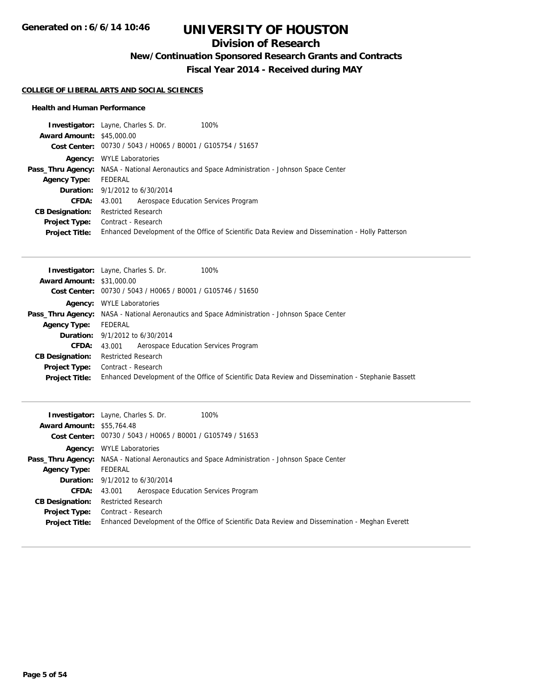## **Division of Research**

**New/Continuation Sponsored Research Grants and Contracts**

**Fiscal Year 2014 - Received during MAY**

#### **COLLEGE OF LIBERAL ARTS AND SOCIAL SCIENCES**

#### **Health and Human Performance**

|                                  | <b>Investigator:</b> Layne, Charles S. Dr.<br>100%                                                   |
|----------------------------------|------------------------------------------------------------------------------------------------------|
| <b>Award Amount: \$45,000.00</b> |                                                                                                      |
|                                  | Cost Center: 00730 / 5043 / H0065 / B0001 / G105754 / 51657                                          |
|                                  | <b>Agency:</b> WYLE Laboratories                                                                     |
|                                  | <b>Pass_Thru Agency:</b> NASA - National Aeronautics and Space Administration - Johnson Space Center |
| <b>Agency Type:</b>              | FEDERAL                                                                                              |
|                                  | <b>Duration:</b> 9/1/2012 to 6/30/2014                                                               |
| <b>CFDA:</b>                     | Aerospace Education Services Program<br>43.001                                                       |
| <b>CB Designation:</b>           | <b>Restricted Research</b>                                                                           |
| <b>Project Type:</b>             | Contract - Research                                                                                  |
| <b>Project Title:</b>            | Enhanced Development of the Office of Scientific Data Review and Dissemination - Holly Patterson     |

|                                  | 100%<br><b>Investigator:</b> Layne, Charles S. Dr.                                                   |
|----------------------------------|------------------------------------------------------------------------------------------------------|
| <b>Award Amount: \$31,000.00</b> |                                                                                                      |
|                                  | Cost Center: 00730 / 5043 / H0065 / B0001 / G105746 / 51650                                          |
|                                  | <b>Agency:</b> WYLE Laboratories                                                                     |
|                                  | <b>Pass_Thru Agency:</b> NASA - National Aeronautics and Space Administration - Johnson Space Center |
| <b>Agency Type:</b>              | FEDERAL                                                                                              |
|                                  | <b>Duration:</b> $9/1/2012$ to $6/30/2014$                                                           |
| CFDA:                            | 43.001 Aerospace Education Services Program                                                          |
| <b>CB Designation:</b>           | <b>Restricted Research</b>                                                                           |
|                                  | <b>Project Type:</b> Contract - Research                                                             |
| <b>Project Title:</b>            | Enhanced Development of the Office of Scientific Data Review and Dissemination - Stephanie Bassett   |

|                                  | <b>Investigator:</b> Layne, Charles S. Dr.<br>100%                                                   |
|----------------------------------|------------------------------------------------------------------------------------------------------|
| <b>Award Amount: \$55,764.48</b> |                                                                                                      |
|                                  | Cost Center: 00730 / 5043 / H0065 / B0001 / G105749 / 51653                                          |
|                                  | <b>Agency:</b> WYLE Laboratories                                                                     |
|                                  | <b>Pass_Thru Agency:</b> NASA - National Aeronautics and Space Administration - Johnson Space Center |
| <b>Agency Type:</b>              | FEDERAL                                                                                              |
|                                  | <b>Duration:</b> 9/1/2012 to 6/30/2014                                                               |
| <b>CFDA:</b>                     | 43.001 Aerospace Education Services Program                                                          |
| <b>CB Designation:</b>           | <b>Restricted Research</b>                                                                           |
|                                  | <b>Project Type:</b> Contract - Research                                                             |
| <b>Project Title:</b>            | Enhanced Development of the Office of Scientific Data Review and Dissemination - Meghan Everett      |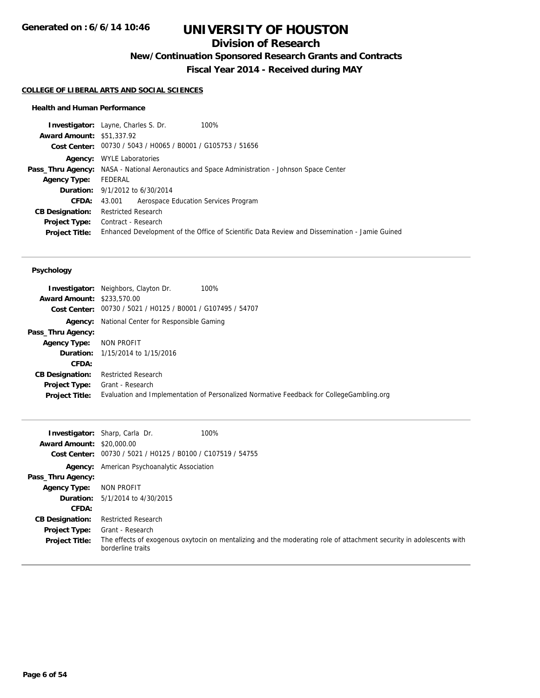## **Division of Research**

**New/Continuation Sponsored Research Grants and Contracts**

**Fiscal Year 2014 - Received during MAY**

#### **COLLEGE OF LIBERAL ARTS AND SOCIAL SCIENCES**

#### **Health and Human Performance**

|                                  | <b>Investigator:</b> Layne, Charles S. Dr.<br>100%                                                   |                                                                                               |
|----------------------------------|------------------------------------------------------------------------------------------------------|-----------------------------------------------------------------------------------------------|
| <b>Award Amount: \$51,337.92</b> |                                                                                                      |                                                                                               |
|                                  | Cost Center: 00730 / 5043 / H0065 / B0001 / G105753 / 51656                                          |                                                                                               |
|                                  | <b>Agency:</b> WYLE Laboratories                                                                     |                                                                                               |
|                                  | <b>Pass_Thru Agency:</b> NASA - National Aeronautics and Space Administration - Johnson Space Center |                                                                                               |
| <b>Agency Type:</b>              | FEDERAL                                                                                              |                                                                                               |
|                                  | <b>Duration:</b> 9/1/2012 to 6/30/2014                                                               |                                                                                               |
| <b>CFDA:</b>                     | Aerospace Education Services Program<br>43.001                                                       |                                                                                               |
| <b>CB Designation:</b>           | <b>Restricted Research</b>                                                                           |                                                                                               |
| <b>Project Type:</b>             | Contract - Research                                                                                  |                                                                                               |
| <b>Project Title:</b>            |                                                                                                      | Enhanced Development of the Office of Scientific Data Review and Dissemination - Jamie Guined |
|                                  |                                                                                                      |                                                                                               |

#### **Psychology**

| <b>Award Amount: \$233,570.00</b>             | <b>Investigator:</b> Neighbors, Clayton Dr.<br>100%                                                          |
|-----------------------------------------------|--------------------------------------------------------------------------------------------------------------|
|                                               | Cost Center: 00730 / 5021 / H0125 / B0001 / G107495 / 54707                                                  |
| Agency:                                       | National Center for Responsible Gaming                                                                       |
| Pass_Thru Agency:                             |                                                                                                              |
| <b>Agency Type:</b>                           | NON PROFIT                                                                                                   |
|                                               | <b>Duration:</b> 1/15/2014 to 1/15/2016                                                                      |
| CFDA:                                         |                                                                                                              |
| <b>CB Designation:</b>                        | <b>Restricted Research</b>                                                                                   |
| <b>Project Type:</b><br><b>Project Title:</b> | Grant - Research<br>Evaluation and Implementation of Personalized Normative Feedback for CollegeGambling.org |

| <b>Award Amount: \$20,000.00</b> | 100%<br><b>Investigator:</b> Sharp, Carla Dr.<br>Cost Center: 00730 / 5021 / H0125 / B0100 / C107519 / 54755                             |
|----------------------------------|------------------------------------------------------------------------------------------------------------------------------------------|
|                                  | Agency: American Psychoanalytic Association                                                                                              |
| Pass_Thru Agency:                |                                                                                                                                          |
| <b>Agency Type:</b>              | NON PROFIT                                                                                                                               |
|                                  | <b>Duration:</b> 5/1/2014 to 4/30/2015                                                                                                   |
| CFDA:                            |                                                                                                                                          |
| <b>CB Designation:</b>           | <b>Restricted Research</b>                                                                                                               |
| <b>Project Type:</b>             | Grant - Research                                                                                                                         |
| <b>Project Title:</b>            | The effects of exogenous oxytocin on mentalizing and the moderating role of attachment security in adolescents with<br>borderline traits |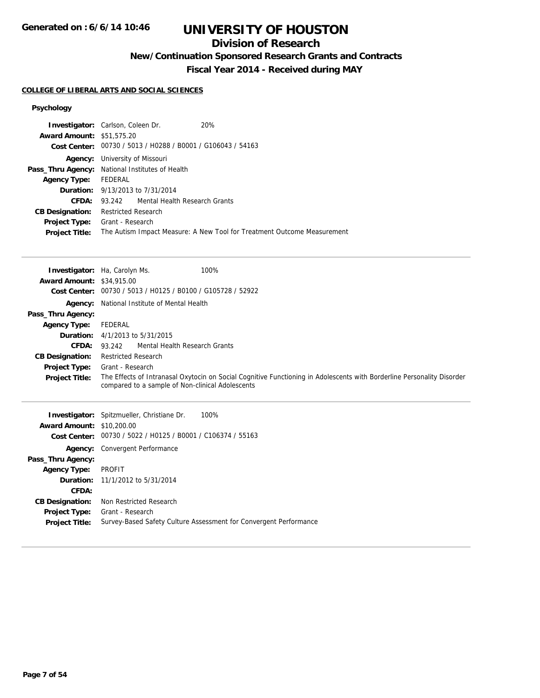## **Division of Research**

## **New/Continuation Sponsored Research Grants and Contracts**

**Fiscal Year 2014 - Received during MAY**

#### **COLLEGE OF LIBERAL ARTS AND SOCIAL SCIENCES**

## **Psychology**

| <b>Investigator:</b> Carlson, Coleen Dr.        |                        |                                                             | 20%                                                                     |
|-------------------------------------------------|------------------------|-------------------------------------------------------------|-------------------------------------------------------------------------|
| <b>Award Amount: \$51,575.20</b>                |                        |                                                             |                                                                         |
|                                                 |                        | Cost Center: 00730 / 5013 / H0288 / B0001 / G106043 / 54163 |                                                                         |
| Agency:                                         | University of Missouri |                                                             |                                                                         |
| Pass_Thru Agency: National Institutes of Health |                        |                                                             |                                                                         |
| <b>Agency Type:</b>                             | FEDERAL                |                                                             |                                                                         |
|                                                 |                        | <b>Duration:</b> 9/13/2013 to 7/31/2014                     |                                                                         |
| CFDA:                                           |                        | 93.242 Mental Health Research Grants                        |                                                                         |
| <b>CB Designation:</b>                          | Restricted Research    |                                                             |                                                                         |
| <b>Project Type:</b>                            | Grant - Research       |                                                             |                                                                         |
| <b>Project Title:</b>                           |                        |                                                             | The Autism Impact Measure: A New Tool for Treatment Outcome Measurement |
|                                                 |                        |                                                             |                                                                         |

|                                  | <b>Investigator:</b> Ha, Carolyn Ms.             | 100%                                                                                                                   |
|----------------------------------|--------------------------------------------------|------------------------------------------------------------------------------------------------------------------------|
| <b>Award Amount: \$34,915.00</b> |                                                  |                                                                                                                        |
| <b>Cost Center:</b>              | 00730 / 5013 / H0125 / B0100 / G105728 / 52922   |                                                                                                                        |
| Agency:                          | National Institute of Mental Health              |                                                                                                                        |
| Pass_Thru Agency:                |                                                  |                                                                                                                        |
| <b>Agency Type:</b>              | FEDERAL                                          |                                                                                                                        |
| Duration:                        | 4/1/2013 to 5/31/2015                            |                                                                                                                        |
| CFDA:                            | Mental Health Research Grants<br>93.242          |                                                                                                                        |
| <b>CB Designation:</b>           | <b>Restricted Research</b>                       |                                                                                                                        |
| <b>Project Type:</b>             | Grant - Research                                 |                                                                                                                        |
| <b>Project Title:</b>            |                                                  | The Effects of Intranasal Oxytocin on Social Cognitive Functioning in Adolescents with Borderline Personality Disorder |
|                                  | compared to a sample of Non-clinical Adolescents |                                                                                                                        |
|                                  |                                                  |                                                                                                                        |
|                                  |                                                  |                                                                                                                        |
|                                  | Investigator: Spitzmueller, Christiane Dr.       | 100%                                                                                                                   |
| <b>Award Amount: \$10,200.00</b> | 00730 / 5022 / H0125 / B0001 / C106374 / 55163   |                                                                                                                        |
| Cost Center:                     |                                                  |                                                                                                                        |
| Agency:                          | Convergent Performance                           |                                                                                                                        |
| Pass_Thru Agency:                | PROFIT                                           |                                                                                                                        |
| <b>Agency Type:</b><br>Duration: |                                                  |                                                                                                                        |
|                                  | 11/1/2012 to 5/31/2014                           |                                                                                                                        |
| CFDA:<br><b>CB Designation:</b>  | Non Restricted Research                          |                                                                                                                        |

**Project Title:** Survey-Based Safety Culture Assessment for Convergent Performance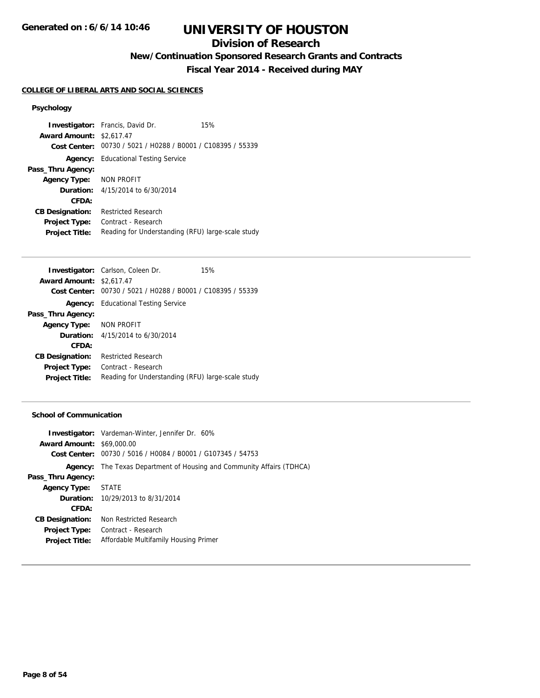## **Division of Research**

**New/Continuation Sponsored Research Grants and Contracts**

**Fiscal Year 2014 - Received during MAY**

#### **COLLEGE OF LIBERAL ARTS AND SOCIAL SCIENCES**

#### **Psychology**

**Investigator:** Francis, David Dr. 15% **Award Amount:** \$2,617.47 **Cost Center:** 00730 / 5021 / H0288 / B0001 / C108395 / 55339 **Agency:** Educational Testing Service **Pass\_Thru Agency: Agency Type:** NON PROFIT **Duration:** 4/15/2014 to 6/30/2014 **CFDA: CB Designation:** Restricted Research **Project Type:** Contract - Research Project Title: Reading for Understanding (RFU) large-scale study

|                                 | <b>Investigator:</b> Carlson, Coleen Dr.                    | 15% |
|---------------------------------|-------------------------------------------------------------|-----|
| <b>Award Amount: \$2,617.47</b> |                                                             |     |
|                                 | Cost Center: 00730 / 5021 / H0288 / B0001 / C108395 / 55339 |     |
|                                 | <b>Agency:</b> Educational Testing Service                  |     |
| Pass_Thru Agency:               |                                                             |     |
| Agency Type: NON PROFIT         |                                                             |     |
|                                 | <b>Duration:</b> 4/15/2014 to 6/30/2014                     |     |
| CFDA:                           |                                                             |     |
| <b>CB Designation:</b>          | <b>Restricted Research</b>                                  |     |
| <b>Project Type:</b>            | Contract - Research                                         |     |
| <b>Project Title:</b>           | Reading for Understanding (RFU) large-scale study           |     |

#### **School of Communication**

|                                  | <b>Investigator:</b> Vardeman-Winter, Jennifer Dr. 60%        |
|----------------------------------|---------------------------------------------------------------|
| <b>Award Amount: \$69,000.00</b> |                                                               |
|                                  | Cost Center: 00730 / 5016 / H0084 / B0001 / G107345 / 54753   |
| Agency:                          | The Texas Department of Housing and Community Affairs (TDHCA) |
| Pass_Thru Agency:                |                                                               |
| <b>Agency Type:</b>              | <b>STATE</b>                                                  |
|                                  | <b>Duration:</b> 10/29/2013 to 8/31/2014                      |
| CFDA:                            |                                                               |
| <b>CB Designation:</b>           | Non Restricted Research                                       |
| <b>Project Type:</b>             | Contract - Research                                           |
| <b>Project Title:</b>            | Affordable Multifamily Housing Primer                         |
|                                  |                                                               |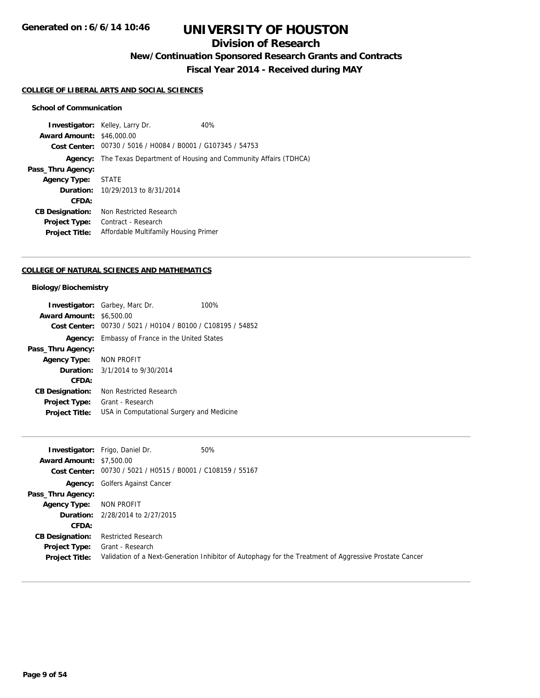## **Division of Research**

**New/Continuation Sponsored Research Grants and Contracts**

**Fiscal Year 2014 - Received during MAY**

#### **COLLEGE OF LIBERAL ARTS AND SOCIAL SCIENCES**

#### **School of Communication**

**Investigator:** Kelley, Larry Dr. 40% **Award Amount:** \$46,000.00 **Cost Center:** 00730 / 5016 / H0084 / B0001 / G107345 / 54753 **Agency:** The Texas Department of Housing and Community Affairs (TDHCA) **Pass\_Thru Agency: Agency Type:** STATE **Duration:** 10/29/2013 to 8/31/2014 **CFDA: CB Designation:** Non Restricted Research **Project Type:** Contract - Research **Project Title:** Affordable Multifamily Housing Primer

#### **COLLEGE OF NATURAL SCIENCES AND MATHEMATICS**

#### **Biology/Biochemistry**

|                                 | <b>Investigator:</b> Garbey, Marc Dr.                       | 100% |
|---------------------------------|-------------------------------------------------------------|------|
| <b>Award Amount: \$6,500.00</b> |                                                             |      |
|                                 | Cost Center: 00730 / 5021 / H0104 / B0100 / C108195 / 54852 |      |
|                                 | Agency: Embassy of France in the United States              |      |
| Pass_Thru Agency:               |                                                             |      |
| Agency Type: NON PROFIT         |                                                             |      |
|                                 | <b>Duration:</b> 3/1/2014 to 9/30/2014                      |      |
| CFDA:                           |                                                             |      |
| <b>CB Designation:</b>          | Non Restricted Research                                     |      |
| Project Type:                   | Grant - Research                                            |      |
| <b>Project Title:</b>           | USA in Computational Surgery and Medicine                   |      |

| <b>Award Amount: \$7,500.00</b>               | <b>Investigator:</b> Frigo, Daniel Dr.<br>Cost Center: 00730 / 5021 / H0515 / B0001 / C108159 / 55167 | 50%                                                                                                    |
|-----------------------------------------------|-------------------------------------------------------------------------------------------------------|--------------------------------------------------------------------------------------------------------|
|                                               | <b>Agency:</b> Golfers Against Cancer                                                                 |                                                                                                        |
| Pass_Thru Agency:                             |                                                                                                       |                                                                                                        |
| <b>Agency Type:</b>                           | NON PROFIT                                                                                            |                                                                                                        |
|                                               | <b>Duration:</b> 2/28/2014 to 2/27/2015                                                               |                                                                                                        |
| CFDA:                                         |                                                                                                       |                                                                                                        |
| <b>CB Designation:</b>                        | <b>Restricted Research</b>                                                                            |                                                                                                        |
| <b>Project Type:</b><br><b>Project Title:</b> | Grant - Research                                                                                      | Validation of a Next-Generation Inhibitor of Autophagy for the Treatment of Aggressive Prostate Cancer |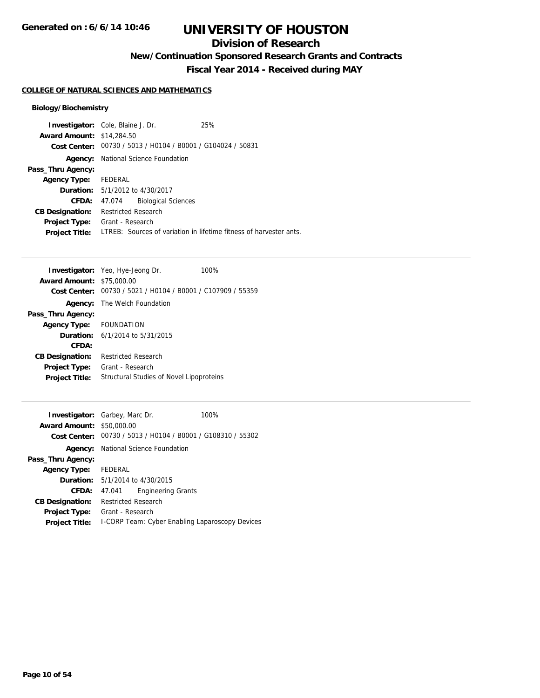## **Division of Research**

**New/Continuation Sponsored Research Grants and Contracts**

**Fiscal Year 2014 - Received during MAY**

#### **COLLEGE OF NATURAL SCIENCES AND MATHEMATICS**

#### **Biology/Biochemistry**

|                                  | <b>Investigator:</b> Cole, Blaine J. Dr.       | 25%                                                                |
|----------------------------------|------------------------------------------------|--------------------------------------------------------------------|
| <b>Award Amount: \$14,284.50</b> |                                                |                                                                    |
| Cost Center:                     | 00730 / 5013 / H0104 / B0001 / G104024 / 50831 |                                                                    |
| Agency:                          | National Science Foundation                    |                                                                    |
| Pass_Thru Agency:                |                                                |                                                                    |
| <b>Agency Type:</b>              | FEDERAL                                        |                                                                    |
|                                  | <b>Duration:</b> $5/1/2012$ to $4/30/2017$     |                                                                    |
| CFDA:                            | <b>Biological Sciences</b><br>47.074           |                                                                    |
| <b>CB Designation:</b>           | <b>Restricted Research</b>                     |                                                                    |
| <b>Project Type:</b>             | Grant - Research                               |                                                                    |
| <b>Project Title:</b>            |                                                | LTREB: Sources of variation in lifetime fitness of harvester ants. |

|                         | <b>Investigator:</b> Yeo, Hye-Jeong Dr.        | 100% |
|-------------------------|------------------------------------------------|------|
| <b>Award Amount:</b>    | \$75,000.00                                    |      |
| Cost Center:            | 00730 / 5021 / H0104 / B0001 / C107909 / 55359 |      |
| Agency:                 | The Welch Foundation                           |      |
| Pass_Thru Agency:       |                                                |      |
| Agency Type: FOUNDATION |                                                |      |
|                         | <b>Duration:</b> $6/1/2014$ to $5/31/2015$     |      |
| CFDA:                   |                                                |      |
| <b>CB Designation:</b>  | <b>Restricted Research</b>                     |      |
| <b>Project Type:</b>    | Grant - Research                               |      |
| <b>Project Title:</b>   | Structural Studies of Novel Lipoproteins       |      |
|                         |                                                |      |

| <b>Award Amount: \$50,000.00</b> | <b>Investigator:</b> Garbey, Marc Dr.                       | 100% |
|----------------------------------|-------------------------------------------------------------|------|
|                                  | Cost Center: 00730 / 5013 / H0104 / B0001 / G108310 / 55302 |      |
|                                  | <b>Agency:</b> National Science Foundation                  |      |
| Pass_Thru Agency:                |                                                             |      |
| Agency Type: FEDERAL             |                                                             |      |
|                                  | <b>Duration:</b> 5/1/2014 to 4/30/2015                      |      |
| CFDA:                            | <b>Engineering Grants</b><br>47.041                         |      |
| <b>CB Designation:</b>           | <b>Restricted Research</b>                                  |      |
| <b>Project Type:</b>             | Grant - Research                                            |      |
| <b>Project Title:</b>            | I-CORP Team: Cyber Enabling Laparoscopy Devices             |      |
|                                  |                                                             |      |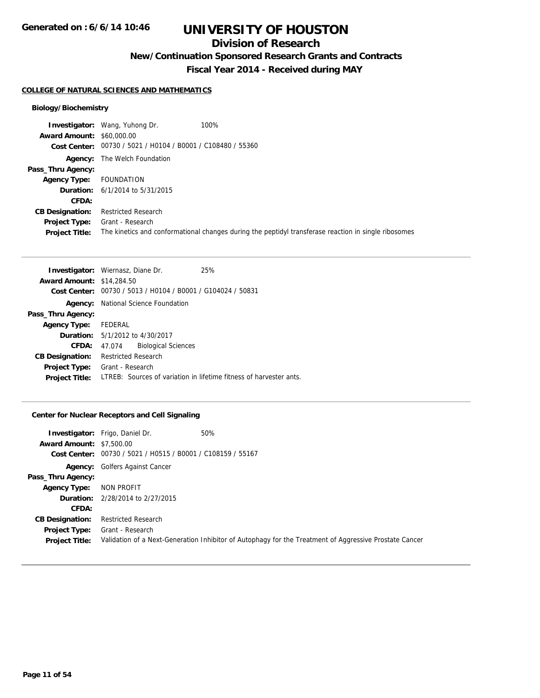## **Division of Research**

**New/Continuation Sponsored Research Grants and Contracts**

**Fiscal Year 2014 - Received during MAY**

#### **COLLEGE OF NATURAL SCIENCES AND MATHEMATICS**

#### **Biology/Biochemistry**

| <b>Investigator:</b> Wang, Yuhong Dr.                       | 100%                                                                                                 |
|-------------------------------------------------------------|------------------------------------------------------------------------------------------------------|
| <b>Award Amount: \$60,000.00</b>                            |                                                                                                      |
| Cost Center: 00730 / 5021 / H0104 / B0001 / C108480 / 55360 |                                                                                                      |
| <b>Agency:</b> The Welch Foundation                         |                                                                                                      |
|                                                             |                                                                                                      |
| FOUNDATION                                                  |                                                                                                      |
| <b>Duration:</b> 6/1/2014 to 5/31/2015                      |                                                                                                      |
|                                                             |                                                                                                      |
| <b>Restricted Research</b>                                  |                                                                                                      |
| Grant - Research                                            |                                                                                                      |
|                                                             | The kinetics and conformational changes during the peptidyl transferase reaction in single ribosomes |
|                                                             |                                                                                                      |

|                                  | <b>Investigator:</b> Wiernasz, Diane Dr.                    | 25%                                                                |
|----------------------------------|-------------------------------------------------------------|--------------------------------------------------------------------|
| <b>Award Amount: \$14,284.50</b> |                                                             |                                                                    |
|                                  | Cost Center: 00730 / 5013 / H0104 / B0001 / G104024 / 50831 |                                                                    |
|                                  | <b>Agency:</b> National Science Foundation                  |                                                                    |
| Pass_Thru Agency:                |                                                             |                                                                    |
| Agency Type: FEDERAL             |                                                             |                                                                    |
|                                  | <b>Duration:</b> 5/1/2012 to 4/30/2017                      |                                                                    |
| CFDA:                            | <b>Biological Sciences</b><br>47.074                        |                                                                    |
| <b>CB Designation:</b>           | <b>Restricted Research</b>                                  |                                                                    |
| <b>Project Type:</b>             | Grant - Research                                            |                                                                    |
| <b>Project Title:</b>            |                                                             | LTREB: Sources of variation in lifetime fitness of harvester ants. |

#### **Center for Nuclear Receptors and Cell Signaling**

| <b>Award Amount: \$7,500.00</b>        | <b>Investigator:</b> Frigo, Daniel Dr.                      | 50%                                                                                                    |
|----------------------------------------|-------------------------------------------------------------|--------------------------------------------------------------------------------------------------------|
|                                        | Cost Center: 00730 / 5021 / H0515 / B0001 / C108159 / 55167 |                                                                                                        |
|                                        | <b>Agency:</b> Golfers Against Cancer                       |                                                                                                        |
| Pass_Thru Agency:                      |                                                             |                                                                                                        |
| <b>Agency Type:</b>                    | NON PROFIT                                                  |                                                                                                        |
|                                        | <b>Duration:</b> 2/28/2014 to 2/27/2015                     |                                                                                                        |
| CFDA:                                  |                                                             |                                                                                                        |
| <b>CB Designation:</b>                 | <b>Restricted Research</b>                                  |                                                                                                        |
| Project Type:<br><b>Project Title:</b> | Grant - Research                                            | Validation of a Next-Generation Inhibitor of Autophagy for the Treatment of Aggressive Prostate Cancer |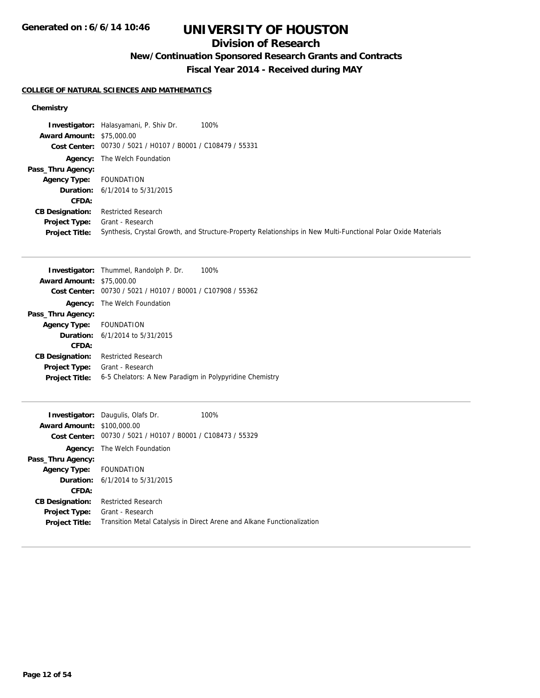## **Division of Research**

**New/Continuation Sponsored Research Grants and Contracts**

**Fiscal Year 2014 - Received during MAY**

#### **COLLEGE OF NATURAL SCIENCES AND MATHEMATICS**

|                                  | 100%<br><b>Investigator:</b> Halasyamani, P. Shiv Dr.                                                         |
|----------------------------------|---------------------------------------------------------------------------------------------------------------|
| <b>Award Amount: \$75,000.00</b> |                                                                                                               |
|                                  | Cost Center: 00730 / 5021 / H0107 / B0001 / C108479 / 55331                                                   |
|                                  | <b>Agency:</b> The Welch Foundation                                                                           |
| Pass_Thru Agency:                |                                                                                                               |
| <b>Agency Type:</b>              | FOUNDATION                                                                                                    |
|                                  | <b>Duration:</b> $6/1/2014$ to $5/31/2015$                                                                    |
| <b>CFDA:</b>                     |                                                                                                               |
| <b>CB Designation:</b>           | <b>Restricted Research</b>                                                                                    |
| <b>Project Type:</b>             | Grant - Research                                                                                              |
| <b>Project Title:</b>            | Synthesis, Crystal Growth, and Structure-Property Relationships in New Multi-Functional Polar Oxide Materials |

|                                  | <b>Investigator:</b> Thummel, Randolph P. Dr.<br>100%   |
|----------------------------------|---------------------------------------------------------|
| <b>Award Amount: \$75,000.00</b> |                                                         |
| <b>Cost Center:</b>              | 00730 / 5021 / H0107 / B0001 / C107908 / 55362          |
|                                  | <b>Agency:</b> The Welch Foundation                     |
| Pass_Thru Agency:                |                                                         |
| <b>Agency Type:</b>              | FOUNDATION                                              |
|                                  | <b>Duration:</b> $6/1/2014$ to $5/31/2015$              |
| CFDA:                            |                                                         |
| <b>CB Designation:</b>           | <b>Restricted Research</b>                              |
| <b>Project Type:</b>             | Grant - Research                                        |
| <b>Project Title:</b>            | 6-5 Chelators: A New Paradigm in Polypyridine Chemistry |
|                                  |                                                         |

| <b>Award Amount: \$100,000.00</b><br>Cost Center: | <b>Investigator:</b> Daugulis, Olafs Dr.<br>00730 / 5021 / H0107 / B0001 / C108473 / 55329 | 100%                                                                    |
|---------------------------------------------------|--------------------------------------------------------------------------------------------|-------------------------------------------------------------------------|
|                                                   | <b>Agency:</b> The Welch Foundation                                                        |                                                                         |
| Pass_Thru Agency:                                 |                                                                                            |                                                                         |
| Agency Type: FOUNDATION                           |                                                                                            |                                                                         |
|                                                   | <b>Duration:</b> $6/1/2014$ to $5/31/2015$                                                 |                                                                         |
| CFDA:                                             |                                                                                            |                                                                         |
| <b>CB Designation:</b>                            | <b>Restricted Research</b>                                                                 |                                                                         |
| Project Type:                                     | Grant - Research                                                                           |                                                                         |
| <b>Project Title:</b>                             |                                                                                            | Transition Metal Catalysis in Direct Arene and Alkane Functionalization |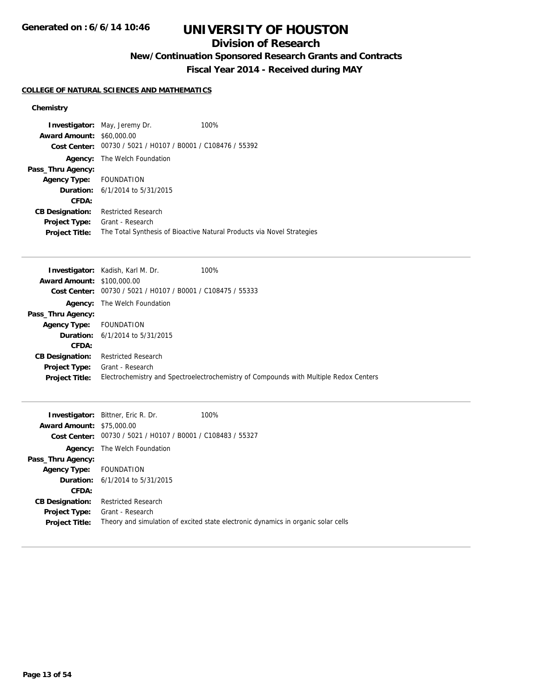## **Division of Research**

**New/Continuation Sponsored Research Grants and Contracts**

**Fiscal Year 2014 - Received during MAY**

#### **COLLEGE OF NATURAL SCIENCES AND MATHEMATICS**

|                                  | <b>Investigator:</b> May, Jeremy Dr.           | 100%                                                                   |
|----------------------------------|------------------------------------------------|------------------------------------------------------------------------|
| <b>Award Amount: \$60,000.00</b> |                                                |                                                                        |
| Cost Center:                     | 00730 / 5021 / H0107 / B0001 / C108476 / 55392 |                                                                        |
| Agency:                          | The Welch Foundation                           |                                                                        |
| Pass_Thru Agency:                |                                                |                                                                        |
| Agency Type: FOUNDATION          |                                                |                                                                        |
|                                  | <b>Duration:</b> $6/1/2014$ to $5/31/2015$     |                                                                        |
| CFDA:                            |                                                |                                                                        |
| <b>CB Designation:</b>           | <b>Restricted Research</b>                     |                                                                        |
| <b>Project Type:</b>             | Grant - Research                               |                                                                        |
| <b>Project Title:</b>            |                                                | The Total Synthesis of Bioactive Natural Products via Novel Strategies |

|                                   | <b>Investigator:</b> Kadish, Karl M. Dr.       | 100%                                                                                  |
|-----------------------------------|------------------------------------------------|---------------------------------------------------------------------------------------|
| <b>Award Amount: \$100,000.00</b> |                                                |                                                                                       |
| Cost Center:                      | 00730 / 5021 / H0107 / B0001 / C108475 / 55333 |                                                                                       |
|                                   | <b>Agency:</b> The Welch Foundation            |                                                                                       |
| Pass_Thru Agency:                 |                                                |                                                                                       |
| <b>Agency Type:</b>               | FOUNDATION                                     |                                                                                       |
|                                   | <b>Duration:</b> $6/1/2014$ to $5/31/2015$     |                                                                                       |
| CFDA:                             |                                                |                                                                                       |
| <b>CB Designation:</b>            | <b>Restricted Research</b>                     |                                                                                       |
| Project Type:                     | Grant - Research                               |                                                                                       |
| <b>Project Title:</b>             |                                                | Electrochemistry and Spectroelectrochemistry of Compounds with Multiple Redox Centers |

| <b>Award Amount: \$75,000.00</b> | <b>Investigator:</b> Bittner, Eric R. Dr.<br>Cost Center: 00730 / 5021 / H0107 / B0001 / C108483 / 55327 | 100%                                                                              |
|----------------------------------|----------------------------------------------------------------------------------------------------------|-----------------------------------------------------------------------------------|
|                                  | <b>Agency:</b> The Welch Foundation                                                                      |                                                                                   |
| Pass_Thru Agency:                |                                                                                                          |                                                                                   |
| <b>Agency Type:</b>              | FOUNDATION                                                                                               |                                                                                   |
|                                  | <b>Duration:</b> $6/1/2014$ to $5/31/2015$                                                               |                                                                                   |
| CFDA:                            |                                                                                                          |                                                                                   |
| <b>CB Designation:</b>           | <b>Restricted Research</b>                                                                               |                                                                                   |
| <b>Project Type:</b>             | Grant - Research                                                                                         |                                                                                   |
| <b>Project Title:</b>            |                                                                                                          | Theory and simulation of excited state electronic dynamics in organic solar cells |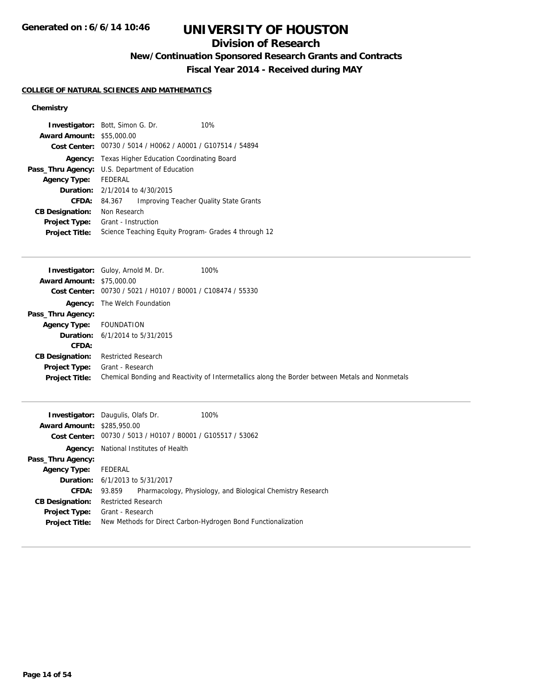## **Division of Research**

**New/Continuation Sponsored Research Grants and Contracts**

**Fiscal Year 2014 - Received during MAY**

#### **COLLEGE OF NATURAL SCIENCES AND MATHEMATICS**

| <b>Investigator:</b> Bott, Simon G. Dr.               |                                            |  | 10%                                                         |  |
|-------------------------------------------------------|--------------------------------------------|--|-------------------------------------------------------------|--|
| <b>Award Amount: \$55,000.00</b>                      |                                            |  |                                                             |  |
|                                                       |                                            |  | Cost Center: 00730 / 5014 / H0062 / A0001 / G107514 / 54894 |  |
|                                                       |                                            |  | <b>Agency:</b> Texas Higher Education Coordinating Board    |  |
| <b>Pass_Thru Agency:</b> U.S. Department of Education |                                            |  |                                                             |  |
| <b>Agency Type:</b>                                   | FFDFRAL                                    |  |                                                             |  |
|                                                       | <b>Duration:</b> $2/1/2014$ to $4/30/2015$ |  |                                                             |  |
| CFDA:                                                 | 84.367                                     |  | Improving Teacher Quality State Grants                      |  |
| <b>CB Designation:</b>                                | Non Research                               |  |                                                             |  |
| <b>Project Type:</b>                                  | Grant - Instruction                        |  |                                                             |  |
| <b>Project Title:</b>                                 |                                            |  | Science Teaching Equity Program - Grades 4 through 12       |  |

| <b>Investigator:</b> Guloy, Arnold M. Dr.  |                                                                                                 |
|--------------------------------------------|-------------------------------------------------------------------------------------------------|
| <b>Award Amount: \$75,000.00</b>           |                                                                                                 |
|                                            |                                                                                                 |
| <b>Agency:</b> The Welch Foundation        |                                                                                                 |
|                                            |                                                                                                 |
| FOUNDATION                                 |                                                                                                 |
| <b>Duration:</b> $6/1/2014$ to $5/31/2015$ |                                                                                                 |
|                                            |                                                                                                 |
| Restricted Research                        |                                                                                                 |
| Grant - Research                           |                                                                                                 |
|                                            | Chemical Bonding and Reactivity of Intermetallics along the Border between Metals and Nonmetals |
|                                            | 100%<br>Cost Center: 00730 / 5021 / H0107 / B0001 / C108474 / 55330                             |

| <b>Investigator:</b> Daugulis, Olafs Dr.<br><b>Award Amount: \$285,950.00</b> |                                        |  | $100\%$<br>Cost Center: 00730 / 5013 / H0107 / B0001 / G105517 / 53062 |
|-------------------------------------------------------------------------------|----------------------------------------|--|------------------------------------------------------------------------|
| Agency:                                                                       | National Institutes of Health          |  |                                                                        |
| Pass_Thru Agency:                                                             |                                        |  |                                                                        |
| <b>Agency Type:</b>                                                           | FEDERAL                                |  |                                                                        |
|                                                                               | <b>Duration:</b> 6/1/2013 to 5/31/2017 |  |                                                                        |
| <b>CFDA:</b>                                                                  | 93.859                                 |  | Pharmacology, Physiology, and Biological Chemistry Research            |
| <b>CB Designation:</b>                                                        | <b>Restricted Research</b>             |  |                                                                        |
| <b>Project Type:</b>                                                          | Grant - Research                       |  |                                                                        |
| <b>Project Title:</b>                                                         |                                        |  | New Methods for Direct Carbon-Hydrogen Bond Functionalization          |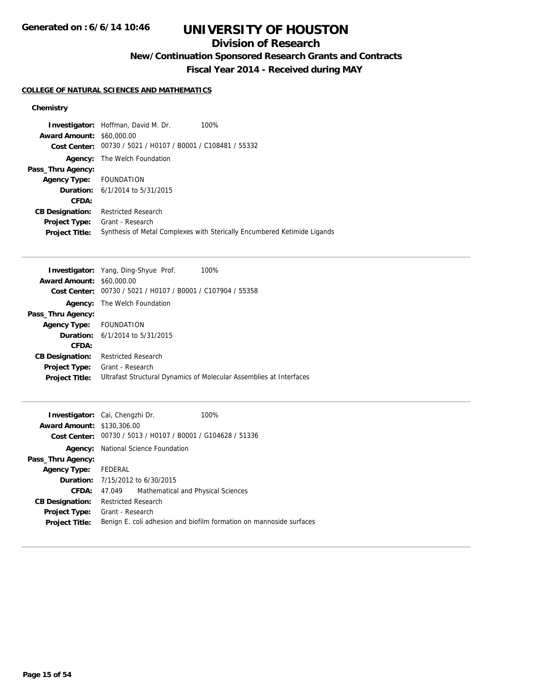## **Division of Research**

**New/Continuation Sponsored Research Grants and Contracts**

**Fiscal Year 2014 - Received during MAY**

#### **COLLEGE OF NATURAL SCIENCES AND MATHEMATICS**

|                                  | <b>Investigator:</b> Hoffman, David M. Dr.                  | 100%                                                                     |
|----------------------------------|-------------------------------------------------------------|--------------------------------------------------------------------------|
| <b>Award Amount: \$60,000.00</b> |                                                             |                                                                          |
|                                  | Cost Center: 00730 / 5021 / H0107 / B0001 / C108481 / 55332 |                                                                          |
| Agency:                          | The Welch Foundation                                        |                                                                          |
| Pass_Thru Agency:                |                                                             |                                                                          |
| Agency Type: FOUNDATION          |                                                             |                                                                          |
|                                  | <b>Duration:</b> 6/1/2014 to 5/31/2015                      |                                                                          |
| CFDA:                            |                                                             |                                                                          |
| <b>CB Designation:</b>           | <b>Restricted Research</b>                                  |                                                                          |
| <b>Project Type:</b>             | Grant - Research                                            |                                                                          |
| <b>Project Title:</b>            |                                                             | Synthesis of Metal Complexes with Sterically Encumbered Ketimide Ligands |

| <b>Investigator:</b> Yang, Ding-Shyue Prof.<br>100%                   |
|-----------------------------------------------------------------------|
| <b>Award Amount: \$60,000.00</b>                                      |
| 00730 / 5021 / H0107 / B0001 / C107904 / 55358<br><b>Cost Center:</b> |
| The Welch Foundation                                                  |
|                                                                       |
| Agency Type: FOUNDATION                                               |
| <b>Duration:</b> $6/1/2014$ to $5/31/2015$                            |
|                                                                       |
| <b>Restricted Research</b>                                            |
| Grant - Research                                                      |
| Ultrafast Structural Dynamics of Molecular Assemblies at Interfaces   |
|                                                                       |

| Investigator: Cai, Chengzhi Dr.<br><b>Award Amount: \$130,306.00</b> |                                             |                                            | 100%<br>Cost Center: 00730 / 5013 / H0107 / B0001 / G104628 / 51336 |
|----------------------------------------------------------------------|---------------------------------------------|--------------------------------------------|---------------------------------------------------------------------|
|                                                                      |                                             | <b>Agency:</b> National Science Foundation |                                                                     |
| Pass_Thru Agency:                                                    |                                             |                                            |                                                                     |
| Agency Type: FEDERAL                                                 |                                             |                                            |                                                                     |
|                                                                      | <b>Duration:</b> $7/15/2012$ to $6/30/2015$ |                                            |                                                                     |
| CFDA:                                                                | 47.049                                      | Mathematical and Physical Sciences         |                                                                     |
| <b>CB Designation:</b>                                               | <b>Restricted Research</b>                  |                                            |                                                                     |
| <b>Project Type:</b> Grant - Research                                |                                             |                                            |                                                                     |
| <b>Project Title:</b>                                                |                                             |                                            | Benign E. coli adhesion and biofilm formation on mannoside surfaces |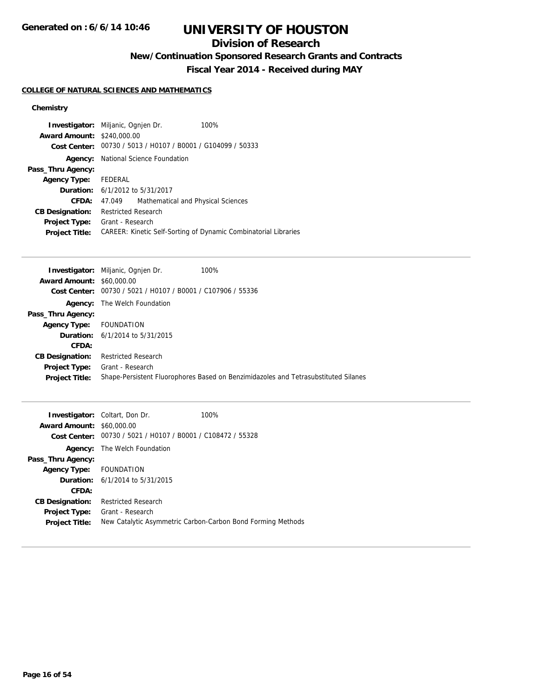**Generated on : 6/6/14 10:46**

# **UNIVERSITY OF HOUSTON**

## **Division of Research**

**New/Continuation Sponsored Research Grants and Contracts**

**Fiscal Year 2014 - Received during MAY**

#### **COLLEGE OF NATURAL SCIENCES AND MATHEMATICS**

| <b>Award Amount: \$240,000.00</b>             | <b>Investigator:</b> Miljanic, Ognien Dr.<br>Cost Center: 00730 / 5013 / H0107 / B0001 / G104099 / 50333 | 100%                                                            |
|-----------------------------------------------|----------------------------------------------------------------------------------------------------------|-----------------------------------------------------------------|
| Agency:                                       | National Science Foundation                                                                              |                                                                 |
| Pass_Thru Agency:                             |                                                                                                          |                                                                 |
| Agency Type: FEDERAL                          |                                                                                                          |                                                                 |
|                                               | <b>Duration:</b> 6/1/2012 to 5/31/2017                                                                   |                                                                 |
| <b>CFDA:</b>                                  | Mathematical and Physical Sciences<br>47.049                                                             |                                                                 |
| <b>CB Designation:</b>                        | <b>Restricted Research</b>                                                                               |                                                                 |
| <b>Project Type:</b><br><b>Project Title:</b> | Grant - Research                                                                                         | CAREER: Kinetic Self-Sorting of Dynamic Combinatorial Libraries |

|                                  | <b>Investigator:</b> Miljanic, Ognien Dr.                   | 100%                                                                               |
|----------------------------------|-------------------------------------------------------------|------------------------------------------------------------------------------------|
| <b>Award Amount: \$60,000.00</b> |                                                             |                                                                                    |
|                                  | Cost Center: 00730 / 5021 / H0107 / B0001 / C107906 / 55336 |                                                                                    |
|                                  | <b>Agency:</b> The Welch Foundation                         |                                                                                    |
| Pass_Thru Agency:                |                                                             |                                                                                    |
| <b>Agency Type:</b>              | FOUNDATION                                                  |                                                                                    |
|                                  | <b>Duration:</b> 6/1/2014 to 5/31/2015                      |                                                                                    |
| CFDA:                            |                                                             |                                                                                    |
| <b>CB Designation:</b>           | <b>Restricted Research</b>                                  |                                                                                    |
| <b>Project Type:</b>             | Grant - Research                                            |                                                                                    |
| <b>Project Title:</b>            |                                                             | Shape-Persistent Fluorophores Based on Benzimidazoles and Tetrasubstituted Silanes |

| <b>Award Amount: \$60,000.00</b><br>Cost Center: | <b>Investigator:</b> Coltart, Don Dr.<br>00730 / 5021 / H0107 / B0001 / C108472 / 55328 | 100%                                                        |
|--------------------------------------------------|-----------------------------------------------------------------------------------------|-------------------------------------------------------------|
|                                                  | <b>Agency:</b> The Welch Foundation                                                     |                                                             |
| Pass_Thru Agency:                                |                                                                                         |                                                             |
| Agency Type: FOUNDATION                          |                                                                                         |                                                             |
|                                                  | <b>Duration:</b> $6/1/2014$ to $5/31/2015$                                              |                                                             |
| CFDA:                                            |                                                                                         |                                                             |
| <b>CB Designation:</b>                           | <b>Restricted Research</b>                                                              |                                                             |
| <b>Project Type:</b>                             | Grant - Research                                                                        |                                                             |
| <b>Project Title:</b>                            |                                                                                         | New Catalytic Asymmetric Carbon-Carbon Bond Forming Methods |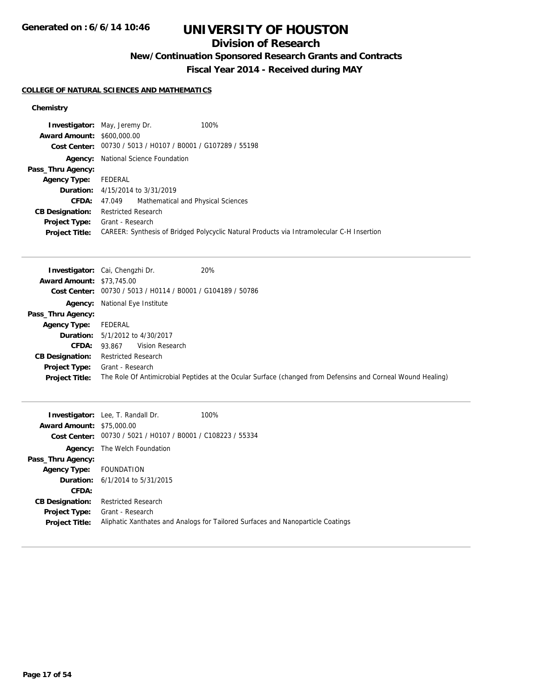**Generated on : 6/6/14 10:46**

# **UNIVERSITY OF HOUSTON**

## **Division of Research**

**New/Continuation Sponsored Research Grants and Contracts**

**Fiscal Year 2014 - Received during MAY**

#### **COLLEGE OF NATURAL SCIENCES AND MATHEMATICS**

|                                   | <b>Investigator:</b> May, Jeremy Dr.                        | 100%                                                                                      |
|-----------------------------------|-------------------------------------------------------------|-------------------------------------------------------------------------------------------|
| <b>Award Amount: \$600,000.00</b> |                                                             |                                                                                           |
|                                   | Cost Center: 00730 / 5013 / H0107 / B0001 / G107289 / 55198 |                                                                                           |
| Agency:                           | National Science Foundation                                 |                                                                                           |
| Pass_Thru Agency:                 |                                                             |                                                                                           |
| <b>Agency Type:</b>               | FEDERAL                                                     |                                                                                           |
|                                   | <b>Duration:</b> 4/15/2014 to 3/31/2019                     |                                                                                           |
| <b>CFDA:</b>                      | 47.049 Mathematical and Physical Sciences                   |                                                                                           |
| <b>CB Designation:</b>            | <b>Restricted Research</b>                                  |                                                                                           |
| <b>Project Type:</b>              | Grant - Research                                            |                                                                                           |
| <b>Project Title:</b>             |                                                             | CAREER: Synthesis of Bridged Polycyclic Natural Products via Intramolecular C-H Insertion |

|                                  | 20%<br><b>Investigator:</b> Cai, Chengzhi Dr.                                                               |
|----------------------------------|-------------------------------------------------------------------------------------------------------------|
| <b>Award Amount: \$73,745.00</b> |                                                                                                             |
|                                  | Cost Center: 00730 / 5013 / H0114 / B0001 / G104189 / 50786                                                 |
|                                  | <b>Agency:</b> National Eye Institute                                                                       |
| Pass_Thru Agency:                |                                                                                                             |
| <b>Agency Type:</b>              | FEDERAL                                                                                                     |
|                                  | <b>Duration:</b> 5/1/2012 to 4/30/2017                                                                      |
| <b>CFDA:</b>                     | Vision Research<br>93.867                                                                                   |
| <b>CB Designation:</b>           | <b>Restricted Research</b>                                                                                  |
| <b>Project Type:</b>             | Grant - Research                                                                                            |
| <b>Project Title:</b>            | The Role Of Antimicrobial Peptides at the Ocular Surface (changed from Defensins and Corneal Wound Healing) |

|                                  | <b>Investigator:</b> Lee, T. Randall Dr.                    | 100%                                                                            |
|----------------------------------|-------------------------------------------------------------|---------------------------------------------------------------------------------|
| <b>Award Amount: \$75,000.00</b> |                                                             |                                                                                 |
|                                  | Cost Center: 00730 / 5021 / H0107 / B0001 / C108223 / 55334 |                                                                                 |
|                                  | <b>Agency:</b> The Welch Foundation                         |                                                                                 |
| Pass_Thru Agency:                |                                                             |                                                                                 |
| Agency Type: FOUNDATION          |                                                             |                                                                                 |
|                                  | <b>Duration:</b> $6/1/2014$ to $5/31/2015$                  |                                                                                 |
| <b>CFDA:</b>                     |                                                             |                                                                                 |
| <b>CB Designation:</b>           | <b>Restricted Research</b>                                  |                                                                                 |
| <b>Project Type:</b>             | Grant - Research                                            |                                                                                 |
| <b>Project Title:</b>            |                                                             | Aliphatic Xanthates and Analogs for Tailored Surfaces and Nanoparticle Coatings |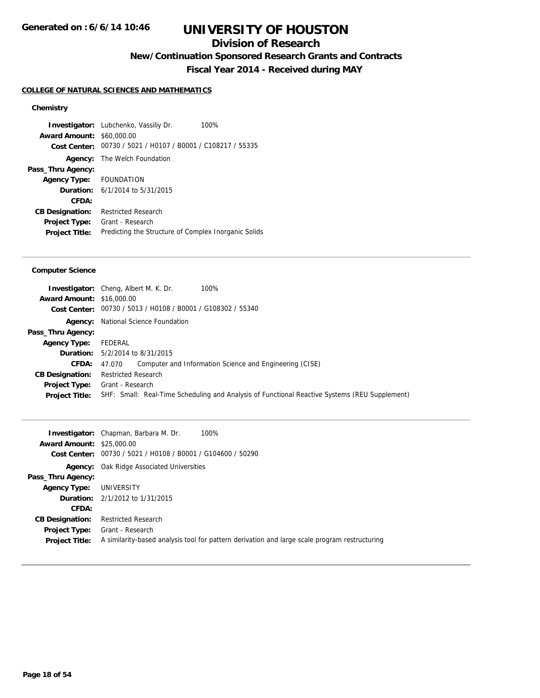## **Division of Research**

**New/Continuation Sponsored Research Grants and Contracts**

**Fiscal Year 2014 - Received during MAY**

#### **COLLEGE OF NATURAL SCIENCES AND MATHEMATICS**

### **Chemistry**

**Investigator:** Lubchenko, Vassiliy Dr. 100% **Award Amount:** \$60,000.00 **Cost Center:** 00730 / 5021 / H0107 / B0001 / C108217 / 55335 **Agency:** The Welch Foundation **Pass\_Thru Agency: Agency Type:** FOUNDATION **Duration:** 6/1/2014 to 5/31/2015 **CFDA: CB Designation:** Restricted Research **Project Type:** Grant - Research Project Title: Predicting the Structure of Complex Inorganic Solids

#### **Computer Science**

| SHF: Small: Real-Time Scheduling and Analysis of Functional Reactive Systems (REU Supplement) |
|-----------------------------------------------------------------------------------------------|
|                                                                                               |

|                                  | 100%<br><b>Investigator:</b> Chapman, Barbara M. Dr.                                          |
|----------------------------------|-----------------------------------------------------------------------------------------------|
| <b>Award Amount: \$25,000.00</b> |                                                                                               |
|                                  | Cost Center: 00730 / 5021 / H0108 / B0001 / G104600 / 50290                                   |
|                                  | <b>Agency:</b> Oak Ridge Associated Universities                                              |
| Pass_Thru Agency:                |                                                                                               |
| Agency Type:                     | UNIVERSITY                                                                                    |
|                                  | <b>Duration:</b> 2/1/2012 to 1/31/2015                                                        |
| CFDA:                            |                                                                                               |
| <b>CB Designation:</b>           | <b>Restricted Research</b>                                                                    |
| <b>Project Type:</b>             | Grant - Research                                                                              |
| <b>Project Title:</b>            | A similarity-based analysis tool for pattern derivation and large scale program restructuring |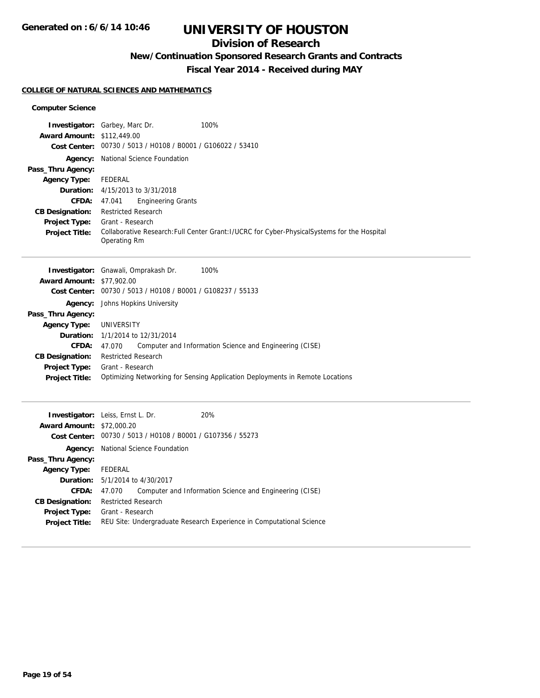## **Division of Research**

## **New/Continuation Sponsored Research Grants and Contracts**

**Fiscal Year 2014 - Received during MAY**

#### **COLLEGE OF NATURAL SCIENCES AND MATHEMATICS**

#### **Computer Science**

|                        | <b>Investigator:</b> Garbey, Marc Dr.<br>100%                                                 |  |  |
|------------------------|-----------------------------------------------------------------------------------------------|--|--|
| <b>Award Amount:</b>   | \$112,449.00                                                                                  |  |  |
| <b>Cost Center:</b>    | 00730 / 5013 / H0108 / B0001 / G106022 / 53410                                                |  |  |
| Agency:                | National Science Foundation                                                                   |  |  |
| Pass_Thru Agency:      |                                                                                               |  |  |
| <b>Agency Type:</b>    | <b>FEDERAL</b>                                                                                |  |  |
| Duration:              | 4/15/2013 to 3/31/2018                                                                        |  |  |
| CFDA:                  | 47.041<br><b>Engineering Grants</b>                                                           |  |  |
| <b>CB Designation:</b> | <b>Restricted Research</b>                                                                    |  |  |
| <b>Project Type:</b>   | Grant - Research                                                                              |  |  |
| <b>Project Title:</b>  | Collaborative Research: Full Center Grant: I/UCRC for Cyber-Physical Systems for the Hospital |  |  |
|                        | Operating Rm                                                                                  |  |  |
|                        | Investigator: Gnawali, Omprakash Dr.<br>100%                                                  |  |  |
| <b>Award Amount:</b>   | \$77,902.00                                                                                   |  |  |
| <b>Cost Center:</b>    | 00730 / 5013 / H0108 / B0001 / G108237 / 55133                                                |  |  |
| Agency:                | Johns Hopkins University                                                                      |  |  |
| Pass_Thru Agency:      |                                                                                               |  |  |
| <b>Agency Type:</b>    | <b>UNIVERSITY</b>                                                                             |  |  |
| Duration:              | 1/1/2014 to 12/31/2014                                                                        |  |  |
| CFDA:                  | Computer and Information Science and Engineering (CISE)<br>47.070                             |  |  |
| <b>CB Designation:</b> | <b>Restricted Research</b>                                                                    |  |  |
| <b>Project Type:</b>   | Grant - Research                                                                              |  |  |
| Project Title:         | Optimizing Networking for Sensing Application Deployments in Remote Locations                 |  |  |
|                        |                                                                                               |  |  |
|                        | Investigator: Leiss, Ernst L. Dr.<br>20%                                                      |  |  |
| <b>Award Amount:</b>   | \$72,000.20                                                                                   |  |  |
| <b>Cost Center:</b>    | 00730 / 5013 / H0108 / B0001 / G107356 / 55273                                                |  |  |
| Agency:                | National Science Foundation                                                                   |  |  |
| Pass_Thru Agency:      |                                                                                               |  |  |
| <b>Agency Type:</b>    | <b>FEDERAL</b>                                                                                |  |  |
| Duration:              | 5/1/2014 to 4/30/2017                                                                         |  |  |
| <b>CFDA:</b>           | 47.070<br>Computer and Information Science and Engineering (CISE)                             |  |  |
|                        |                                                                                               |  |  |

**CB Designation:** Restricted Research **Project Type:** Grant - Research

**Project Title:** REU Site: Undergraduate Research Experience in Computational Science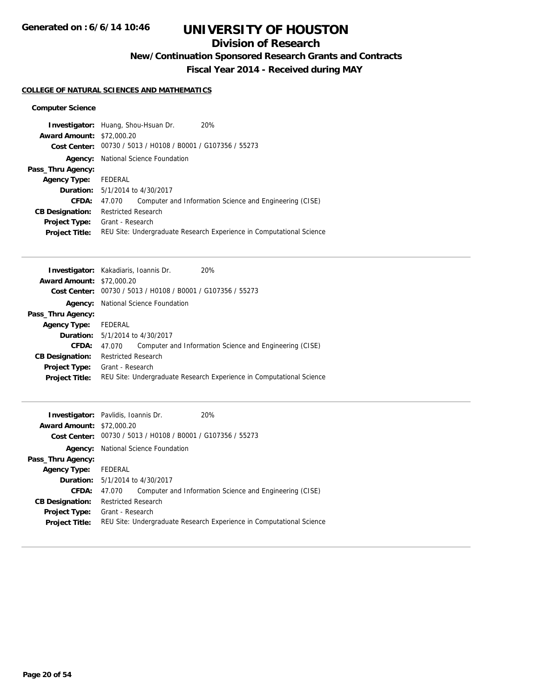## **Division of Research**

**New/Continuation Sponsored Research Grants and Contracts**

**Fiscal Year 2014 - Received during MAY**

#### **COLLEGE OF NATURAL SCIENCES AND MATHEMATICS**

#### **Computer Science**

|                                  | <b>Investigator:</b> Huang, Shou-Hsuan Dr.                  | 20%                                                                  |
|----------------------------------|-------------------------------------------------------------|----------------------------------------------------------------------|
| <b>Award Amount: \$72,000.20</b> |                                                             |                                                                      |
|                                  | Cost Center: 00730 / 5013 / H0108 / B0001 / G107356 / 55273 |                                                                      |
| Agency:                          | National Science Foundation                                 |                                                                      |
| Pass_Thru Agency:                |                                                             |                                                                      |
| <b>Agency Type:</b>              | FEDERAL                                                     |                                                                      |
|                                  | <b>Duration:</b> 5/1/2014 to 4/30/2017                      |                                                                      |
| CFDA:                            | 47.070                                                      | Computer and Information Science and Engineering (CISE)              |
| <b>CB Designation:</b>           | <b>Restricted Research</b>                                  |                                                                      |
| <b>Project Type:</b>             | Grant - Research                                            |                                                                      |
| <b>Project Title:</b>            |                                                             | REU Site: Undergraduate Research Experience in Computational Science |
|                                  |                                                             |                                                                      |

|                                  | <b>Investigator:</b> Kakadiaris, Ioannis Dr.   | 20%                                                                  |
|----------------------------------|------------------------------------------------|----------------------------------------------------------------------|
| <b>Award Amount: \$72,000.20</b> |                                                |                                                                      |
| Cost Center:                     | 00730 / 5013 / H0108 / B0001 / G107356 / 55273 |                                                                      |
| Agency:                          | National Science Foundation                    |                                                                      |
| Pass_Thru Agency:                |                                                |                                                                      |
| <b>Agency Type:</b>              | FEDERAL                                        |                                                                      |
|                                  | <b>Duration:</b> $5/1/2014$ to $4/30/2017$     |                                                                      |
| CFDA:                            | 47.070                                         | Computer and Information Science and Engineering (CISE)              |
| <b>CB Designation:</b>           | <b>Restricted Research</b>                     |                                                                      |
| <b>Project Type:</b>             | Grant - Research                               |                                                                      |
| <b>Project Title:</b>            |                                                | REU Site: Undergraduate Research Experience in Computational Science |
|                                  |                                                |                                                                      |

| <b>Investigator:</b> Pavlidis, Ioannis Dr. |                            |                                                             | 20%                                                                  |
|--------------------------------------------|----------------------------|-------------------------------------------------------------|----------------------------------------------------------------------|
| <b>Award Amount: \$72,000.20</b>           |                            |                                                             |                                                                      |
|                                            |                            | Cost Center: 00730 / 5013 / H0108 / B0001 / G107356 / 55273 |                                                                      |
| Agency:                                    |                            | National Science Foundation                                 |                                                                      |
| Pass_Thru Agency:                          |                            |                                                             |                                                                      |
| <b>Agency Type:</b>                        | FEDERAL                    |                                                             |                                                                      |
|                                            |                            | <b>Duration:</b> 5/1/2014 to 4/30/2017                      |                                                                      |
| CFDA:                                      | 47.070                     |                                                             | Computer and Information Science and Engineering (CISE)              |
| <b>CB Designation:</b>                     | <b>Restricted Research</b> |                                                             |                                                                      |
| <b>Project Type:</b>                       | Grant - Research           |                                                             |                                                                      |
| <b>Project Title:</b>                      |                            |                                                             | REU Site: Undergraduate Research Experience in Computational Science |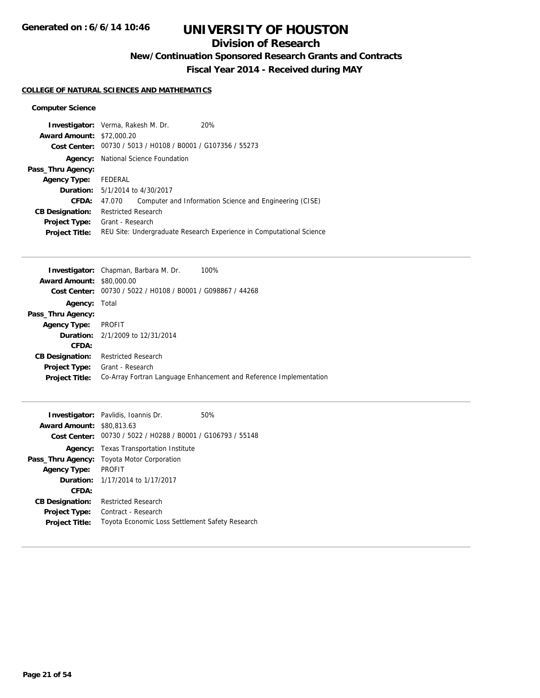## **Division of Research**

**New/Continuation Sponsored Research Grants and Contracts**

**Fiscal Year 2014 - Received during MAY**

#### **COLLEGE OF NATURAL SCIENCES AND MATHEMATICS**

#### **Computer Science**

|                                  | <b>Investigator:</b> Verma, Rakesh M. Dr.                   | 20%                                                                  |
|----------------------------------|-------------------------------------------------------------|----------------------------------------------------------------------|
| <b>Award Amount: \$72,000.20</b> |                                                             |                                                                      |
|                                  | Cost Center: 00730 / 5013 / H0108 / B0001 / G107356 / 55273 |                                                                      |
| Agency:                          | National Science Foundation                                 |                                                                      |
| Pass_Thru Agency:                |                                                             |                                                                      |
| <b>Agency Type:</b>              | FEDERAL                                                     |                                                                      |
|                                  | <b>Duration:</b> 5/1/2014 to 4/30/2017                      |                                                                      |
| CFDA:                            | 47.070                                                      | Computer and Information Science and Engineering (CISE)              |
| <b>CB Designation:</b>           | <b>Restricted Research</b>                                  |                                                                      |
| <b>Project Type:</b>             | Grant - Research                                            |                                                                      |
| <b>Project Title:</b>            |                                                             | REU Site: Undergraduate Research Experience in Computational Science |
|                                  |                                                             |                                                                      |

|                        | <b>Investigator:</b> Chapman, Barbara M. Dr.<br>100%               |
|------------------------|--------------------------------------------------------------------|
| <b>Award Amount:</b>   | \$80,000.00                                                        |
| Cost Center:           | 00730 / 5022 / H0108 / B0001 / G098867 / 44268                     |
| <b>Agency: Total</b>   |                                                                    |
| Pass_Thru Agency:      |                                                                    |
| <b>Agency Type:</b>    | <b>PROFIT</b>                                                      |
|                        | <b>Duration:</b> 2/1/2009 to 12/31/2014                            |
| CFDA:                  |                                                                    |
| <b>CB Designation:</b> | <b>Restricted Research</b>                                         |
| Project Type:          | Grant - Research                                                   |
| <b>Project Title:</b>  | Co-Array Fortran Language Enhancement and Reference Implementation |
|                        |                                                                    |

|                                  | <b>Investigator:</b> Pavlidis, Ioannis Dr.                  | 50% |
|----------------------------------|-------------------------------------------------------------|-----|
| <b>Award Amount: \$80,813.63</b> |                                                             |     |
|                                  | Cost Center: 00730 / 5022 / H0288 / B0001 / G106793 / 55148 |     |
|                                  | <b>Agency:</b> Texas Transportation Institute               |     |
|                                  | <b>Pass_Thru Agency:</b> Toyota Motor Corporation           |     |
| <b>Agency Type:</b>              | <b>PROFIT</b>                                               |     |
|                                  | <b>Duration:</b> 1/17/2014 to 1/17/2017                     |     |
| CFDA:                            |                                                             |     |
| <b>CB Designation:</b>           | <b>Restricted Research</b>                                  |     |
| <b>Project Type:</b>             | Contract - Research                                         |     |
| <b>Project Title:</b>            | Toyota Economic Loss Settlement Safety Research             |     |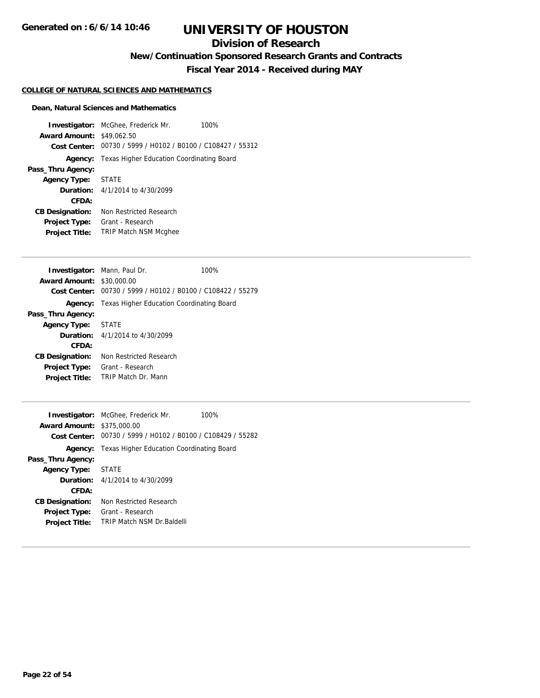## **Division of Research**

**New/Continuation Sponsored Research Grants and Contracts**

**Fiscal Year 2014 - Received during MAY**

#### **COLLEGE OF NATURAL SCIENCES AND MATHEMATICS**

#### **Dean, Natural Sciences and Mathematics**

|                                  | <b>Investigator:</b> McGhee, Frederick Mr.<br>100%          |
|----------------------------------|-------------------------------------------------------------|
| <b>Award Amount: \$49,062.50</b> |                                                             |
|                                  | Cost Center: 00730 / 5999 / H0102 / B0100 / C108427 / 55312 |
|                                  | <b>Agency:</b> Texas Higher Education Coordinating Board    |
| Pass_Thru Agency:                |                                                             |
| Agency Type: STATE               |                                                             |
|                                  | <b>Duration:</b> $4/1/2014$ to $4/30/2099$                  |
| CFDA:                            |                                                             |
| <b>CB Designation:</b>           | Non Restricted Research                                     |
| <b>Project Type:</b>             | Grant - Research                                            |
| <b>Project Title:</b>            | <b>TRIP Match NSM Mcghee</b>                                |

|                        | <b>Investigator:</b> Mann, Paul Dr.        | 100%                                           |
|------------------------|--------------------------------------------|------------------------------------------------|
| <b>Award Amount:</b>   | \$30,000.00                                |                                                |
| Cost Center:           |                                            | 00730 / 5999 / H0102 / B0100 / C108422 / 55279 |
| Agency:                | Texas Higher Education Coordinating Board  |                                                |
| Pass_Thru Agency:      |                                            |                                                |
| Agency Type: STATE     |                                            |                                                |
|                        | <b>Duration:</b> $4/1/2014$ to $4/30/2099$ |                                                |
| CFDA:                  |                                            |                                                |
| <b>CB Designation:</b> | Non Restricted Research                    |                                                |
| Project Type:          | Grant - Research                           |                                                |
| <b>Project Title:</b>  | <b>TRIP Match Dr. Mann</b>                 |                                                |

| <b>Award Amount: \$375,000.00</b> | <b>Investigator:</b> McGhee, Frederick Mr.<br>100%<br>Cost Center: 00730 / 5999 / H0102 / B0100 / C108429 / 55282 |
|-----------------------------------|-------------------------------------------------------------------------------------------------------------------|
|                                   | <b>Agency:</b> Texas Higher Education Coordinating Board                                                          |
| Pass_Thru Agency:                 |                                                                                                                   |
| <b>Agency Type:</b>               | <b>STATE</b>                                                                                                      |
|                                   | <b>Duration:</b> $4/1/2014$ to $4/30/2099$                                                                        |
| CFDA:                             |                                                                                                                   |
| <b>CB Designation:</b>            | Non Restricted Research                                                                                           |
| <b>Project Type:</b>              | Grant - Research                                                                                                  |
| <b>Project Title:</b>             | <b>TRIP Match NSM Dr Baldelli</b>                                                                                 |
|                                   |                                                                                                                   |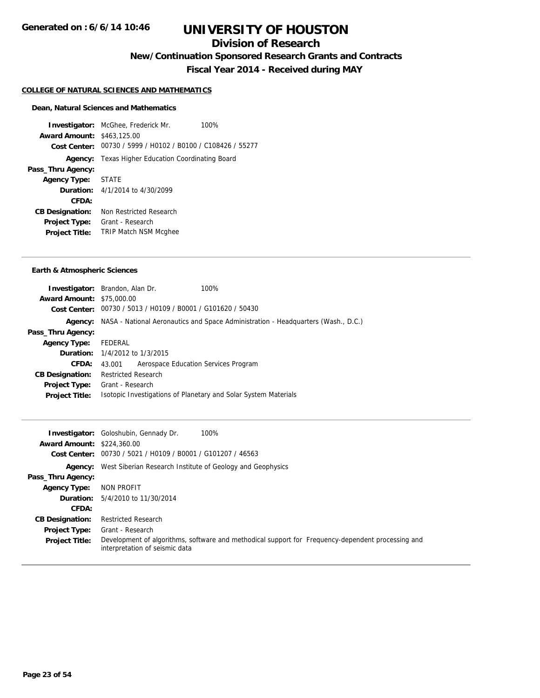## **Division of Research**

**New/Continuation Sponsored Research Grants and Contracts**

**Fiscal Year 2014 - Received during MAY**

#### **COLLEGE OF NATURAL SCIENCES AND MATHEMATICS**

#### **Dean, Natural Sciences and Mathematics**

**Investigator:** McGhee, Frederick Mr. 100% **Award Amount:** \$463,125.00 **Cost Center:** 00730 / 5999 / H0102 / B0100 / C108426 / 55277 **Agency:** Texas Higher Education Coordinating Board **Pass\_Thru Agency: Agency Type:** STATE **Duration:** 4/1/2014 to 4/30/2099 **CFDA: CB Designation:** Non Restricted Research **Project Type:** Grant - Research **Project Title:** TRIP Match NSM Mcghee

#### **Earth & Atmospheric Sciences**

|                                  | <b>Investigator:</b> Brandon, Alan Dr.                      | 100%                                                                                             |
|----------------------------------|-------------------------------------------------------------|--------------------------------------------------------------------------------------------------|
| <b>Award Amount: \$75,000.00</b> |                                                             |                                                                                                  |
|                                  | Cost Center: 00730 / 5013 / H0109 / B0001 / G101620 / 50430 |                                                                                                  |
|                                  |                                                             | <b>Agency:</b> NASA - National Aeronautics and Space Administration - Headquarters (Wash., D.C.) |
| Pass_Thru Agency:                |                                                             |                                                                                                  |
| <b>Agency Type:</b>              | FEDERAL                                                     |                                                                                                  |
|                                  | <b>Duration:</b> 1/4/2012 to 1/3/2015                       |                                                                                                  |
| <b>CFDA:</b>                     | Aerospace Education Services Program<br>43.001              |                                                                                                  |
| <b>CB Designation:</b>           | <b>Restricted Research</b>                                  |                                                                                                  |
| <b>Project Type:</b>             | Grant - Research                                            |                                                                                                  |
| <b>Project Title:</b>            |                                                             | Isotopic Investigations of Planetary and Solar System Materials                                  |
|                                  |                                                             |                                                                                                  |

|                                   | 100%<br><b>Investigator:</b> Goloshubin, Gennady Dr.                                                                                |
|-----------------------------------|-------------------------------------------------------------------------------------------------------------------------------------|
| <b>Award Amount: \$224,360.00</b> |                                                                                                                                     |
|                                   | Cost Center: 00730 / 5021 / H0109 / B0001 / G101207 / 46563                                                                         |
|                                   | <b>Agency:</b> West Siberian Research Institute of Geology and Geophysics                                                           |
| Pass_Thru Agency:                 |                                                                                                                                     |
| <b>Agency Type:</b>               | NON PROFIT                                                                                                                          |
|                                   | <b>Duration:</b> 5/4/2010 to 11/30/2014                                                                                             |
| CFDA:                             |                                                                                                                                     |
| <b>CB Designation:</b>            | <b>Restricted Research</b>                                                                                                          |
| <b>Project Type:</b>              | Grant - Research                                                                                                                    |
| <b>Project Title:</b>             | Development of algorithms, software and methodical support for Frequency-dependent processing and<br>interpretation of seismic data |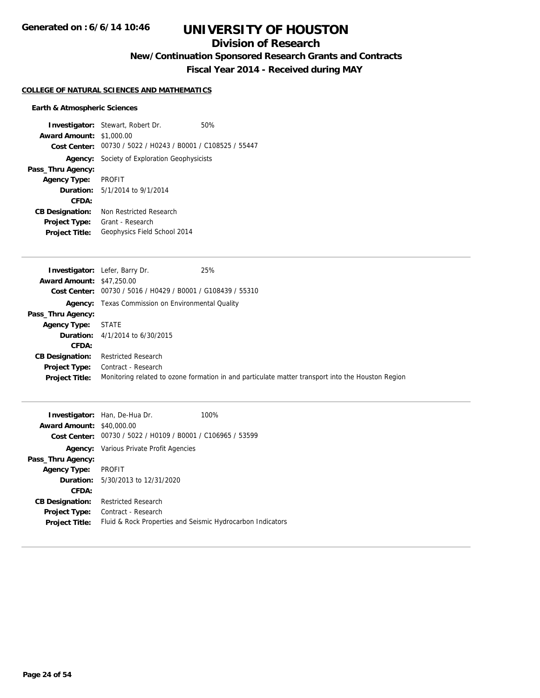## **Division of Research**

**New/Continuation Sponsored Research Grants and Contracts**

**Fiscal Year 2014 - Received during MAY**

#### **COLLEGE OF NATURAL SCIENCES AND MATHEMATICS**

#### **Earth & Atmospheric Sciences**

|                                 | <b>Investigator:</b> Stewart, Robert Dr.                    | 50% |
|---------------------------------|-------------------------------------------------------------|-----|
| <b>Award Amount: \$1,000.00</b> |                                                             |     |
|                                 | Cost Center: 00730 / 5022 / H0243 / B0001 / C108525 / 55447 |     |
|                                 | <b>Agency:</b> Society of Exploration Geophysicists         |     |
| Pass_Thru Agency:               |                                                             |     |
| Agency Type: PROFIT             |                                                             |     |
|                                 | Duration: 5/1/2014 to 9/1/2014                              |     |
| CFDA:                           |                                                             |     |
| <b>CB Designation:</b>          | Non Restricted Research                                     |     |
| <b>Project Type:</b>            | Grant - Research                                            |     |
| <b>Project Title:</b>           | Geophysics Field School 2014                                |     |

| <b>Award Amount: \$47,250.00</b><br>Cost Center: 00730 / 5016 / H0429 / B0001 / G108439 / 55310<br><b>Agency:</b> Texas Commission on Environmental Quality<br>Pass_Thru Agency:<br><b>STATE</b><br><b>Agency Type:</b><br><b>Duration:</b> $4/1/2014$ to $6/30/2015$<br>CFDA:<br><b>Restricted Research</b><br><b>CB Designation:</b><br>Contract - Research<br><b>Project Type:</b><br>Monitoring related to ozone formation in and particulate matter transport into the Houston Region<br><b>Project Title:</b> | 25%<br><b>Investigator:</b> Lefer, Barry Dr. |
|---------------------------------------------------------------------------------------------------------------------------------------------------------------------------------------------------------------------------------------------------------------------------------------------------------------------------------------------------------------------------------------------------------------------------------------------------------------------------------------------------------------------|----------------------------------------------|
|                                                                                                                                                                                                                                                                                                                                                                                                                                                                                                                     |                                              |
|                                                                                                                                                                                                                                                                                                                                                                                                                                                                                                                     |                                              |
|                                                                                                                                                                                                                                                                                                                                                                                                                                                                                                                     |                                              |
|                                                                                                                                                                                                                                                                                                                                                                                                                                                                                                                     |                                              |
|                                                                                                                                                                                                                                                                                                                                                                                                                                                                                                                     |                                              |
|                                                                                                                                                                                                                                                                                                                                                                                                                                                                                                                     |                                              |
|                                                                                                                                                                                                                                                                                                                                                                                                                                                                                                                     |                                              |
|                                                                                                                                                                                                                                                                                                                                                                                                                                                                                                                     |                                              |
|                                                                                                                                                                                                                                                                                                                                                                                                                                                                                                                     |                                              |
|                                                                                                                                                                                                                                                                                                                                                                                                                                                                                                                     |                                              |

| <b>Award Amount: \$40,000.00</b> | <b>Investigator:</b> Han, De-Hua Dr.                        | 100% |
|----------------------------------|-------------------------------------------------------------|------|
|                                  | Cost Center: 00730 / 5022 / H0109 / B0001 / C106965 / 53599 |      |
|                                  | <b>Agency:</b> Various Private Profit Agencies              |      |
| Pass_Thru Agency:                |                                                             |      |
| <b>Agency Type:</b>              | PROFIT                                                      |      |
|                                  | <b>Duration:</b> 5/30/2013 to 12/31/2020                    |      |
| CFDA:                            |                                                             |      |
| <b>CB Designation:</b>           | <b>Restricted Research</b>                                  |      |
| <b>Project Type:</b>             | Contract - Research                                         |      |
| <b>Project Title:</b>            | Fluid & Rock Properties and Seismic Hydrocarbon Indicators  |      |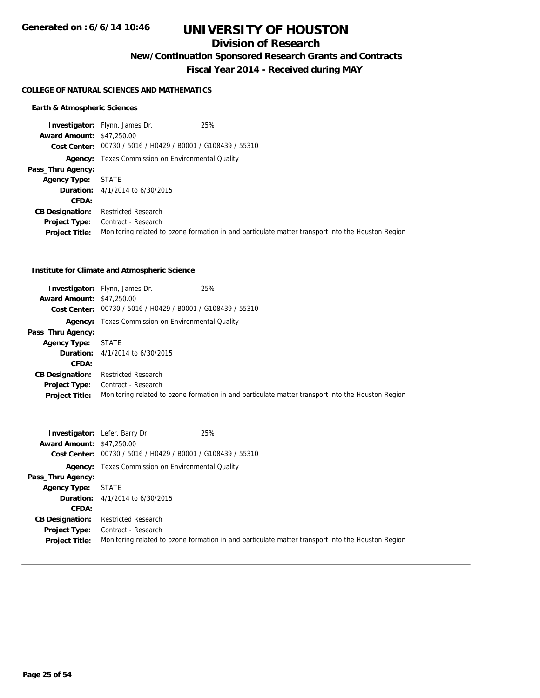## **Division of Research**

**New/Continuation Sponsored Research Grants and Contracts**

**Fiscal Year 2014 - Received during MAY**

#### **COLLEGE OF NATURAL SCIENCES AND MATHEMATICS**

#### **Earth & Atmospheric Sciences**

|                                  | 25%<br><b>Investigator:</b> Flynn, James Dr.                |                                                                                                   |
|----------------------------------|-------------------------------------------------------------|---------------------------------------------------------------------------------------------------|
| <b>Award Amount: \$47,250.00</b> |                                                             |                                                                                                   |
|                                  | Cost Center: 00730 / 5016 / H0429 / B0001 / G108439 / 55310 |                                                                                                   |
|                                  | <b>Agency:</b> Texas Commission on Environmental Quality    |                                                                                                   |
| Pass_Thru Agency:                |                                                             |                                                                                                   |
| <b>Agency Type:</b>              | STATE                                                       |                                                                                                   |
|                                  | <b>Duration:</b> $4/1/2014$ to $6/30/2015$                  |                                                                                                   |
| <b>CFDA:</b>                     |                                                             |                                                                                                   |
| <b>CB Designation:</b>           | <b>Restricted Research</b>                                  |                                                                                                   |
|                                  | <b>Project Type:</b> Contract - Research                    |                                                                                                   |
| <b>Project Title:</b>            |                                                             | Monitoring related to ozone formation in and particulate matter transport into the Houston Region |

#### **Institute for Climate and Atmospheric Science**

| <b>Award Amount: \$47,250.00</b>              | 25%<br><b>Investigator:</b> Flynn, James Dr.<br>Cost Center: 00730 / 5016 / H0429 / B0001 / G108439 / 55310              |  |
|-----------------------------------------------|--------------------------------------------------------------------------------------------------------------------------|--|
|                                               | <b>Agency:</b> Texas Commission on Environmental Quality                                                                 |  |
| Pass_Thru Agency:                             |                                                                                                                          |  |
| <b>Agency Type:</b>                           | STATE                                                                                                                    |  |
|                                               | <b>Duration:</b> 4/1/2014 to 6/30/2015                                                                                   |  |
| <b>CFDA:</b>                                  |                                                                                                                          |  |
| <b>CB Designation:</b>                        | <b>Restricted Research</b>                                                                                               |  |
| <b>Project Type:</b><br><b>Project Title:</b> | Contract - Research<br>Monitoring related to ozone formation in and particulate matter transport into the Houston Region |  |

|                                  | 25%<br><b>Investigator:</b> Lefer, Barry Dr.                                                      |
|----------------------------------|---------------------------------------------------------------------------------------------------|
| <b>Award Amount: \$47,250.00</b> |                                                                                                   |
|                                  | Cost Center: 00730 / 5016 / H0429 / B0001 / G108439 / 55310                                       |
|                                  | <b>Agency:</b> Texas Commission on Environmental Quality                                          |
| Pass_Thru Agency:                |                                                                                                   |
| <b>Agency Type:</b>              | <b>STATE</b>                                                                                      |
|                                  | <b>Duration:</b> $4/1/2014$ to $6/30/2015$                                                        |
| CFDA:                            |                                                                                                   |
| <b>CB Designation:</b>           | <b>Restricted Research</b>                                                                        |
| <b>Project Type:</b>             | Contract - Research                                                                               |
| <b>Project Title:</b>            | Monitoring related to ozone formation in and particulate matter transport into the Houston Region |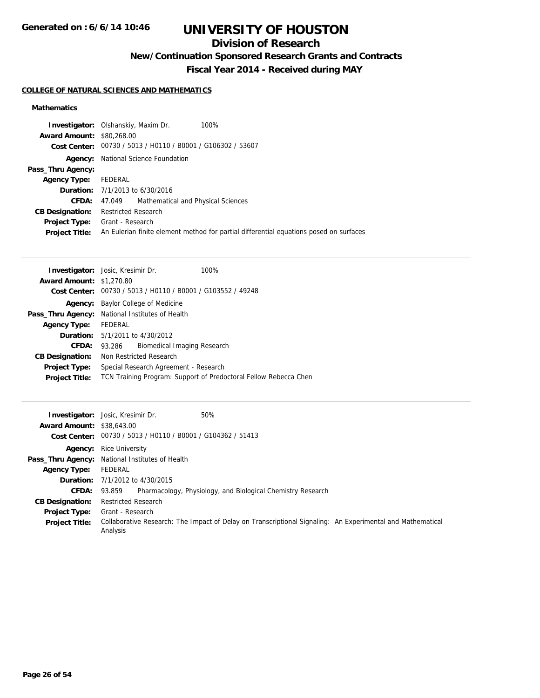## **Division of Research**

**New/Continuation Sponsored Research Grants and Contracts**

**Fiscal Year 2014 - Received during MAY**

#### **COLLEGE OF NATURAL SCIENCES AND MATHEMATICS**

### **Mathematics**

|                                  | 100%<br><b>Investigator:</b> Olshanskiy, Maxim Dr.                                     |
|----------------------------------|----------------------------------------------------------------------------------------|
| <b>Award Amount: \$80,268,00</b> |                                                                                        |
|                                  | Cost Center: 00730 / 5013 / H0110 / B0001 / G106302 / 53607                            |
| Agency:                          | National Science Foundation                                                            |
| Pass_Thru Agency:                |                                                                                        |
| Agency Type: FEDERAL             |                                                                                        |
|                                  | <b>Duration:</b> $7/1/2013$ to $6/30/2016$                                             |
| <b>CFDA:</b>                     | Mathematical and Physical Sciences<br>47.049                                           |
| <b>CB Designation:</b>           | <b>Restricted Research</b>                                                             |
| <b>Project Type:</b>             | Grant - Research                                                                       |
| <b>Project Title:</b>            | An Eulerian finite element method for partial differential equations posed on surfaces |

|                                 | <b>Investigator:</b> Josic, Kresimir Dr.        | 100%                                                             |
|---------------------------------|-------------------------------------------------|------------------------------------------------------------------|
| <b>Award Amount: \$1,270.80</b> |                                                 |                                                                  |
| <b>Cost Center:</b>             | 00730 / 5013 / H0110 / B0001 / G103552 / 49248  |                                                                  |
| Agency:                         | Baylor College of Medicine                      |                                                                  |
|                                 | Pass_Thru Agency: National Institutes of Health |                                                                  |
| <b>Agency Type:</b>             | FEDERAL                                         |                                                                  |
|                                 | <b>Duration:</b> 5/1/2011 to 4/30/2012          |                                                                  |
| CFDA:                           | Biomedical Imaging Research<br>93.286           |                                                                  |
| <b>CB Designation:</b>          | Non Restricted Research                         |                                                                  |
| <b>Project Type:</b>            | Special Research Agreement - Research           |                                                                  |
| <b>Project Title:</b>           |                                                 | TCN Training Program: Support of Predoctoral Fellow Rebecca Chen |

|                                  | 50%<br><b>Investigator:</b> Josic, Kresimir Dr.                                                                        |
|----------------------------------|------------------------------------------------------------------------------------------------------------------------|
| <b>Award Amount: \$38,643.00</b> |                                                                                                                        |
|                                  | Cost Center: 00730 / 5013 / H0110 / B0001 / G104362 / 51413                                                            |
|                                  | <b>Agency:</b> Rice University                                                                                         |
|                                  | Pass_Thru Agency: National Institutes of Health                                                                        |
| <b>Agency Type:</b> FEDERAL      |                                                                                                                        |
|                                  | <b>Duration:</b> 7/1/2012 to 4/30/2015                                                                                 |
| <b>CFDA: 93.859</b>              | Pharmacology, Physiology, and Biological Chemistry Research                                                            |
| <b>CB Designation:</b>           | <b>Restricted Research</b>                                                                                             |
| <b>Project Type:</b>             | Grant - Research                                                                                                       |
| <b>Project Title:</b>            | Collaborative Research: The Impact of Delay on Transcriptional Signaling: An Experimental and Mathematical<br>Analysis |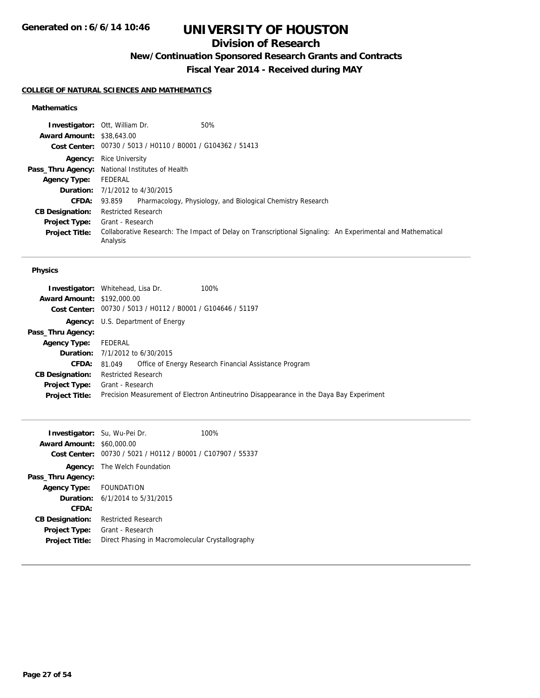## **Division of Research**

**New/Continuation Sponsored Research Grants and Contracts**

**Fiscal Year 2014 - Received during MAY**

#### **COLLEGE OF NATURAL SCIENCES AND MATHEMATICS**

#### **Mathematics**

|                                  | 50%<br><b>Investigator: Ott, William Dr.</b>                                                                           |
|----------------------------------|------------------------------------------------------------------------------------------------------------------------|
| <b>Award Amount: \$38,643.00</b> |                                                                                                                        |
|                                  | Cost Center: 00730 / 5013 / H0110 / B0001 / G104362 / 51413                                                            |
|                                  | <b>Agency:</b> Rice University                                                                                         |
|                                  | Pass_Thru Agency: National Institutes of Health                                                                        |
| <b>Agency Type:</b>              | FEDERAL                                                                                                                |
|                                  | <b>Duration:</b> 7/1/2012 to 4/30/2015                                                                                 |
| <b>CFDA:</b>                     | Pharmacology, Physiology, and Biological Chemistry Research<br>93.859                                                  |
| <b>CB Designation:</b>           | <b>Restricted Research</b>                                                                                             |
| <b>Project Type:</b>             | Grant - Research                                                                                                       |
| <b>Project Title:</b>            | Collaborative Research: The Impact of Delay on Transcriptional Signaling: An Experimental and Mathematical<br>Analysis |

| <b>Investigator:</b> Whitehead, Lisa Dr.                    |                                                                                         |
|-------------------------------------------------------------|-----------------------------------------------------------------------------------------|
| <b>Award Amount: \$192,000.00</b>                           |                                                                                         |
| Cost Center: 00730 / 5013 / H0112 / B0001 / G104646 / 51197 |                                                                                         |
| U.S. Department of Energy<br>Agency:                        |                                                                                         |
|                                                             |                                                                                         |
| FEDERAL                                                     |                                                                                         |
| <b>Duration:</b> 7/1/2012 to 6/30/2015                      |                                                                                         |
| CFDA:<br>81.049                                             | Office of Energy Research Financial Assistance Program                                  |
| <b>Restricted Research</b>                                  |                                                                                         |
| Grant - Research                                            |                                                                                         |
|                                                             | Precision Measurement of Electron Antineutrino Disappearance in the Daya Bay Experiment |
|                                                             | 100%                                                                                    |

| <b>Investigator:</b> Su, Wu-Pei Dr.<br><b>Award Amount:</b><br><b>Cost Center:</b> | \$60,000.00                            | 100%<br>00730 / 5021 / H0112 / B0001 / C107907 / 55337 |
|------------------------------------------------------------------------------------|----------------------------------------|--------------------------------------------------------|
| Agency:                                                                            | The Welch Foundation                   |                                                        |
| Pass_Thru Agency:                                                                  |                                        |                                                        |
| Agency Type: FOUNDATION                                                            |                                        |                                                        |
|                                                                                    | <b>Duration:</b> 6/1/2014 to 5/31/2015 |                                                        |
| CFDA:                                                                              |                                        |                                                        |
| <b>CB Designation:</b>                                                             | Restricted Research                    |                                                        |
| <b>Project Type:</b>                                                               | Grant - Research                       |                                                        |
| <b>Project Title:</b>                                                              |                                        | Direct Phasing in Macromolecular Crystallography       |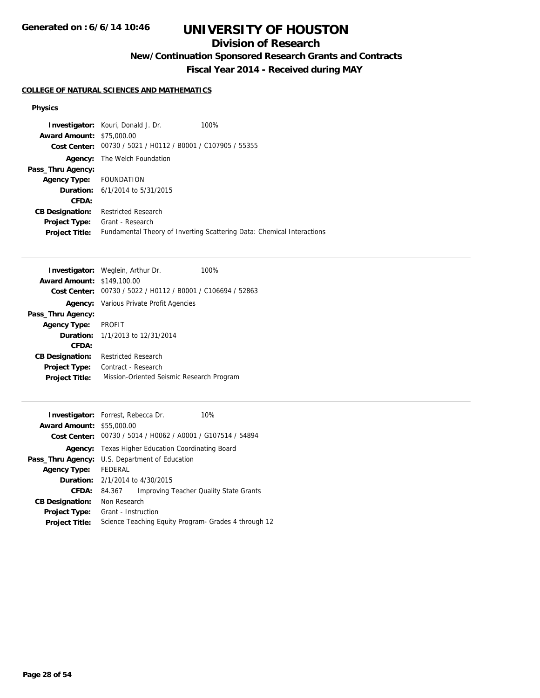## **Division of Research**

**New/Continuation Sponsored Research Grants and Contracts**

**Fiscal Year 2014 - Received during MAY**

#### **COLLEGE OF NATURAL SCIENCES AND MATHEMATICS**

| <b>Award Amount: \$75,000.00</b> | <b>Investigator:</b> Kouri, Donald J. Dr.                   | 100%                                                                   |
|----------------------------------|-------------------------------------------------------------|------------------------------------------------------------------------|
|                                  | Cost Center: 00730 / 5021 / H0112 / B0001 / C107905 / 55355 |                                                                        |
|                                  |                                                             |                                                                        |
|                                  | <b>Agency:</b> The Welch Foundation                         |                                                                        |
| Pass_Thru Agency:                |                                                             |                                                                        |
| Agency Type: FOUNDATION          |                                                             |                                                                        |
|                                  | <b>Duration:</b> $6/1/2014$ to $5/31/2015$                  |                                                                        |
| CFDA:                            |                                                             |                                                                        |
| <b>CB Designation:</b>           | <b>Restricted Research</b>                                  |                                                                        |
| Project Type:                    | Grant - Research                                            |                                                                        |
| <b>Project Title:</b>            |                                                             | Fundamental Theory of Inverting Scattering Data: Chemical Interactions |

| <b>Investigator:</b> Weglein, Arthur Dr.       | 100% |
|------------------------------------------------|------|
| <b>Award Amount: \$149,100.00</b>              |      |
| 00730 / 5022 / H0112 / B0001 / C106694 / 52863 |      |
| <b>Agency:</b> Various Private Profit Agencies |      |
|                                                |      |
| <b>PROFIT</b>                                  |      |
| <b>Duration:</b> 1/1/2013 to 12/31/2014        |      |
|                                                |      |
| <b>Restricted Research</b>                     |      |
| Contract - Research                            |      |
| Mission-Oriented Seismic Research Program      |      |
|                                                |      |

| <b>Investigator:</b> Forrest, Rebecca Dr. |                                                       |                                                             | 10%                                                   |
|-------------------------------------------|-------------------------------------------------------|-------------------------------------------------------------|-------------------------------------------------------|
| <b>Award Amount: \$55,000.00</b>          |                                                       |                                                             |                                                       |
|                                           |                                                       | Cost Center: 00730 / 5014 / H0062 / A0001 / G107514 / 54894 |                                                       |
| Agency:                                   |                                                       | Texas Higher Education Coordinating Board                   |                                                       |
|                                           | <b>Pass_Thru Agency:</b> U.S. Department of Education |                                                             |                                                       |
| <b>Agency Type:</b>                       | FEDERAL                                               |                                                             |                                                       |
|                                           | <b>Duration:</b> 2/1/2014 to 4/30/2015                |                                                             |                                                       |
| CFDA:                                     | 84.367                                                |                                                             | Improving Teacher Quality State Grants                |
| <b>CB Designation:</b>                    | Non Research                                          |                                                             |                                                       |
| <b>Project Type:</b>                      | Grant - Instruction                                   |                                                             |                                                       |
| <b>Project Title:</b>                     |                                                       |                                                             | Science Teaching Equity Program - Grades 4 through 12 |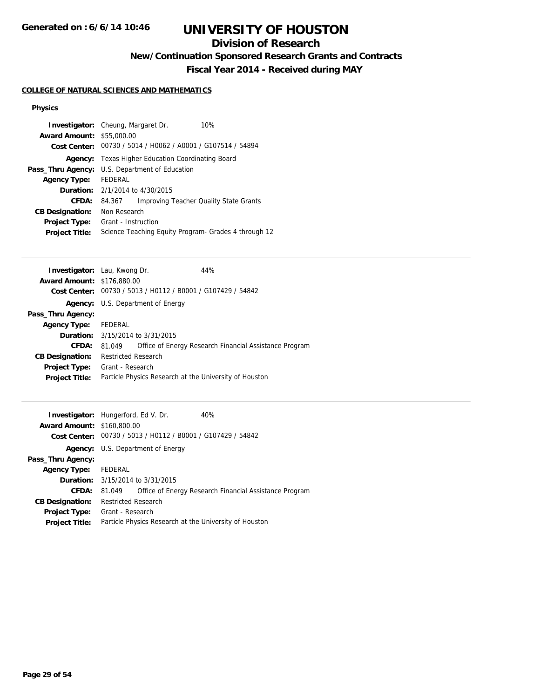## **Division of Research**

**New/Continuation Sponsored Research Grants and Contracts**

**Fiscal Year 2014 - Received during MAY**

#### **COLLEGE OF NATURAL SCIENCES AND MATHEMATICS**

| <b>Investigator:</b> Cheung, Margaret Dr.                   | 10%                                           |  |
|-------------------------------------------------------------|-----------------------------------------------|--|
| <b>Award Amount: \$55,000.00</b>                            |                                               |  |
| Cost Center: 00730 / 5014 / H0062 / A0001 / G107514 / 54894 |                                               |  |
| Texas Higher Education Coordinating Board<br>Agency:        |                                               |  |
| U.S. Department of Education<br>Pass_Thru Agency:           |                                               |  |
| FFDFRAI                                                     |                                               |  |
| <b>Duration:</b> $2/1/2014$ to $4/30/2015$                  |                                               |  |
| 84.367                                                      | <b>Improving Teacher Quality State Grants</b> |  |
| Non Research                                                |                                               |  |
| Grant - Instruction                                         |                                               |  |
| Science Teaching Equity Program - Grades 4 through 12       |                                               |  |
|                                                             |                                               |  |

| <b>Investigator:</b> Lau, Kwong Dr. |                            |                                                             | 44%                                                    |
|-------------------------------------|----------------------------|-------------------------------------------------------------|--------------------------------------------------------|
| <b>Award Amount: \$176,880.00</b>   |                            |                                                             |                                                        |
|                                     |                            | Cost Center: 00730 / 5013 / H0112 / B0001 / G107429 / 54842 |                                                        |
|                                     |                            | <b>Agency:</b> U.S. Department of Energy                    |                                                        |
| Pass_Thru Agency:                   |                            |                                                             |                                                        |
| Agency Type: FEDERAL                |                            |                                                             |                                                        |
|                                     |                            | <b>Duration:</b> 3/15/2014 to 3/31/2015                     |                                                        |
| <b>CFDA:</b>                        | 81.049                     |                                                             | Office of Energy Research Financial Assistance Program |
| <b>CB Designation:</b>              | <b>Restricted Research</b> |                                                             |                                                        |
| Project Type:                       | Grant - Research           |                                                             |                                                        |
| <b>Project Title:</b>               |                            |                                                             | Particle Physics Research at the University of Houston |
|                                     |                            |                                                             |                                                        |

| <b>Investigator:</b> Hungerford, Ed V. Dr.<br><b>Award Amount: \$160,800.00</b> |                            | Cost Center: 00730 / 5013 / H0112 / B0001 / G107429 / 54842 | 40%                                                    |
|---------------------------------------------------------------------------------|----------------------------|-------------------------------------------------------------|--------------------------------------------------------|
|                                                                                 |                            | <b>Agency:</b> U.S. Department of Energy                    |                                                        |
| Pass_Thru Agency:                                                               |                            |                                                             |                                                        |
| <b>Agency Type:</b>                                                             | FEDERAL                    |                                                             |                                                        |
|                                                                                 |                            | <b>Duration:</b> 3/15/2014 to 3/31/2015                     |                                                        |
| CFDA:                                                                           | 81.049                     |                                                             | Office of Energy Research Financial Assistance Program |
| <b>CB Designation:</b>                                                          | <b>Restricted Research</b> |                                                             |                                                        |
| <b>Project Type:</b>                                                            | Grant - Research           |                                                             |                                                        |
| <b>Project Title:</b>                                                           |                            |                                                             | Particle Physics Research at the University of Houston |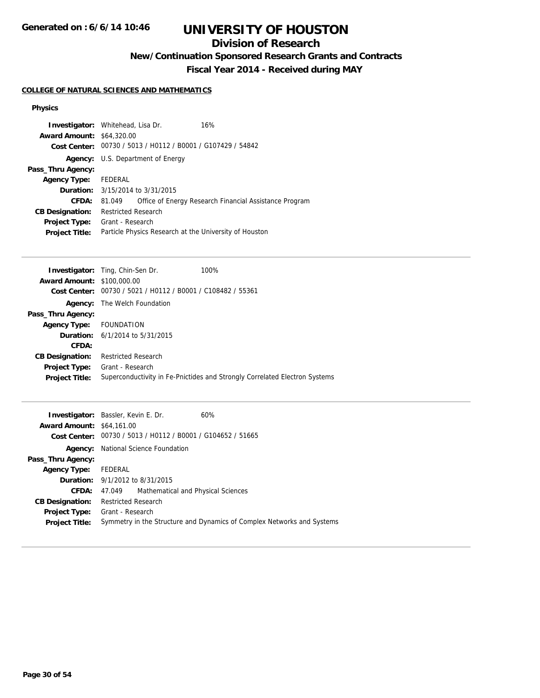**Generated on : 6/6/14 10:46**

# **UNIVERSITY OF HOUSTON**

## **Division of Research**

**New/Continuation Sponsored Research Grants and Contracts**

**Fiscal Year 2014 - Received during MAY**

#### **COLLEGE OF NATURAL SCIENCES AND MATHEMATICS**

| <b>Investigator:</b> Whitehead, Lisa Dr.<br><b>Award Amount: \$64,320.00</b> |                            | Cost Center: 00730 / 5013 / H0112 / B0001 / G107429 / 54842 | 16%                                                    |
|------------------------------------------------------------------------------|----------------------------|-------------------------------------------------------------|--------------------------------------------------------|
|                                                                              |                            | <b>Agency:</b> U.S. Department of Energy                    |                                                        |
| Pass_Thru Agency:                                                            |                            |                                                             |                                                        |
| <b>Agency Type:</b>                                                          | FEDERAL                    |                                                             |                                                        |
|                                                                              |                            | <b>Duration:</b> 3/15/2014 to 3/31/2015                     |                                                        |
| CFDA:                                                                        | 81.049                     |                                                             | Office of Energy Research Financial Assistance Program |
| <b>CB Designation:</b>                                                       | <b>Restricted Research</b> |                                                             |                                                        |
| <b>Project Type:</b>                                                         | Grant - Research           |                                                             |                                                        |
| <b>Project Title:</b>                                                        |                            |                                                             | Particle Physics Research at the University of Houston |

|                                   | <b>Investigator:</b> Ting, Chin-Sen Dr.        | 100%                                                                       |
|-----------------------------------|------------------------------------------------|----------------------------------------------------------------------------|
| <b>Award Amount: \$100,000.00</b> |                                                |                                                                            |
| Cost Center:                      | 00730 / 5021 / H0112 / B0001 / C108482 / 55361 |                                                                            |
| Agency:                           | The Welch Foundation                           |                                                                            |
| Pass_Thru Agency:                 |                                                |                                                                            |
| <b>Agency Type:</b>               | FOUNDATION                                     |                                                                            |
|                                   | <b>Duration:</b> $6/1/2014$ to $5/31/2015$     |                                                                            |
| CFDA:                             |                                                |                                                                            |
| <b>CB Designation:</b>            | <b>Restricted Research</b>                     |                                                                            |
| <b>Project Type:</b>              | Grant - Research                               |                                                                            |
| <b>Project Title:</b>             |                                                | Superconductivity in Fe-Pnictides and Strongly Correlated Electron Systems |
|                                   |                                                |                                                                            |

| <b>Investigator:</b> Bassler, Kevin E. Dr. |                                       |                                                             | 60%                                                                    |
|--------------------------------------------|---------------------------------------|-------------------------------------------------------------|------------------------------------------------------------------------|
| <b>Award Amount: \$64,161.00</b>           |                                       |                                                             |                                                                        |
|                                            |                                       | Cost Center: 00730 / 5013 / H0112 / B0001 / G104652 / 51665 |                                                                        |
| Agency:                                    |                                       | National Science Foundation                                 |                                                                        |
| Pass_Thru Agency:                          |                                       |                                                             |                                                                        |
| <b>Agency Type:</b>                        | FEDERAL                               |                                                             |                                                                        |
|                                            |                                       | <b>Duration:</b> 9/1/2012 to 8/31/2015                      |                                                                        |
| <b>CFDA:</b>                               | 47.049                                | Mathematical and Physical Sciences                          |                                                                        |
| <b>CB Designation:</b>                     | Restricted Research                   |                                                             |                                                                        |
|                                            | <b>Project Type:</b> Grant - Research |                                                             |                                                                        |
| <b>Project Title:</b>                      |                                       |                                                             | Symmetry in the Structure and Dynamics of Complex Networks and Systems |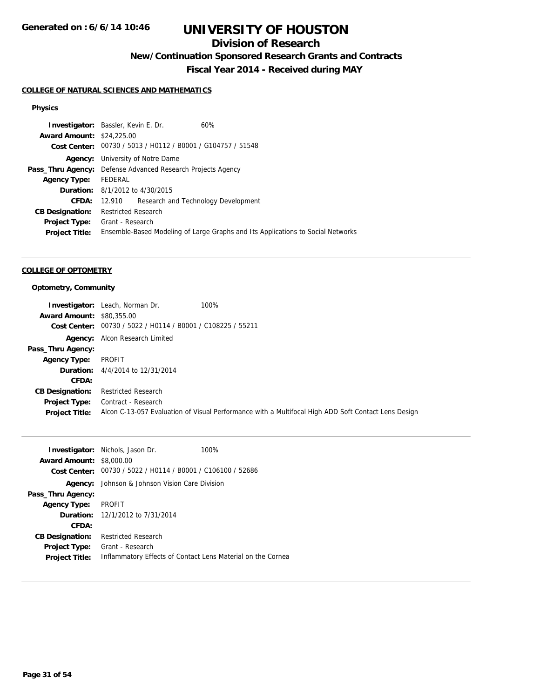## **Division of Research**

**New/Continuation Sponsored Research Grants and Contracts**

**Fiscal Year 2014 - Received during MAY**

#### **COLLEGE OF NATURAL SCIENCES AND MATHEMATICS**

#### **Physics**

|         | 60%                                                                                                                                                                                                                                                                                                                                                                                |
|---------|------------------------------------------------------------------------------------------------------------------------------------------------------------------------------------------------------------------------------------------------------------------------------------------------------------------------------------------------------------------------------------|
|         |                                                                                                                                                                                                                                                                                                                                                                                    |
|         |                                                                                                                                                                                                                                                                                                                                                                                    |
| Agency: |                                                                                                                                                                                                                                                                                                                                                                                    |
|         |                                                                                                                                                                                                                                                                                                                                                                                    |
| FEDERAL |                                                                                                                                                                                                                                                                                                                                                                                    |
|         |                                                                                                                                                                                                                                                                                                                                                                                    |
| 12.910  |                                                                                                                                                                                                                                                                                                                                                                                    |
|         |                                                                                                                                                                                                                                                                                                                                                                                    |
|         |                                                                                                                                                                                                                                                                                                                                                                                    |
|         | Ensemble-Based Modeling of Large Graphs and Its Applications to Social Networks                                                                                                                                                                                                                                                                                                    |
|         | <b>Investigator:</b> Bassler, Kevin E. Dr.<br><b>Award Amount: \$24,225.00</b><br>Cost Center: 00730 / 5013 / H0112 / B0001 / G104757 / 51548<br>University of Notre Dame<br><b>Pass_Thru Agency:</b> Defense Advanced Research Projects Agency<br><b>Duration:</b> 8/1/2012 to 4/30/2015<br>Research and Technology Development<br><b>Restricted Research</b><br>Grant - Research |

#### **COLLEGE OF OPTOMETRY**

#### **Optometry, Community**

|                                  | <b>Investigator:</b> Leach, Norman Dr.                      | 100%                                                                                                |
|----------------------------------|-------------------------------------------------------------|-----------------------------------------------------------------------------------------------------|
| <b>Award Amount: \$80,355,00</b> |                                                             |                                                                                                     |
|                                  | Cost Center: 00730 / 5022 / H0114 / B0001 / C108225 / 55211 |                                                                                                     |
|                                  | <b>Agency:</b> Alcon Research Limited                       |                                                                                                     |
| Pass_Thru Agency:                |                                                             |                                                                                                     |
| <b>Agency Type:</b>              | PROFIT                                                      |                                                                                                     |
|                                  | <b>Duration:</b> 4/4/2014 to 12/31/2014                     |                                                                                                     |
| CFDA:                            |                                                             |                                                                                                     |
| <b>CB Designation:</b>           | <b>Restricted Research</b>                                  |                                                                                                     |
| <b>Project Type:</b>             | Contract - Research                                         |                                                                                                     |
| <b>Project Title:</b>            |                                                             | Alcon C-13-057 Evaluation of Visual Performance with a Multifocal High ADD Soft Contact Lens Design |

|                                 | <b>Investigator:</b> Nichols, Jason Dr.                     | 100% |
|---------------------------------|-------------------------------------------------------------|------|
| <b>Award Amount: \$8,000.00</b> |                                                             |      |
| <b>Cost Center:</b>             | 00730 / 5022 / H0114 / B0001 / C106100 / 52686              |      |
|                                 | <b>Agency:</b> Johnson & Johnson Vision Care Division       |      |
| Pass_Thru Agency:               |                                                             |      |
| <b>Agency Type:</b>             | PROFIT                                                      |      |
|                                 | <b>Duration:</b> 12/1/2012 to 7/31/2014                     |      |
| <b>CFDA:</b>                    |                                                             |      |
| <b>CB Designation:</b>          | <b>Restricted Research</b>                                  |      |
| <b>Project Type:</b>            | Grant - Research                                            |      |
| <b>Project Title:</b>           | Inflammatory Effects of Contact Lens Material on the Cornea |      |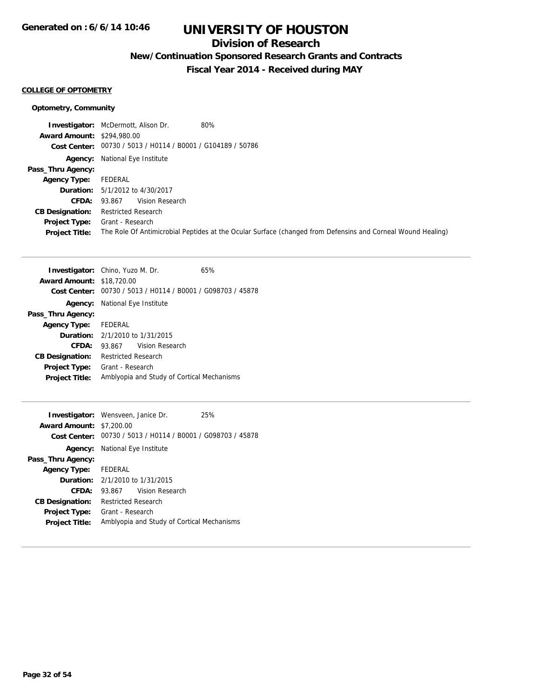## **Division of Research**

**New/Continuation Sponsored Research Grants and Contracts**

**Fiscal Year 2014 - Received during MAY**

#### **COLLEGE OF OPTOMETRY**

#### **Optometry, Community**

|                                   | <b>Investigator:</b> McDermott, Alison Dr.<br>80%                                                           |
|-----------------------------------|-------------------------------------------------------------------------------------------------------------|
| <b>Award Amount: \$294,980.00</b> |                                                                                                             |
|                                   | Cost Center: 00730 / 5013 / H0114 / B0001 / G104189 / 50786                                                 |
|                                   | <b>Agency:</b> National Eye Institute                                                                       |
| Pass_Thru Agency:                 |                                                                                                             |
| Agency Type:                      | FEDERAL                                                                                                     |
|                                   | <b>Duration:</b> 5/1/2012 to 4/30/2017                                                                      |
| <b>CFDA:</b>                      | Vision Research<br>93.867                                                                                   |
| <b>CB Designation:</b>            | <b>Restricted Research</b>                                                                                  |
| <b>Project Type:</b>              | Grant - Research                                                                                            |
| <b>Project Title:</b>             | The Role Of Antimicrobial Peptides at the Ocular Surface (changed from Defensins and Corneal Wound Healing) |

|                                  | <b>Investigator:</b> Chino, Yuzo M. Dr.                     | 65% |
|----------------------------------|-------------------------------------------------------------|-----|
| <b>Award Amount: \$18,720.00</b> |                                                             |     |
|                                  | Cost Center: 00730 / 5013 / H0114 / B0001 / G098703 / 45878 |     |
|                                  | <b>Agency:</b> National Eye Institute                       |     |
| Pass_Thru Agency:                |                                                             |     |
| Agency Type: FEDERAL             |                                                             |     |
|                                  | <b>Duration:</b> $2/1/2010$ to $1/31/2015$                  |     |
| CFDA:                            | 93.867 Vision Research                                      |     |
| <b>CB Designation:</b>           | <b>Restricted Research</b>                                  |     |
| <b>Project Type:</b>             | Grant - Research                                            |     |
| <b>Project Title:</b>            | Amblyopia and Study of Cortical Mechanisms                  |     |
|                                  |                                                             |     |

|                                 | <b>Investigator:</b> Wensveen, Janice Dr.                   | 25% |  |
|---------------------------------|-------------------------------------------------------------|-----|--|
| <b>Award Amount: \$7,200.00</b> |                                                             |     |  |
|                                 | Cost Center: 00730 / 5013 / H0114 / B0001 / G098703 / 45878 |     |  |
|                                 | <b>Agency:</b> National Eye Institute                       |     |  |
| Pass_Thru Agency:               |                                                             |     |  |
| Agency Type: FEDERAL            |                                                             |     |  |
|                                 | <b>Duration:</b> 2/1/2010 to 1/31/2015                      |     |  |
| CFDA:                           | 93.867 Vision Research                                      |     |  |
| <b>CB Designation:</b>          | <b>Restricted Research</b>                                  |     |  |
| <b>Project Type:</b>            | Grant - Research                                            |     |  |
| <b>Project Title:</b>           | Amblyopia and Study of Cortical Mechanisms                  |     |  |
|                                 |                                                             |     |  |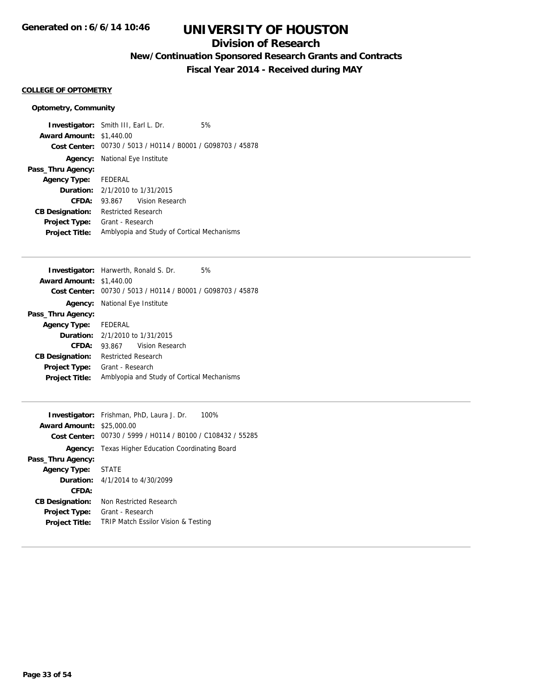## **Division of Research**

**New/Continuation Sponsored Research Grants and Contracts**

**Fiscal Year 2014 - Received during MAY**

#### **COLLEGE OF OPTOMETRY**

#### **Optometry, Community**

**Investigator:** Smith III, Earl L. Dr. 5% **Award Amount:** \$1,440.00 **Cost Center:** 00730 / 5013 / H0114 / B0001 / G098703 / 45878 **Agency:** National Eye Institute **Pass\_Thru Agency: Agency Type:** FEDERAL **Duration:** 2/1/2010 to 1/31/2015 **CFDA:** 93.867 Vision Research **CB Designation:** Restricted Research **Project Type:** Grant - Research **Project Title:** Amblyopia and Study of Cortical Mechanisms

|                                 | <b>Investigator:</b> Harwerth, Ronald S. Dr.                | 5% |  |
|---------------------------------|-------------------------------------------------------------|----|--|
| <b>Award Amount: \$1,440.00</b> |                                                             |    |  |
|                                 | Cost Center: 00730 / 5013 / H0114 / B0001 / G098703 / 45878 |    |  |
|                                 | <b>Agency:</b> National Eye Institute                       |    |  |
| Pass_Thru Agency:               |                                                             |    |  |
| Agency Type: FEDERAL            |                                                             |    |  |
|                                 | <b>Duration:</b> $2/1/2010$ to $1/31/2015$                  |    |  |
| CFDA:                           | 93.867 Vision Research                                      |    |  |
| <b>CB Designation:</b>          | <b>Restricted Research</b>                                  |    |  |
| <b>Project Type:</b>            | Grant - Research                                            |    |  |
| <b>Project Title:</b>           | Amblyopia and Study of Cortical Mechanisms                  |    |  |

|                                  | <b>Investigator:</b> Frishman, PhD, Laura J. Dr.<br>100%    |  |  |
|----------------------------------|-------------------------------------------------------------|--|--|
| <b>Award Amount: \$25,000.00</b> |                                                             |  |  |
|                                  | Cost Center: 00730 / 5999 / H0114 / B0100 / C108432 / 55285 |  |  |
|                                  | <b>Agency:</b> Texas Higher Education Coordinating Board    |  |  |
| Pass_Thru Agency:                |                                                             |  |  |
| <b>Agency Type: STATE</b>        |                                                             |  |  |
|                                  | <b>Duration:</b> $4/1/2014$ to $4/30/2099$                  |  |  |
| CFDA:                            |                                                             |  |  |
| <b>CB Designation:</b>           | Non Restricted Research                                     |  |  |
| <b>Project Type:</b>             | Grant - Research                                            |  |  |
| <b>Project Title:</b>            | TRIP Match Essilor Vision & Testing                         |  |  |
|                                  |                                                             |  |  |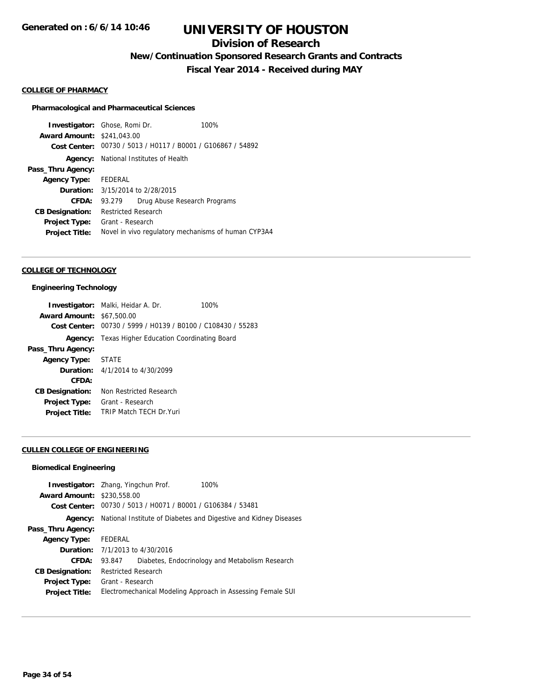## **Division of Research**

**New/Continuation Sponsored Research Grants and Contracts**

**Fiscal Year 2014 - Received during MAY**

#### **COLLEGE OF PHARMACY**

#### **Pharmacological and Pharmaceutical Sciences**

**Investigator:** Ghose, Romi Dr. 100% **Award Amount:** \$241,043.00 **Cost Center:** 00730 / 5013 / H0117 / B0001 / G106867 / 54892 **Agency:** National Institutes of Health **Pass\_Thru Agency: Agency Type:** FEDERAL **Duration:** 3/15/2014 to 2/28/2015 **CFDA:** 93.279 Drug Abuse Research Programs **CB Designation:** Restricted Research **Project Type:** Grant - Research **Project Title:** Novel in vivo regulatory mechanisms of human CYP3A4

#### **COLLEGE OF TECHNOLOGY**

#### **Engineering Technology**

|                                                             | 100%                                                                                                                                              |
|-------------------------------------------------------------|---------------------------------------------------------------------------------------------------------------------------------------------------|
|                                                             |                                                                                                                                                   |
| Cost Center: 00730 / 5999 / H0139 / B0100 / C108430 / 55283 |                                                                                                                                                   |
| Texas Higher Education Coordinating Board                   |                                                                                                                                                   |
|                                                             |                                                                                                                                                   |
|                                                             |                                                                                                                                                   |
|                                                             |                                                                                                                                                   |
|                                                             |                                                                                                                                                   |
| Non Restricted Research                                     |                                                                                                                                                   |
| Grant - Research                                            |                                                                                                                                                   |
| <b>TRIP Match TFCH Dr Yuri</b>                              |                                                                                                                                                   |
|                                                             | <b>Investigator:</b> Malki, Heidar A. Dr.<br><b>Award Amount: \$67,500.00</b><br>Agency Type: STATE<br><b>Duration:</b> $4/1/2014$ to $4/30/2099$ |

#### **CULLEN COLLEGE OF ENGINEERING**

### **Biomedical Engineering**

| <b>Award Amount: \$230,558,00</b> | <b>Investigator:</b> Zhang, Yingchun Prof.<br>Cost Center: 00730 / 5013 / H0071 / B0001 / G106384 / 53481 | 100%                                                             |
|-----------------------------------|-----------------------------------------------------------------------------------------------------------|------------------------------------------------------------------|
| Agency:                           |                                                                                                           | National Institute of Diabetes and Digestive and Kidney Diseases |
| Pass_Thru Agency:                 |                                                                                                           |                                                                  |
| <b>Agency Type:</b>               | FEDERAL                                                                                                   |                                                                  |
|                                   | <b>Duration:</b> 7/1/2013 to 4/30/2016                                                                    |                                                                  |
| CFDA:                             | 93.847                                                                                                    | Diabetes, Endocrinology and Metabolism Research                  |
| <b>CB Designation:</b>            | <b>Restricted Research</b>                                                                                |                                                                  |
| <b>Project Type:</b>              | Grant - Research                                                                                          |                                                                  |
| <b>Project Title:</b>             |                                                                                                           | Electromechanical Modeling Approach in Assessing Female SUI      |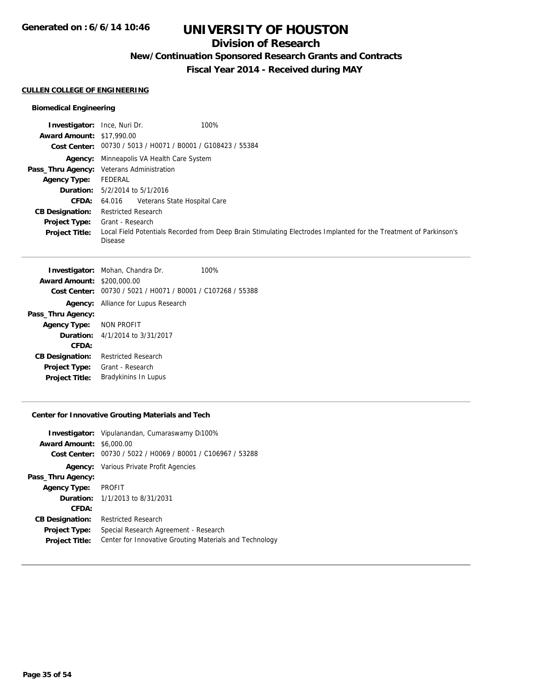## **Division of Research**

**New/Continuation Sponsored Research Grants and Contracts**

**Fiscal Year 2014 - Received during MAY**

#### **CULLEN COLLEGE OF ENGINEERING**

#### **Biomedical Engineering**

| <b>Investigator:</b> Ince, Nuri Dr. | 100%                                                                                                                                |
|-------------------------------------|-------------------------------------------------------------------------------------------------------------------------------------|
| <b>Award Amount: \$17,990.00</b>    |                                                                                                                                     |
|                                     | Cost Center: 00730 / 5013 / H0071 / B0001 / G108423 / 55384                                                                         |
|                                     | <b>Agency:</b> Minneapolis VA Health Care System                                                                                    |
|                                     | Pass_Thru Agency: Veterans Administration                                                                                           |
| <b>Agency Type:</b>                 | FEDERAL                                                                                                                             |
|                                     | <b>Duration:</b> $5/2/2014$ to $5/1/2016$                                                                                           |
| CFDA:                               | 64.016 Veterans State Hospital Care                                                                                                 |
| <b>CB Designation:</b>              | <b>Restricted Research</b>                                                                                                          |
| <b>Project Type:</b>                | Grant - Research                                                                                                                    |
| <b>Project Title:</b>               | Local Field Potentials Recorded from Deep Brain Stimulating Electrodes Implanted for the Treatment of Parkinson's<br><b>Disease</b> |

|                         | <b>Investigator:</b> Mohan, Chandra Dr.        | 100% |
|-------------------------|------------------------------------------------|------|
| <b>Award Amount:</b>    | \$200,000.00                                   |      |
| Cost Center:            | 00730 / 5021 / H0071 / B0001 / C107268 / 55388 |      |
|                         | <b>Agency:</b> Alliance for Lupus Research     |      |
| Pass_Thru Agency:       |                                                |      |
| Agency Type: NON PROFIT |                                                |      |
|                         | <b>Duration:</b> $4/1/2014$ to $3/31/2017$     |      |
| CFDA:                   |                                                |      |
| <b>CB Designation:</b>  | <b>Restricted Research</b>                     |      |
| Project Type:           | Grant - Research                               |      |
| <b>Project Title:</b>   | Bradykinins In Lupus                           |      |

#### **Center for Innovative Grouting Materials and Tech**

|                        | <b>Investigator:</b> Vipulanandan, Cumaraswamy Di100%   |  |
|------------------------|---------------------------------------------------------|--|
| <b>Award Amount:</b>   | \$6,000.00                                              |  |
| Cost Center:           | 00730 / 5022 / H0069 / B0001 / C106967 / 53288          |  |
|                        | <b>Agency:</b> Various Private Profit Agencies          |  |
| Pass_Thru Agency:      |                                                         |  |
| <b>Agency Type:</b>    | <b>PROFIT</b>                                           |  |
|                        | <b>Duration:</b> 1/1/2013 to 8/31/2031                  |  |
| CFDA:                  |                                                         |  |
| <b>CB Designation:</b> | <b>Restricted Research</b>                              |  |
| <b>Project Type:</b>   | Special Research Agreement - Research                   |  |
| <b>Project Title:</b>  | Center for Innovative Grouting Materials and Technology |  |
|                        |                                                         |  |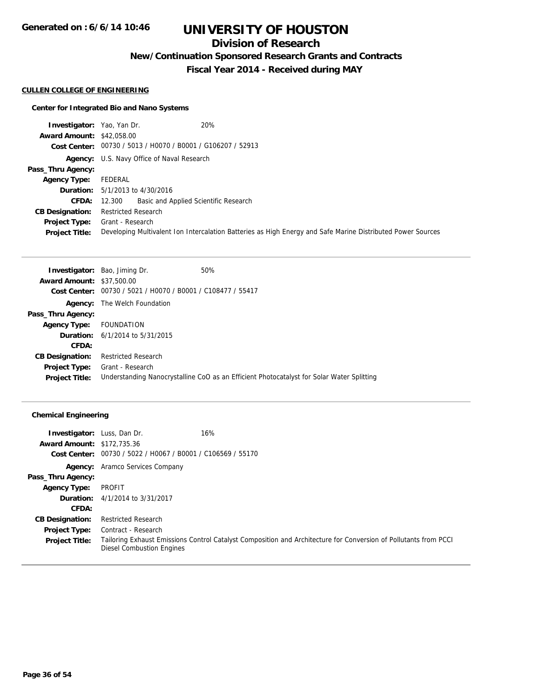## **Division of Research**

**New/Continuation Sponsored Research Grants and Contracts**

**Fiscal Year 2014 - Received during MAY**

#### **CULLEN COLLEGE OF ENGINEERING**

#### **Center for Integrated Bio and Nano Systems**

| <b>Investigator:</b> Yao, Yan Dr. | 20%                                                                                                         |  |
|-----------------------------------|-------------------------------------------------------------------------------------------------------------|--|
| <b>Award Amount: \$42,058.00</b>  |                                                                                                             |  |
|                                   | Cost Center: 00730 / 5013 / H0070 / B0001 / G106207 / 52913                                                 |  |
|                                   | <b>Agency:</b> U.S. Navy Office of Naval Research                                                           |  |
| Pass_Thru Agency:                 |                                                                                                             |  |
| Agency Type:                      | FEDERAL                                                                                                     |  |
|                                   | <b>Duration:</b> 5/1/2013 to 4/30/2016                                                                      |  |
| CFDA:                             | 12.300 Basic and Applied Scientific Research                                                                |  |
| <b>CB Designation:</b>            | <b>Restricted Research</b>                                                                                  |  |
|                                   | <b>Project Type:</b> Grant - Research                                                                       |  |
| <b>Project Title:</b>             | Developing Multivalent Ion Intercalation Batteries as High Energy and Safe Marine Distributed Power Sources |  |

|                                  | <b>Investigator:</b> Bao, Jiming Dr.           | 50%                                                                                       |
|----------------------------------|------------------------------------------------|-------------------------------------------------------------------------------------------|
| <b>Award Amount: \$37,500.00</b> |                                                |                                                                                           |
| Cost Center:                     | 00730 / 5021 / H0070 / B0001 / C108477 / 55417 |                                                                                           |
| Agency:                          | The Welch Foundation                           |                                                                                           |
| Pass_Thru Agency:                |                                                |                                                                                           |
| <b>Agency Type:</b>              | FOUNDATION                                     |                                                                                           |
|                                  | <b>Duration:</b> $6/1/2014$ to $5/31/2015$     |                                                                                           |
| CFDA:                            |                                                |                                                                                           |
| <b>CB Designation:</b>           | <b>Restricted Research</b>                     |                                                                                           |
| <b>Project Type:</b>             | Grant - Research                               |                                                                                           |
| <b>Project Title:</b>            |                                                | Understanding Nanocrystalline CoO as an Efficient Photocatalyst for Solar Water Splitting |

### **Chemical Engineering**

| <b>Investigator:</b> Luss, Dan Dr. |                                                | 16%                                                                                                              |
|------------------------------------|------------------------------------------------|------------------------------------------------------------------------------------------------------------------|
| <b>Award Amount: \$172,735.36</b>  |                                                |                                                                                                                  |
| Cost Center:                       | 00730 / 5022 / H0067 / B0001 / C106569 / 55170 |                                                                                                                  |
|                                    | <b>Agency:</b> Aramco Services Company         |                                                                                                                  |
| Pass_Thru Agency:                  |                                                |                                                                                                                  |
| <b>Agency Type:</b>                | PROFIT                                         |                                                                                                                  |
|                                    | <b>Duration:</b> 4/1/2014 to 3/31/2017         |                                                                                                                  |
| CFDA:                              |                                                |                                                                                                                  |
| <b>CB Designation:</b>             | <b>Restricted Research</b>                     |                                                                                                                  |
| <b>Project Type:</b>               | Contract - Research                            |                                                                                                                  |
| <b>Project Title:</b>              | Diesel Combustion Engines                      | Tailoring Exhaust Emissions Control Catalyst Composition and Architecture for Conversion of Pollutants from PCCI |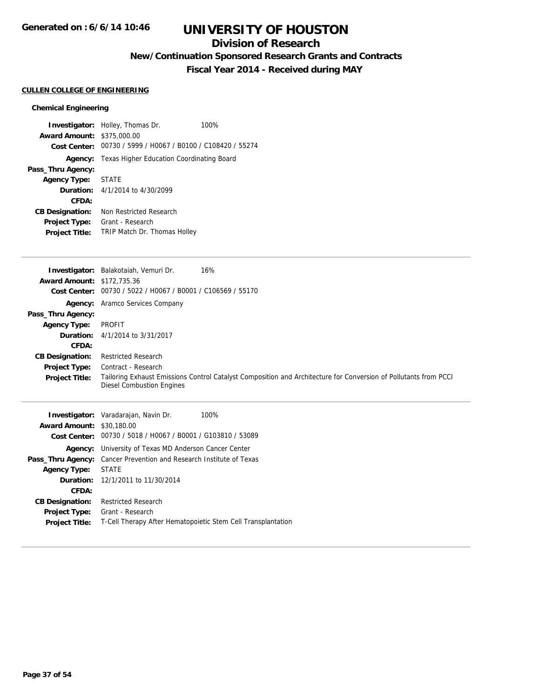## **Division of Research**

**New/Continuation Sponsored Research Grants and Contracts**

**Fiscal Year 2014 - Received during MAY**

#### **CULLEN COLLEGE OF ENGINEERING**

#### **Chemical Engineering**

|                                   | <b>Investigator:</b> Holley, Thomas Dr.                     | 100% |
|-----------------------------------|-------------------------------------------------------------|------|
| <b>Award Amount: \$375,000.00</b> |                                                             |      |
|                                   | Cost Center: 00730 / 5999 / H0067 / B0100 / C108420 / 55274 |      |
|                                   | <b>Agency:</b> Texas Higher Education Coordinating Board    |      |
| Pass_Thru Agency:                 |                                                             |      |
| <b>Agency Type: STATE</b>         |                                                             |      |
|                                   | <b>Duration:</b> 4/1/2014 to 4/30/2099                      |      |
| CFDA:                             |                                                             |      |
| <b>CB Designation:</b>            | Non Restricted Research                                     |      |
| Project Type:                     | Grant - Research                                            |      |
| <b>Project Title:</b>             | <b>TRIP Match Dr. Thomas Holley</b>                         |      |

|                                   | Investigator: Balakotaiah, Vemuri Dr.<br>16%                                                                                                         |
|-----------------------------------|------------------------------------------------------------------------------------------------------------------------------------------------------|
| <b>Award Amount: \$172,735.36</b> |                                                                                                                                                      |
|                                   | Cost Center: 00730 / 5022 / H0067 / B0001 / C106569 / 55170                                                                                          |
|                                   | <b>Agency:</b> Aramco Services Company                                                                                                               |
| Pass_Thru Agency:                 |                                                                                                                                                      |
| <b>Agency Type:</b>               | PROFIT                                                                                                                                               |
|                                   | <b>Duration:</b> 4/1/2014 to 3/31/2017                                                                                                               |
| CFDA:                             |                                                                                                                                                      |
| <b>CB Designation:</b>            | <b>Restricted Research</b>                                                                                                                           |
| <b>Project Type:</b>              | Contract - Research                                                                                                                                  |
| <b>Project Title:</b>             | Tailoring Exhaust Emissions Control Catalyst Composition and Architecture for Conversion of Pollutants from PCCI<br><b>Diesel Combustion Engines</b> |
|                                   |                                                                                                                                                      |

|                        | <b>Investigator:</b> Varadarajan, Navin Dr.<br>100%          |
|------------------------|--------------------------------------------------------------|
| <b>Award Amount:</b>   | \$30,180.00                                                  |
|                        | Cost Center: 00730 / 5018 / H0067 / B0001 / G103810 / 53089  |
| Agency:                | University of Texas MD Anderson Cancer Center                |
| Pass_Thru Agency:      | Cancer Prevention and Research Institute of Texas            |
| <b>Agency Type:</b>    | <b>STATE</b>                                                 |
|                        | <b>Duration:</b> 12/1/2011 to 11/30/2014                     |
| <b>CFDA:</b>           |                                                              |
| <b>CB Designation:</b> | <b>Restricted Research</b>                                   |
| <b>Project Type:</b>   | Grant - Research                                             |
| <b>Project Title:</b>  | T-Cell Therapy After Hematopoietic Stem Cell Transplantation |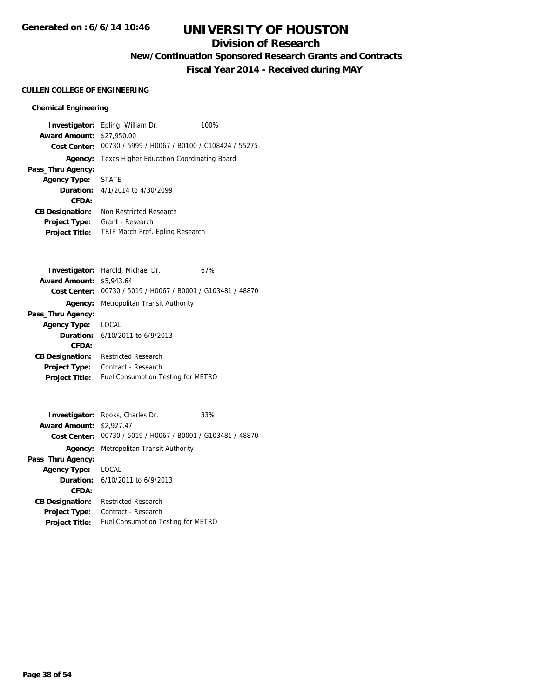## **Division of Research**

**New/Continuation Sponsored Research Grants and Contracts**

**Fiscal Year 2014 - Received during MAY**

#### **CULLEN COLLEGE OF ENGINEERING**

#### **Chemical Engineering**

**Investigator:** Epling, William Dr. 100% **Award Amount:** \$27,950.00 **Cost Center:** 00730 / 5999 / H0067 / B0100 / C108424 / 55275 **Agency:** Texas Higher Education Coordinating Board **Pass\_Thru Agency: Agency Type:** STATE **Duration:** 4/1/2014 to 4/30/2099 **CFDA: CB Designation:** Non Restricted Research **Project Type:** Grant - Research **Project Title:** TRIP Match Prof. Epling Research

|                                 | <b>Investigator:</b> Harold, Michael Dr.                    | 67% |
|---------------------------------|-------------------------------------------------------------|-----|
| <b>Award Amount: \$5,943.64</b> |                                                             |     |
|                                 | Cost Center: 00730 / 5019 / H0067 / B0001 / G103481 / 48870 |     |
|                                 | <b>Agency:</b> Metropolitan Transit Authority               |     |
| Pass_Thru Agency:               |                                                             |     |
| <b>Agency Type:</b>             | LOCAL                                                       |     |
|                                 | <b>Duration:</b> $6/10/2011$ to $6/9/2013$                  |     |
| CFDA:                           |                                                             |     |
| <b>CB Designation:</b>          | <b>Restricted Research</b>                                  |     |
| <b>Project Type:</b>            | Contract - Research                                         |     |
| <b>Project Title:</b>           | Fuel Consumption Testing for METRO                          |     |

|                                 | <b>Investigator:</b> Rooks, Charles Dr.                     | 33% |
|---------------------------------|-------------------------------------------------------------|-----|
| <b>Award Amount: \$2,927.47</b> |                                                             |     |
|                                 | Cost Center: 00730 / 5019 / H0067 / B0001 / G103481 / 48870 |     |
| Agency:                         | Metropolitan Transit Authority                              |     |
| Pass_Thru Agency:               |                                                             |     |
| <b>Agency Type:</b>             | LOCAL                                                       |     |
|                                 | <b>Duration:</b> $6/10/2011$ to $6/9/2013$                  |     |
| CFDA:                           |                                                             |     |
| <b>CB Designation:</b>          | Restricted Research                                         |     |
| <b>Project Type:</b>            | Contract - Research                                         |     |
| <b>Project Title:</b>           | Fuel Consumption Testing for METRO                          |     |
|                                 |                                                             |     |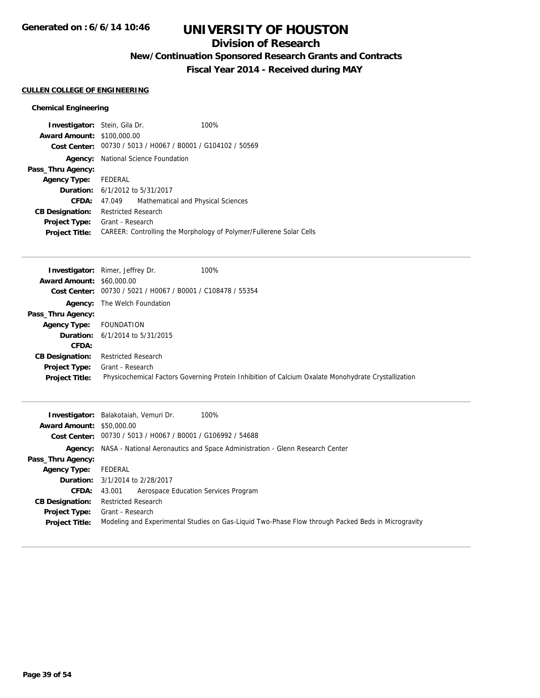## **Division of Research**

**New/Continuation Sponsored Research Grants and Contracts**

**Fiscal Year 2014 - Received during MAY**

#### **CULLEN COLLEGE OF ENGINEERING**

#### **Chemical Engineering**

| <b>Investigator:</b> Stein, Gila Dr.   |                            |                                                             | 100%                                                                |
|----------------------------------------|----------------------------|-------------------------------------------------------------|---------------------------------------------------------------------|
| <b>Award Amount: \$100,000.00</b>      |                            |                                                             |                                                                     |
|                                        |                            | Cost Center: 00730 / 5013 / H0067 / B0001 / G104102 / 50569 |                                                                     |
|                                        |                            | <b>Agency:</b> National Science Foundation                  |                                                                     |
| Pass_Thru Agency:                      |                            |                                                             |                                                                     |
| Agency Type: FEDERAL                   |                            |                                                             |                                                                     |
| <b>Duration:</b> 6/1/2012 to 5/31/2017 |                            |                                                             |                                                                     |
| CFDA:                                  | 47.049                     | Mathematical and Physical Sciences                          |                                                                     |
| <b>CB Designation:</b>                 | <b>Restricted Research</b> |                                                             |                                                                     |
| <b>Project Type:</b>                   | Grant - Research           |                                                             |                                                                     |
| <b>Project Title:</b>                  |                            |                                                             | CAREER: Controlling the Morphology of Polymer/Fullerene Solar Cells |
|                                        |                            |                                                             |                                                                     |

|                                  | <b>Investigator:</b> Rimer, Jeffrey Dr.<br>100%                                                     |
|----------------------------------|-----------------------------------------------------------------------------------------------------|
| <b>Award Amount: \$60,000.00</b> |                                                                                                     |
| Cost Center:                     | 00730 / 5021 / H0067 / B0001 / C108478 / 55354                                                      |
|                                  | <b>Agency:</b> The Welch Foundation                                                                 |
| Pass_Thru Agency:                |                                                                                                     |
| <b>Agency Type:</b>              | FOUNDATION                                                                                          |
|                                  | <b>Duration:</b> $6/1/2014$ to $5/31/2015$                                                          |
| CFDA:                            |                                                                                                     |
| <b>CB Designation:</b>           | <b>Restricted Research</b>                                                                          |
| <b>Project Type:</b>             | Grant - Research                                                                                    |
| <b>Project Title:</b>            | Physicochemical Factors Governing Protein Inhibition of Calcium Oxalate Monohydrate Crystallization |

|                                  | 100%<br><b>Investigator:</b> Balakotaiah, Vemuri Dr.                                               |
|----------------------------------|----------------------------------------------------------------------------------------------------|
| <b>Award Amount: \$50,000.00</b> |                                                                                                    |
|                                  | Cost Center: 00730 / 5013 / H0067 / B0001 / G106992 / 54688                                        |
|                                  | <b>Agency:</b> NASA - National Aeronautics and Space Administration - Glenn Research Center        |
| Pass_Thru Agency:                |                                                                                                    |
| <b>Agency Type:</b>              | FEDERAL                                                                                            |
|                                  | <b>Duration:</b> 3/1/2014 to 2/28/2017                                                             |
| <b>CFDA:</b>                     | 43.001 Aerospace Education Services Program                                                        |
| <b>CB Designation:</b>           | <b>Restricted Research</b>                                                                         |
| <b>Project Type:</b>             | Grant - Research                                                                                   |
| <b>Project Title:</b>            | Modeling and Experimental Studies on Gas-Liquid Two-Phase Flow through Packed Beds in Microgravity |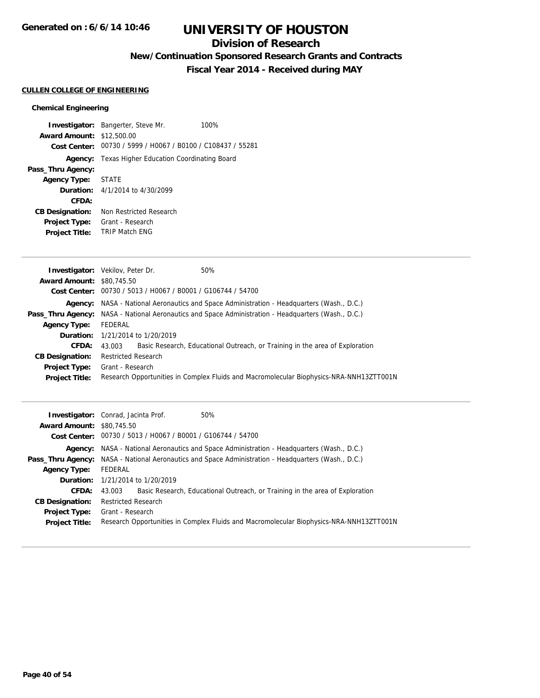## **Division of Research**

**New/Continuation Sponsored Research Grants and Contracts**

**Fiscal Year 2014 - Received during MAY**

#### **CULLEN COLLEGE OF ENGINEERING**

#### **Chemical Engineering**

|                                  | <b>Investigator:</b> Bangerter, Steve Mr.                   | 100% |
|----------------------------------|-------------------------------------------------------------|------|
| <b>Award Amount: \$12,500.00</b> |                                                             |      |
|                                  | Cost Center: 00730 / 5999 / H0067 / B0100 / C108437 / 55281 |      |
| Agency:                          | Texas Higher Education Coordinating Board                   |      |
| Pass_Thru Agency:                |                                                             |      |
| <b>Agency Type: STATE</b>        |                                                             |      |
|                                  | <b>Duration:</b> $4/1/2014$ to $4/30/2099$                  |      |
| CFDA:                            |                                                             |      |
| <b>CB Designation:</b>           | Non Restricted Research                                     |      |
| <b>Project Type:</b>             | Grant - Research                                            |      |
| <b>Project Title:</b>            | <b>TRIP Match FNG</b>                                       |      |

|                                  | <b>Investigator:</b> Vekilov, Peter Dr.                     | 50%                                                                                              |
|----------------------------------|-------------------------------------------------------------|--------------------------------------------------------------------------------------------------|
| <b>Award Amount: \$80,745.50</b> |                                                             |                                                                                                  |
|                                  | Cost Center: 00730 / 5013 / H0067 / B0001 / G106744 / 54700 |                                                                                                  |
|                                  |                                                             | <b>Agency:</b> NASA - National Aeronautics and Space Administration - Headquarters (Wash., D.C.) |
| Pass_Thru Agency:                |                                                             | NASA - National Aeronautics and Space Administration - Headquarters (Wash., D.C.)                |
| <b>Agency Type:</b>              | FEDERAL                                                     |                                                                                                  |
|                                  | <b>Duration:</b> 1/21/2014 to 1/20/2019                     |                                                                                                  |
| CFDA:                            | 43.003                                                      | Basic Research, Educational Outreach, or Training in the area of Exploration                     |
| <b>CB Designation:</b>           | <b>Restricted Research</b>                                  |                                                                                                  |
| Project Type:                    | Grant - Research                                            |                                                                                                  |
| <b>Project Title:</b>            |                                                             | Research Opportunities in Complex Fluids and Macromolecular Biophysics-NRA-NNH13ZTT001N          |

|                                  | <b>Investigator:</b> Conrad, Jacinta Prof.<br>50%                                                   |
|----------------------------------|-----------------------------------------------------------------------------------------------------|
| <b>Award Amount: \$80,745.50</b> |                                                                                                     |
|                                  | Cost Center: 00730 / 5013 / H0067 / B0001 / G106744 / 54700                                         |
|                                  | <b>Agency:</b> NASA - National Aeronautics and Space Administration - Headquarters (Wash., D.C.)    |
|                                  | Pass_Thru Agency: NASA - National Aeronautics and Space Administration - Headquarters (Wash., D.C.) |
| <b>Agency Type:</b>              | FEDERAL                                                                                             |
|                                  | <b>Duration:</b> 1/21/2014 to 1/20/2019                                                             |
| <b>CFDA:</b>                     | Basic Research, Educational Outreach, or Training in the area of Exploration<br>43.003              |
| <b>CB Designation:</b>           | <b>Restricted Research</b>                                                                          |
| <b>Project Type:</b>             | Grant - Research                                                                                    |
| <b>Project Title:</b>            | Research Opportunities in Complex Fluids and Macromolecular Biophysics-NRA-NNH13ZTT001N             |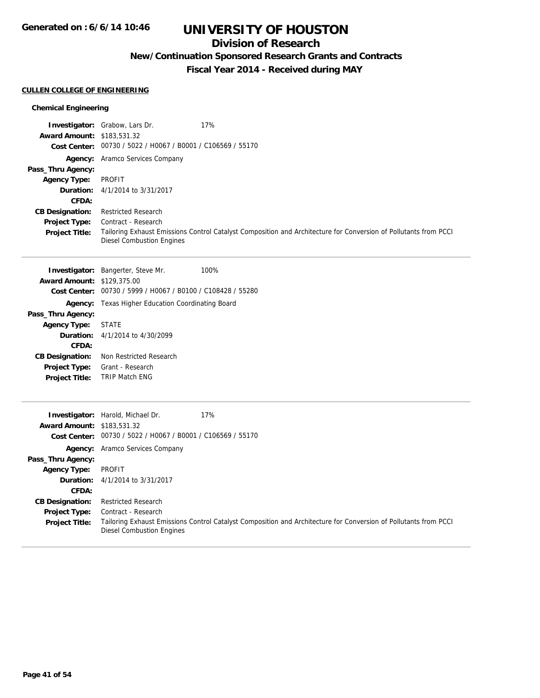**Generated on : 6/6/14 10:46**

## **UNIVERSITY OF HOUSTON**

## **Division of Research**

**New/Continuation Sponsored Research Grants and Contracts**

**Fiscal Year 2014 - Received during MAY**

## **CULLEN COLLEGE OF ENGINEERING**

#### **Chemical Engineering**

| Award Amount: \$183,531.32                | <b>Investigator:</b> Grabow, Lars Dr.<br>Cost Center: 00730 / 5022 / H0067 / B0001 / C106569 / 55170             | 17%                                                                                                              |  |
|-------------------------------------------|------------------------------------------------------------------------------------------------------------------|------------------------------------------------------------------------------------------------------------------|--|
| Pass_Thru Agency:                         | Agency: Aramco Services Company<br><b>PROFIT</b>                                                                 |                                                                                                                  |  |
| <b>Agency Type:</b><br>Duration:<br>CFDA: | 4/1/2014 to 3/31/2017                                                                                            |                                                                                                                  |  |
| <b>CB Designation:</b>                    | <b>Restricted Research</b>                                                                                       |                                                                                                                  |  |
| <b>Project Type:</b>                      | Contract - Research                                                                                              |                                                                                                                  |  |
| <b>Project Title:</b>                     | <b>Diesel Combustion Engines</b>                                                                                 | Tailoring Exhaust Emissions Control Catalyst Composition and Architecture for Conversion of Pollutants from PCCI |  |
| <b>Award Amount: \$129,375.00</b>         | Investigator: Bangerter, Steve Mr.                                                                               | 100%                                                                                                             |  |
|                                           | Cost Center: 00730 / 5999 / H0067 / B0100 / C108428 / 55280                                                      |                                                                                                                  |  |
|                                           | Agency: Texas Higher Education Coordinating Board                                                                |                                                                                                                  |  |
| Pass_Thru Agency:                         |                                                                                                                  |                                                                                                                  |  |
| <b>Agency Type:</b>                       | <b>STATE</b>                                                                                                     |                                                                                                                  |  |
| Duration:                                 | 4/1/2014 to 4/30/2099                                                                                            |                                                                                                                  |  |
| CFDA:                                     |                                                                                                                  |                                                                                                                  |  |
| <b>CB Designation:</b>                    | Non Restricted Research                                                                                          |                                                                                                                  |  |
| Project Type:                             | Grant - Research                                                                                                 |                                                                                                                  |  |
| Project Title:                            | <b>TRIP Match ENG</b>                                                                                            |                                                                                                                  |  |
|                                           |                                                                                                                  |                                                                                                                  |  |
|                                           | Investigator: Harold, Michael Dr.                                                                                | 17%                                                                                                              |  |
| Award Amount: \$183,531.32                |                                                                                                                  |                                                                                                                  |  |
|                                           | Cost Center: 00730 / 5022 / H0067 / B0001 / C106569 / 55170                                                      |                                                                                                                  |  |
|                                           | Agency: Aramco Services Company                                                                                  |                                                                                                                  |  |
| Pass_Thru Agency:                         |                                                                                                                  |                                                                                                                  |  |
| <b>Agency Type:</b>                       | <b>PROFIT</b>                                                                                                    |                                                                                                                  |  |
| Duration:                                 | 4/1/2014 to 3/31/2017                                                                                            |                                                                                                                  |  |
| CFDA:                                     |                                                                                                                  |                                                                                                                  |  |
| <b>CB Designation:</b>                    | <b>Restricted Research</b>                                                                                       |                                                                                                                  |  |
| Project Type:                             | Contract - Research                                                                                              |                                                                                                                  |  |
| <b>Project Title:</b>                     | Tailoring Exhaust Emissions Control Catalyst Composition and Architecture for Conversion of Pollutants from PCCI |                                                                                                                  |  |

Diesel Combustion Engines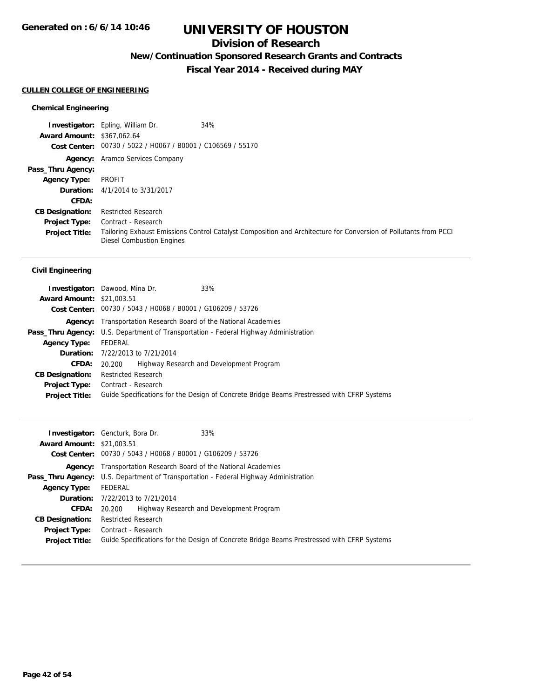## **Division of Research**

**New/Continuation Sponsored Research Grants and Contracts**

**Fiscal Year 2014 - Received during MAY**

#### **CULLEN COLLEGE OF ENGINEERING**

#### **Chemical Engineering**

|                                   | 34%<br><b>Investigator:</b> Epling, William Dr.                                                                                                      |
|-----------------------------------|------------------------------------------------------------------------------------------------------------------------------------------------------|
| <b>Award Amount: \$367,062.64</b> |                                                                                                                                                      |
|                                   | Cost Center: 00730 / 5022 / H0067 / B0001 / C106569 / 55170                                                                                          |
|                                   | <b>Agency:</b> Aramco Services Company                                                                                                               |
| Pass_Thru Agency:                 |                                                                                                                                                      |
| <b>Agency Type:</b>               | PROFIT                                                                                                                                               |
|                                   | <b>Duration:</b> 4/1/2014 to 3/31/2017                                                                                                               |
| <b>CFDA:</b>                      |                                                                                                                                                      |
| <b>CB Designation:</b>            | <b>Restricted Research</b>                                                                                                                           |
| <b>Project Type:</b>              | Contract - Research                                                                                                                                  |
| <b>Project Title:</b>             | Tailoring Exhaust Emissions Control Catalyst Composition and Architecture for Conversion of Pollutants from PCCI<br><b>Diesel Combustion Engines</b> |

#### **Civil Engineering**

| <b>Award Amount: \$21,003.51</b> | <b>Investigator:</b> Dawood, Mina Dr.                              | 33%                                                                                        |
|----------------------------------|--------------------------------------------------------------------|--------------------------------------------------------------------------------------------|
|                                  | Cost Center: 00730 / 5043 / H0068 / B0001 / G106209 / 53726        |                                                                                            |
| Agency:                          | Transportation Research Board of the National Academies            |                                                                                            |
| Pass_Thru Agency:                | U.S. Department of Transportation - Federal Highway Administration |                                                                                            |
| <b>Agency Type:</b>              | FEDERAL                                                            |                                                                                            |
|                                  | <b>Duration:</b> 7/22/2013 to 7/21/2014                            |                                                                                            |
| <b>CFDA:</b>                     | 20.200                                                             | Highway Research and Development Program                                                   |
| <b>CB Designation:</b>           | <b>Restricted Research</b>                                         |                                                                                            |
| <b>Project Type:</b>             | Contract - Research                                                |                                                                                            |
| <b>Project Title:</b>            |                                                                    | Guide Specifications for the Design of Concrete Bridge Beams Prestressed with CFRP Systems |

|                                  | 33%<br><b>Investigator:</b> Gencturk, Bora Dr.                                             |  |
|----------------------------------|--------------------------------------------------------------------------------------------|--|
| <b>Award Amount: \$21,003.51</b> |                                                                                            |  |
|                                  | Cost Center: 00730 / 5043 / H0068 / B0001 / G106209 / 53726                                |  |
|                                  | <b>Agency:</b> Transportation Research Board of the National Academies                     |  |
|                                  | Pass_Thru Agency: U.S. Department of Transportation - Federal Highway Administration       |  |
| <b>Agency Type:</b>              | FEDERAL                                                                                    |  |
|                                  | <b>Duration:</b> 7/22/2013 to 7/21/2014                                                    |  |
| <b>CFDA:</b>                     | Highway Research and Development Program<br>20.200                                         |  |
| <b>CB Designation:</b>           | <b>Restricted Research</b>                                                                 |  |
| <b>Project Type:</b>             | Contract - Research                                                                        |  |
| <b>Project Title:</b>            | Guide Specifications for the Design of Concrete Bridge Beams Prestressed with CFRP Systems |  |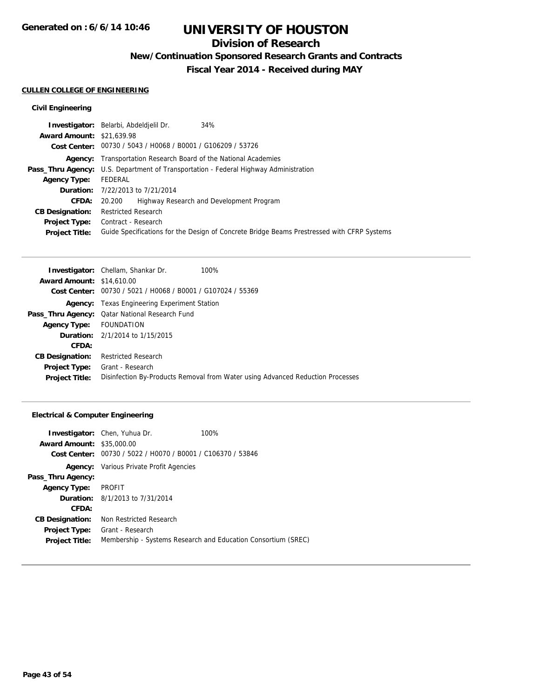## **Division of Research**

**New/Continuation Sponsored Research Grants and Contracts**

**Fiscal Year 2014 - Received during MAY**

#### **CULLEN COLLEGE OF ENGINEERING**

#### **Civil Engineering**

|                                  | 34%<br>Investigator: Belarbi, Abdeldielil Dr.                                               |  |
|----------------------------------|---------------------------------------------------------------------------------------------|--|
| <b>Award Amount: \$21,639.98</b> |                                                                                             |  |
|                                  | Cost Center: 00730 / 5043 / H0068 / B0001 / G106209 / 53726                                 |  |
|                                  | <b>Agency:</b> Transportation Research Board of the National Academies                      |  |
|                                  | <b>Pass_Thru Agency:</b> U.S. Department of Transportation - Federal Highway Administration |  |
| <b>Agency Type:</b>              | FEDERAL                                                                                     |  |
|                                  | <b>Duration:</b> 7/22/2013 to 7/21/2014                                                     |  |
| <b>CFDA:</b>                     | Highway Research and Development Program<br>20.200                                          |  |
| <b>CB Designation:</b>           | <b>Restricted Research</b>                                                                  |  |
|                                  | <b>Project Type:</b> Contract - Research                                                    |  |
| <b>Project Title:</b>            | Guide Specifications for the Design of Concrete Bridge Beams Prestressed with CFRP Systems  |  |
|                                  |                                                                                             |  |

|                                  | 100%<br><b>Investigator:</b> Chellam, Shankar Dr.                              |
|----------------------------------|--------------------------------------------------------------------------------|
| <b>Award Amount: \$14,610.00</b> |                                                                                |
|                                  | Cost Center: 00730 / 5021 / H0068 / B0001 / G107024 / 55369                    |
|                                  | <b>Agency:</b> Texas Engineering Experiment Station                            |
|                                  | Pass_Thru Agency: Qatar National Research Fund                                 |
| Agency Type: FOUNDATION          |                                                                                |
|                                  | <b>Duration:</b> 2/1/2014 to 1/15/2015                                         |
| CFDA:                            |                                                                                |
| <b>CB Designation:</b>           | <b>Restricted Research</b>                                                     |
| <b>Project Type:</b>             | Grant - Research                                                               |
| <b>Project Title:</b>            | Disinfection By-Products Removal from Water using Advanced Reduction Processes |

#### **Electrical & Computer Engineering**

|                                  | <b>Investigator:</b> Chen, Yuhua Dr.                        | 100%                                                          |
|----------------------------------|-------------------------------------------------------------|---------------------------------------------------------------|
| <b>Award Amount: \$35,000.00</b> |                                                             |                                                               |
|                                  | Cost Center: 00730 / 5022 / H0070 / B0001 / C106370 / 53846 |                                                               |
|                                  | <b>Agency:</b> Various Private Profit Agencies              |                                                               |
| Pass_Thru Agency:                |                                                             |                                                               |
| <b>Agency Type:</b>              | PROFIT                                                      |                                                               |
|                                  | <b>Duration:</b> 8/1/2013 to 7/31/2014                      |                                                               |
| CFDA:                            |                                                             |                                                               |
| <b>CB Designation:</b>           | Non Restricted Research                                     |                                                               |
| <b>Project Type:</b>             | Grant - Research                                            |                                                               |
| <b>Project Title:</b>            |                                                             | Membership - Systems Research and Education Consortium (SREC) |
|                                  |                                                             |                                                               |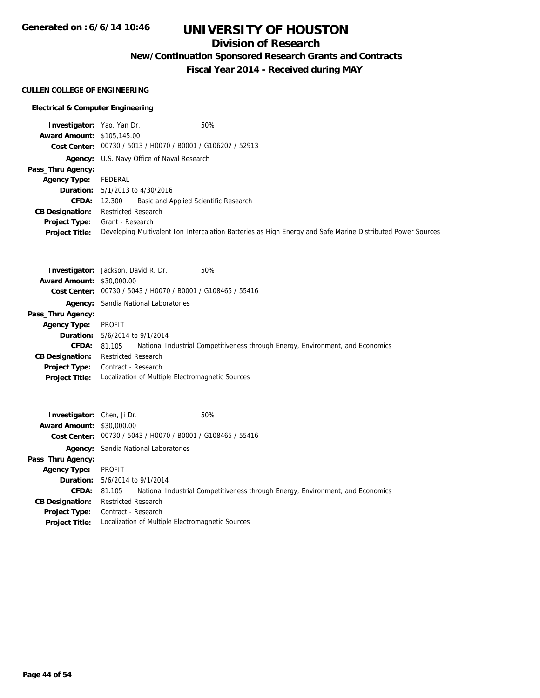**Generated on : 6/6/14 10:46**

# **UNIVERSITY OF HOUSTON**

## **Division of Research**

**New/Continuation Sponsored Research Grants and Contracts**

**Fiscal Year 2014 - Received during MAY**

#### **CULLEN COLLEGE OF ENGINEERING**

#### **Electrical & Computer Engineering**

| <b>Investigator:</b> Yao, Yan Dr. | 50%                                                                                                         |
|-----------------------------------|-------------------------------------------------------------------------------------------------------------|
| <b>Award Amount: \$105,145.00</b> |                                                                                                             |
|                                   | Cost Center: 00730 / 5013 / H0070 / B0001 / G106207 / 52913                                                 |
|                                   | <b>Agency:</b> U.S. Navy Office of Naval Research                                                           |
| Pass_Thru Agency:                 |                                                                                                             |
| Agency Type:                      | FEDERAL                                                                                                     |
|                                   | <b>Duration:</b> $5/1/2013$ to $4/30/2016$                                                                  |
|                                   | <b>CFDA:</b> 12.300 Basic and Applied Scientific Research                                                   |
| <b>CB Designation:</b>            | <b>Restricted Research</b>                                                                                  |
|                                   | <b>Project Type:</b> Grant - Research                                                                       |
| <b>Project Title:</b>             | Developing Multivalent Ion Intercalation Batteries as High Energy and Safe Marine Distributed Power Sources |

|                                  | <b>Investigator:</b> Jackson, David R. Dr.       | 50%                                                                            |
|----------------------------------|--------------------------------------------------|--------------------------------------------------------------------------------|
| <b>Award Amount: \$30,000.00</b> |                                                  |                                                                                |
| Cost Center:                     | 00730 / 5043 / H0070 / B0001 / G108465 / 55416   |                                                                                |
|                                  | <b>Agency:</b> Sandia National Laboratories      |                                                                                |
| Pass_Thru Agency:                |                                                  |                                                                                |
| <b>Agency Type:</b>              | PROFIT                                           |                                                                                |
|                                  | <b>Duration:</b> 5/6/2014 to 9/1/2014            |                                                                                |
| <b>CFDA:</b>                     | 81.105                                           | National Industrial Competitiveness through Energy, Environment, and Economics |
| <b>CB Designation:</b>           | <b>Restricted Research</b>                       |                                                                                |
| <b>Project Type:</b>             | Contract - Research                              |                                                                                |
| <b>Project Title:</b>            | Localization of Multiple Electromagnetic Sources |                                                                                |
|                                  |                                                  |                                                                                |

| <b>Investigator:</b> Chen, Ji Dr.<br><b>Award Amount: \$30,000.00</b> | 50%<br>Cost Center: 00730 / 5043 / H0070 / B0001 / G108465 / 55416                       |  |
|-----------------------------------------------------------------------|------------------------------------------------------------------------------------------|--|
|                                                                       | <b>Agency:</b> Sandia National Laboratories                                              |  |
| Pass_Thru Agency:                                                     |                                                                                          |  |
| <b>Agency Type:</b>                                                   | PROFIT                                                                                   |  |
|                                                                       | <b>Duration:</b> 5/6/2014 to 9/1/2014                                                    |  |
| <b>CFDA:</b>                                                          | National Industrial Competitiveness through Energy, Environment, and Economics<br>81.105 |  |
| <b>CB Designation:</b>                                                | <b>Restricted Research</b>                                                               |  |
| <b>Project Type:</b>                                                  | Contract - Research                                                                      |  |
| <b>Project Title:</b>                                                 | Localization of Multiple Electromagnetic Sources                                         |  |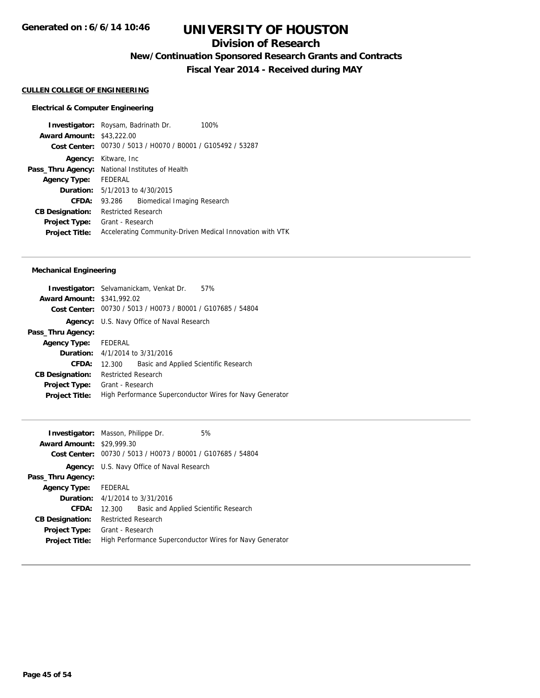## **Division of Research**

**New/Continuation Sponsored Research Grants and Contracts**

**Fiscal Year 2014 - Received during MAY**

## **CULLEN COLLEGE OF ENGINEERING**

#### **Electrical & Computer Engineering**

| 00730 / 5013 / H0070 / B0001 / G105492 / 53287         |                                                                                                                                                                                                                                         |
|--------------------------------------------------------|-----------------------------------------------------------------------------------------------------------------------------------------------------------------------------------------------------------------------------------------|
| Kitware, Inc                                           |                                                                                                                                                                                                                                         |
| <b>Pass_Thru Agency:</b> National Institutes of Health |                                                                                                                                                                                                                                         |
|                                                        |                                                                                                                                                                                                                                         |
|                                                        |                                                                                                                                                                                                                                         |
| 93.286                                                 |                                                                                                                                                                                                                                         |
| <b>Restricted Research</b>                             |                                                                                                                                                                                                                                         |
| Grant - Research                                       |                                                                                                                                                                                                                                         |
|                                                        |                                                                                                                                                                                                                                         |
|                                                        | <b>Investigator:</b> Roysam, Badrinath Dr.<br>100%<br><b>Award Amount: \$43,222,00</b><br>FEDERAL<br><b>Duration:</b> 5/1/2013 to 4/30/2015<br>Biomedical Imaging Research<br>Accelerating Community-Driven Medical Innovation with VTK |

#### **Mechanical Engineering**

| <b>Investigator:</b> Selvamanickam, Venkat Dr.<br>57%       |
|-------------------------------------------------------------|
| <b>Award Amount: \$341,992.02</b>                           |
| Cost Center: 00730 / 5013 / H0073 / B0001 / G107685 / 54804 |
| Agency: U.S. Navy Office of Naval Research                  |
|                                                             |
| Agency Type: FEDERAL                                        |
| <b>Duration:</b> 4/1/2014 to 3/31/2016                      |
| Basic and Applied Scientific Research<br>12.300             |
| <b>Restricted Research</b>                                  |
| Grant - Research                                            |
| High Performance Superconductor Wires for Navy Generator    |
|                                                             |

|                                  | <b>Investigator:</b> Masson, Philippe Dr.                | 5% |
|----------------------------------|----------------------------------------------------------|----|
| <b>Award Amount: \$29,999.30</b> |                                                          |    |
| Cost Center:                     | 00730 / 5013 / H0073 / B0001 / G107685 / 54804           |    |
| Agency:                          | U.S. Navy Office of Naval Research                       |    |
| Pass_Thru Agency:                |                                                          |    |
| Agency Type:                     | FEDERAL                                                  |    |
|                                  | <b>Duration:</b> $4/1/2014$ to $3/31/2016$               |    |
| CFDA:                            | Basic and Applied Scientific Research<br>12.300          |    |
| <b>CB Designation:</b>           | <b>Restricted Research</b>                               |    |
| Project Type:                    | Grant - Research                                         |    |
| <b>Project Title:</b>            | High Performance Superconductor Wires for Navy Generator |    |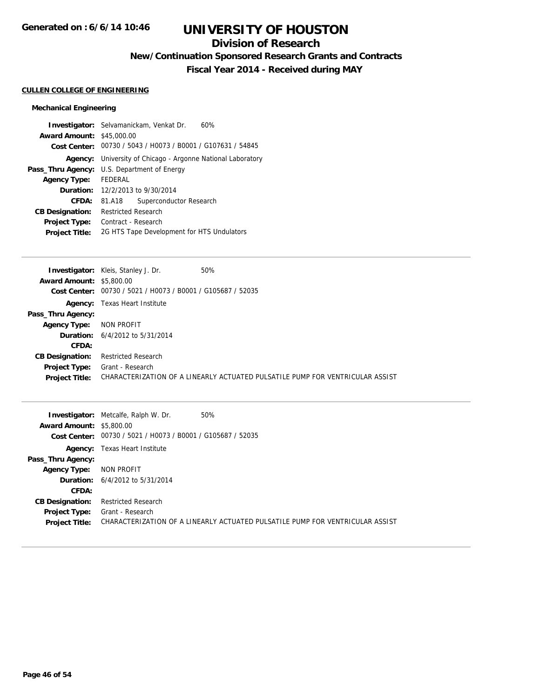## **Division of Research**

**New/Continuation Sponsored Research Grants and Contracts**

**Fiscal Year 2014 - Received during MAY**

#### **CULLEN COLLEGE OF ENGINEERING**

#### **Mechanical Engineering**

|                                  | <b>Investigator:</b> Selvamanickam, Venkat Dr.<br>60%       |  |
|----------------------------------|-------------------------------------------------------------|--|
| <b>Award Amount: \$45,000.00</b> |                                                             |  |
|                                  | Cost Center: 00730 / 5043 / H0073 / B0001 / G107631 / 54845 |  |
| Agency:                          | University of Chicago - Argonne National Laboratory         |  |
|                                  | <b>Pass_Thru Agency:</b> U.S. Department of Energy          |  |
| <b>Agency Type:</b>              | <b>FEDERAL</b>                                              |  |
|                                  | <b>Duration:</b> 12/2/2013 to 9/30/2014                     |  |
| CFDA:                            | Superconductor Research<br>81.A18                           |  |
| <b>CB Designation:</b>           | <b>Restricted Research</b>                                  |  |
| Project Type:                    | Contract - Research                                         |  |
| <b>Project Title:</b>            | 2G HTS Tape Development for HTS Undulators                  |  |

| <b>Investigator:</b> Kleis, Stanley J. Dr.<br>50% |                                                                               |
|---------------------------------------------------|-------------------------------------------------------------------------------|
| <b>Award Amount: \$5,800.00</b>                   |                                                                               |
| Cost Center:                                      |                                                                               |
| <b>Agency:</b> Texas Heart Institute              |                                                                               |
|                                                   |                                                                               |
| NON PROFIT                                        |                                                                               |
| <b>Duration:</b> $6/4/2012$ to $5/31/2014$        |                                                                               |
|                                                   |                                                                               |
| <b>Restricted Research</b>                        |                                                                               |
| Grant - Research                                  |                                                                               |
|                                                   | CHARACTERIZATION OF A LINEARLY ACTUATED PULSATILE PUMP FOR VENTRICULAR ASSIST |
|                                                   | 00730 / 5021 / H0073 / B0001 / G105687 / 52035                                |

|                                 | 50%<br><b>Investigator:</b> Metcalfe, Ralph W. Dr.                            |
|---------------------------------|-------------------------------------------------------------------------------|
| <b>Award Amount: \$5,800.00</b> |                                                                               |
|                                 | Cost Center: 00730 / 5021 / H0073 / B0001 / G105687 / 52035                   |
|                                 | <b>Agency:</b> Texas Heart Institute                                          |
| Pass_Thru Agency:               |                                                                               |
| <b>Agency Type:</b>             | NON PROFIT                                                                    |
|                                 | <b>Duration:</b> $6/4/2012$ to $5/31/2014$                                    |
| CFDA:                           |                                                                               |
| <b>CB Designation:</b>          | <b>Restricted Research</b>                                                    |
| Project Type:                   | Grant - Research                                                              |
| <b>Project Title:</b>           | CHARACTERIZATION OF A LINEARLY ACTUATED PULSATILE PUMP FOR VENTRICULAR ASSIST |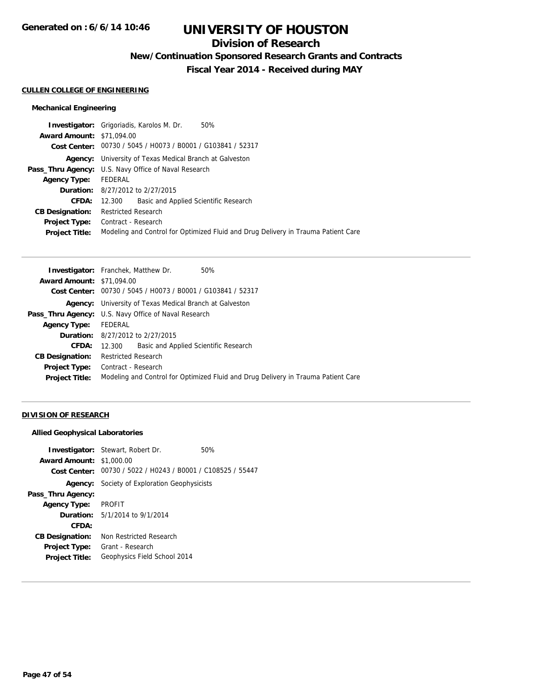## **Division of Research**

**New/Continuation Sponsored Research Grants and Contracts**

**Fiscal Year 2014 - Received during MAY**

#### **CULLEN COLLEGE OF ENGINEERING**

#### **Mechanical Engineering**

|                                  | 50%<br><b>Investigator:</b> Grigoriadis, Karolos M. Dr.                           |  |  |
|----------------------------------|-----------------------------------------------------------------------------------|--|--|
| <b>Award Amount: \$71,094.00</b> |                                                                                   |  |  |
|                                  | Cost Center: 00730 / 5045 / H0073 / B0001 / G103841 / 52317                       |  |  |
|                                  | <b>Agency:</b> University of Texas Medical Branch at Galveston                    |  |  |
|                                  | <b>Pass_Thru Agency:</b> U.S. Navy Office of Naval Research                       |  |  |
| <b>Agency Type:</b>              | FEDERAL                                                                           |  |  |
|                                  | <b>Duration:</b> 8/27/2012 to 2/27/2015                                           |  |  |
| <b>CFDA:</b>                     | Basic and Applied Scientific Research<br>12.300                                   |  |  |
| <b>CB Designation:</b>           | <b>Restricted Research</b>                                                        |  |  |
| <b>Project Type:</b>             | Contract - Research                                                               |  |  |
| <b>Project Title:</b>            | Modeling and Control for Optimized Fluid and Drug Delivery in Trauma Patient Care |  |  |
|                                  |                                                                                   |  |  |

| <b>Investigator:</b> Franchek, Matthew Dr.<br>50%                                 |  |  |
|-----------------------------------------------------------------------------------|--|--|
| <b>Award Amount: \$71,094.00</b>                                                  |  |  |
| Cost Center: 00730 / 5045 / H0073 / B0001 / G103841 / 52317                       |  |  |
| <b>Agency:</b> University of Texas Medical Branch at Galveston                    |  |  |
| <b>Pass_Thru Agency:</b> U.S. Navy Office of Naval Research                       |  |  |
| FEDERAL                                                                           |  |  |
| <b>Duration:</b> 8/27/2012 to 2/27/2015                                           |  |  |
| Basic and Applied Scientific Research<br>12.300                                   |  |  |
| Restricted Research                                                               |  |  |
| Contract - Research                                                               |  |  |
| Modeling and Control for Optimized Fluid and Drug Delivery in Trauma Patient Care |  |  |
|                                                                                   |  |  |

### **DIVISION OF RESEARCH**

#### **Allied Geophysical Laboratories**

| <b>Award Amount: \$1,000.00</b> | <b>Investigator:</b> Stewart, Robert Dr.                    | 50% |
|---------------------------------|-------------------------------------------------------------|-----|
|                                 | Cost Center: 00730 / 5022 / H0243 / B0001 / C108525 / 55447 |     |
|                                 | <b>Agency:</b> Society of Exploration Geophysicists         |     |
| Pass_Thru Agency:               |                                                             |     |
| <b>Agency Type:</b>             | <b>PROFIT</b>                                               |     |
|                                 | <b>Duration:</b> 5/1/2014 to 9/1/2014                       |     |
| CFDA:                           |                                                             |     |
| <b>CB Designation:</b>          | Non Restricted Research                                     |     |
| <b>Project Type:</b>            | Grant - Research                                            |     |
| <b>Project Title:</b>           | Geophysics Field School 2014                                |     |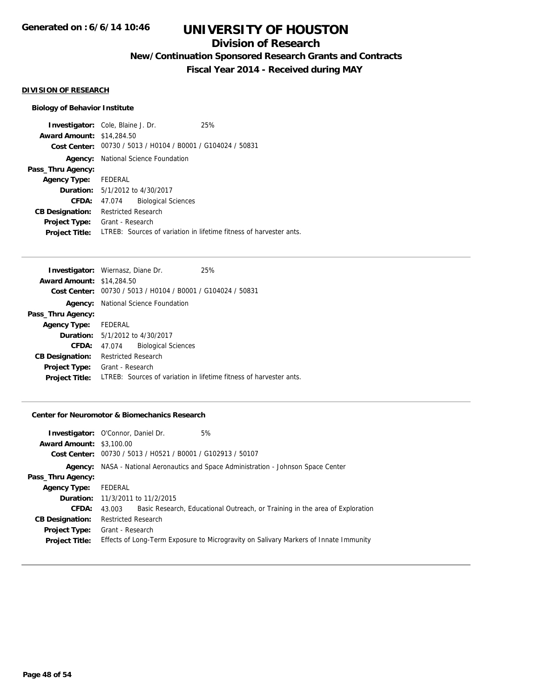## **Division of Research**

**New/Continuation Sponsored Research Grants and Contracts**

**Fiscal Year 2014 - Received during MAY**

#### **DIVISION OF RESEARCH**

#### **Biology of Behavior Institute**

**Investigator:** Cole, Blaine J. Dr. 25% **Award Amount:** \$14,284.50 **Cost Center:** 00730 / 5013 / H0104 / B0001 / G104024 / 50831 **Agency:** National Science Foundation **Pass\_Thru Agency: Agency Type:** FEDERAL **Duration:** 5/1/2012 to 4/30/2017 **CFDA:** 47.074 Biological Sciences **CB Designation:** Restricted Research **Project Type:** Grant - Research **Project Title:** LTREB: Sources of variation in lifetime fitness of harvester ants.

|                                  | <b>Investigator:</b> Wiernasz, Diane Dr.                    | 25%                                                                |
|----------------------------------|-------------------------------------------------------------|--------------------------------------------------------------------|
| <b>Award Amount: \$14,284.50</b> |                                                             |                                                                    |
|                                  | Cost Center: 00730 / 5013 / H0104 / B0001 / G104024 / 50831 |                                                                    |
|                                  | <b>Agency:</b> National Science Foundation                  |                                                                    |
| Pass_Thru Agency:                |                                                             |                                                                    |
| <b>Agency Type:</b>              | FEDERAL                                                     |                                                                    |
|                                  | <b>Duration:</b> 5/1/2012 to 4/30/2017                      |                                                                    |
| <b>CFDA:</b>                     | <b>Biological Sciences</b><br>47.074                        |                                                                    |
| <b>CB Designation:</b>           | <b>Restricted Research</b>                                  |                                                                    |
| Project Type:                    | Grant - Research                                            |                                                                    |
| <b>Project Title:</b>            |                                                             | LTREB: Sources of variation in lifetime fitness of harvester ants. |

#### **Center for Neuromotor & Biomechanics Research**

| <b>Investigator:</b> O'Connor, Daniel Dr. |                            |                                                             | 5%                                                                                   |
|-------------------------------------------|----------------------------|-------------------------------------------------------------|--------------------------------------------------------------------------------------|
| <b>Award Amount: \$3,100.00</b>           |                            |                                                             |                                                                                      |
|                                           |                            | Cost Center: 00730 / 5013 / H0521 / B0001 / G102913 / 50107 |                                                                                      |
|                                           |                            |                                                             | Agency: NASA - National Aeronautics and Space Administration - Johnson Space Center  |
| Pass_Thru Agency:                         |                            |                                                             |                                                                                      |
| <b>Agency Type:</b>                       | FEDERAL                    |                                                             |                                                                                      |
|                                           |                            | <b>Duration:</b> 11/3/2011 to 11/2/2015                     |                                                                                      |
| CFDA:                                     | 43.003                     |                                                             | Basic Research, Educational Outreach, or Training in the area of Exploration         |
| <b>CB Designation:</b>                    | <b>Restricted Research</b> |                                                             |                                                                                      |
| <b>Project Type:</b>                      | Grant - Research           |                                                             |                                                                                      |
| <b>Project Title:</b>                     |                            |                                                             | Effects of Long-Term Exposure to Microgravity on Salivary Markers of Innate Immunity |
|                                           |                            |                                                             |                                                                                      |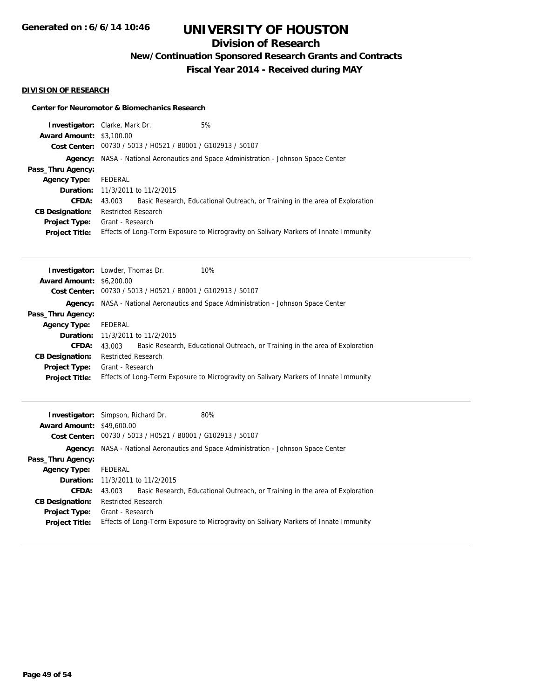## **Division of Research**

**New/Continuation Sponsored Research Grants and Contracts**

**Fiscal Year 2014 - Received during MAY**

#### **DIVISION OF RESEARCH**

#### **Center for Neuromotor & Biomechanics Research**

|                                             | 5%<br><b>Investigator:</b> Clarke, Mark Dr.                                            |  |  |  |
|---------------------------------------------|----------------------------------------------------------------------------------------|--|--|--|
| <b>Award Amount:</b><br><b>Cost Center:</b> | \$3,100.00<br>00730 / 5013 / H0521 / B0001 / G102913 / 50107                           |  |  |  |
| Agency:                                     | NASA - National Aeronautics and Space Administration - Johnson Space Center            |  |  |  |
| Pass_Thru Agency:                           |                                                                                        |  |  |  |
| <b>Agency Type:</b>                         | <b>FEDERAL</b>                                                                         |  |  |  |
| Duration:                                   | 11/3/2011 to 11/2/2015                                                                 |  |  |  |
| CFDA:                                       | Basic Research, Educational Outreach, or Training in the area of Exploration<br>43.003 |  |  |  |
| <b>CB Designation:</b>                      | <b>Restricted Research</b>                                                             |  |  |  |
| <b>Project Type:</b>                        | Grant - Research                                                                       |  |  |  |
| <b>Project Title:</b>                       | Effects of Long-Term Exposure to Microgravity on Salivary Markers of Innate Immunity   |  |  |  |
|                                             |                                                                                        |  |  |  |
| Investigator:                               | Lowder, Thomas Dr.<br>10%                                                              |  |  |  |
| <b>Award Amount:</b>                        | \$6,200.00                                                                             |  |  |  |
| <b>Cost Center:</b>                         | 00730 / 5013 / H0521 / B0001 / G102913 / 50107                                         |  |  |  |
| Agency:                                     | NASA - National Aeronautics and Space Administration - Johnson Space Center            |  |  |  |
| Pass_Thru Agency:                           |                                                                                        |  |  |  |
| <b>Agency Type:</b>                         | <b>FEDERAL</b>                                                                         |  |  |  |
| Duration:                                   | 11/3/2011 to 11/2/2015                                                                 |  |  |  |
| <b>CFDA:</b>                                | Basic Research, Educational Outreach, or Training in the area of Exploration<br>43.003 |  |  |  |
| <b>CB Designation:</b>                      | <b>Restricted Research</b>                                                             |  |  |  |
| <b>Project Type:</b>                        | Grant - Research                                                                       |  |  |  |
| Project Title:                              | Effects of Long-Term Exposure to Microgravity on Salivary Markers of Innate Immunity   |  |  |  |
|                                             |                                                                                        |  |  |  |
|                                             | Investigator: Simpson, Richard Dr.<br>80%                                              |  |  |  |
| Award Amount: $$49,600,00$                  |                                                                                        |  |  |  |

| <b>Award Amount: \$49,600.00</b> |                                                                                            |  |
|----------------------------------|--------------------------------------------------------------------------------------------|--|
|                                  | Cost Center: 00730 / 5013 / H0521 / B0001 / G102913 / 50107                                |  |
|                                  | <b>Agency:</b> NASA - National Aeronautics and Space Administration - Johnson Space Center |  |
| Pass_Thru Agency:                |                                                                                            |  |
| <b>Agency Type:</b>              | FEDERAL                                                                                    |  |
|                                  | <b>Duration:</b> 11/3/2011 to 11/2/2015                                                    |  |
| <b>CFDA:</b>                     | Basic Research, Educational Outreach, or Training in the area of Exploration<br>43.003     |  |
| <b>CB Designation:</b>           | Restricted Research                                                                        |  |
| <b>Project Type:</b>             | Grant - Research                                                                           |  |
| <b>Project Title:</b>            | Effects of Long-Term Exposure to Microgravity on Salivary Markers of Innate Immunity       |  |
|                                  |                                                                                            |  |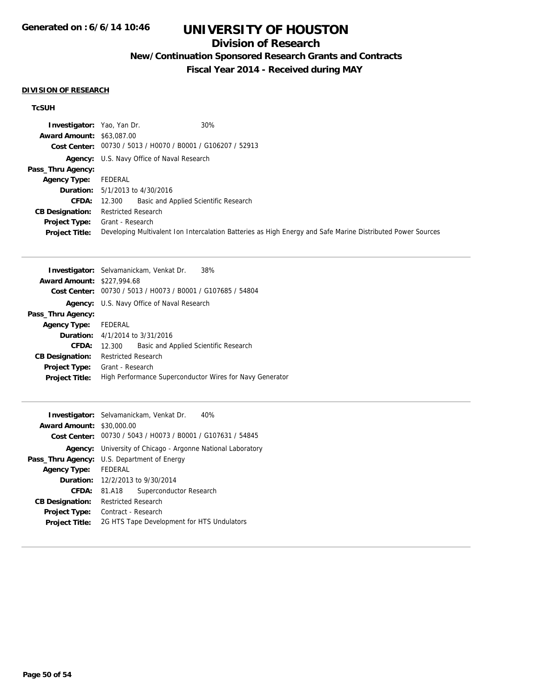## **Division of Research**

## **New/Continuation Sponsored Research Grants and Contracts**

**Fiscal Year 2014 - Received during MAY**

#### **DIVISION OF RESEARCH**

### **TcSUH**

| <b>Investigator:</b> Yao, Yan Dr. | 30%                                                                                                         |
|-----------------------------------|-------------------------------------------------------------------------------------------------------------|
| <b>Award Amount: \$63,087,00</b>  |                                                                                                             |
|                                   | Cost Center: 00730 / 5013 / H0070 / B0001 / G106207 / 52913                                                 |
|                                   | <b>Agency:</b> U.S. Navy Office of Naval Research                                                           |
| Pass_Thru Agency:                 |                                                                                                             |
| <b>Agency Type:</b>               | FEDERAL                                                                                                     |
|                                   | <b>Duration:</b> $5/1/2013$ to $4/30/2016$                                                                  |
|                                   | <b>CFDA:</b> 12.300 Basic and Applied Scientific Research                                                   |
| <b>CB Designation:</b>            | <b>Restricted Research</b>                                                                                  |
|                                   | <b>Project Type:</b> Grant - Research                                                                       |
| <b>Project Title:</b>             | Developing Multivalent Ion Intercalation Batteries as High Energy and Safe Marine Distributed Power Sources |

|                                   | <b>Investigator:</b> Selvamanickam, Venkat Dr.<br>38%    |  |
|-----------------------------------|----------------------------------------------------------|--|
| <b>Award Amount: \$227,994.68</b> |                                                          |  |
| Cost Center:                      | 00730 / 5013 / H0073 / B0001 / G107685 / 54804           |  |
| Agency:                           | U.S. Navy Office of Naval Research                       |  |
| Pass_Thru Agency:                 |                                                          |  |
| <b>Agency Type:</b>               | FEDERAL                                                  |  |
|                                   | <b>Duration:</b> $4/1/2014$ to $3/31/2016$               |  |
| CFDA:                             | Basic and Applied Scientific Research<br>12.300          |  |
| <b>CB Designation:</b>            | <b>Restricted Research</b>                               |  |
| <b>Project Type:</b>              | Grant - Research                                         |  |
| <b>Project Title:</b>             | High Performance Superconductor Wires for Navy Generator |  |
|                                   |                                                          |  |

|                                  | <b>Investigator:</b> Selvamanickam, Venkat Dr.<br>40%       |  |
|----------------------------------|-------------------------------------------------------------|--|
| <b>Award Amount: \$30,000.00</b> |                                                             |  |
|                                  | Cost Center: 00730 / 5043 / H0073 / B0001 / G107631 / 54845 |  |
| Agency:                          | University of Chicago - Argonne National Laboratory         |  |
|                                  | <b>Pass_Thru Agency:</b> U.S. Department of Energy          |  |
| <b>Agency Type:</b>              | <b>FEDERAL</b>                                              |  |
|                                  | <b>Duration:</b> 12/2/2013 to 9/30/2014                     |  |
| CFDA:                            | Superconductor Research<br>81.A18                           |  |
| <b>CB Designation:</b>           | Restricted Research                                         |  |
| Project Type:                    | Contract - Research                                         |  |
| <b>Project Title:</b>            | 2G HTS Tape Development for HTS Undulators                  |  |
|                                  |                                                             |  |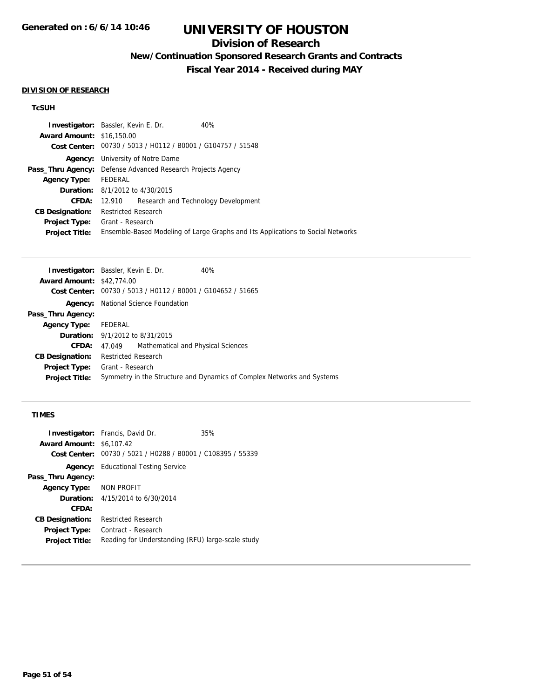## **Division of Research**

**New/Continuation Sponsored Research Grants and Contracts**

**Fiscal Year 2014 - Received during MAY**

#### **DIVISION OF RESEARCH**

### **TcSUH**

|                                  | <b>Investigator:</b> Bassler, Kevin E. Dr.                         | 40%                                                                             |  |
|----------------------------------|--------------------------------------------------------------------|---------------------------------------------------------------------------------|--|
| <b>Award Amount: \$16,150.00</b> |                                                                    |                                                                                 |  |
|                                  | Cost Center: 00730 / 5013 / H0112 / B0001 / G104757 / 51548        |                                                                                 |  |
| Agency:                          | University of Notre Dame                                           |                                                                                 |  |
|                                  | <b>Pass_Thru Agency:</b> Defense Advanced Research Projects Agency |                                                                                 |  |
| <b>Agency Type:</b>              | FEDERAL                                                            |                                                                                 |  |
|                                  | <b>Duration:</b> 8/1/2012 to 4/30/2015                             |                                                                                 |  |
| CFDA:                            | 12.910                                                             | Research and Technology Development                                             |  |
| <b>CB Designation:</b>           | Restricted Research                                                |                                                                                 |  |
| <b>Project Type:</b>             | Grant - Research                                                   |                                                                                 |  |
| <b>Project Title:</b>            |                                                                    | Ensemble-Based Modeling of Large Graphs and Its Applications to Social Networks |  |
|                                  |                                                                    |                                                                                 |  |

| <b>Investigator:</b> Bassler, Kevin E. Dr. |                             |                                                             | 40%                                                                    |
|--------------------------------------------|-----------------------------|-------------------------------------------------------------|------------------------------------------------------------------------|
| <b>Award Amount: \$42,774.00</b>           |                             |                                                             |                                                                        |
|                                            |                             | Cost Center: 00730 / 5013 / H0112 / B0001 / G104652 / 51665 |                                                                        |
| Agency:                                    | National Science Foundation |                                                             |                                                                        |
| Pass_Thru Agency:                          |                             |                                                             |                                                                        |
| <b>Agency Type:</b>                        | FEDERAL                     |                                                             |                                                                        |
| <b>Duration:</b> 9/1/2012 to 8/31/2015     |                             |                                                             |                                                                        |
| <b>CFDA:</b>                               | 47.049                      | Mathematical and Physical Sciences                          |                                                                        |
| <b>CB Designation:</b>                     | <b>Restricted Research</b>  |                                                             |                                                                        |
| Project Type:                              | Grant - Research            |                                                             |                                                                        |
| <b>Project Title:</b>                      |                             |                                                             | Symmetry in the Structure and Dynamics of Complex Networks and Systems |
|                                            |                             |                                                             |                                                                        |

#### **TIMES**

|                                 | <b>Investigator:</b> Francis, David Dr.                     | 35% |
|---------------------------------|-------------------------------------------------------------|-----|
| <b>Award Amount: \$6,107.42</b> |                                                             |     |
|                                 | Cost Center: 00730 / 5021 / H0288 / B0001 / C108395 / 55339 |     |
|                                 | <b>Agency:</b> Educational Testing Service                  |     |
| Pass_Thru Agency:               |                                                             |     |
| Agency Type: NON PROFIT         |                                                             |     |
|                                 | <b>Duration:</b> $4/15/2014$ to $6/30/2014$                 |     |
| CFDA:                           |                                                             |     |
| <b>CB Designation:</b>          | <b>Restricted Research</b>                                  |     |
| <b>Project Type:</b>            | Contract - Research                                         |     |
| <b>Project Title:</b>           | Reading for Understanding (RFU) large-scale study           |     |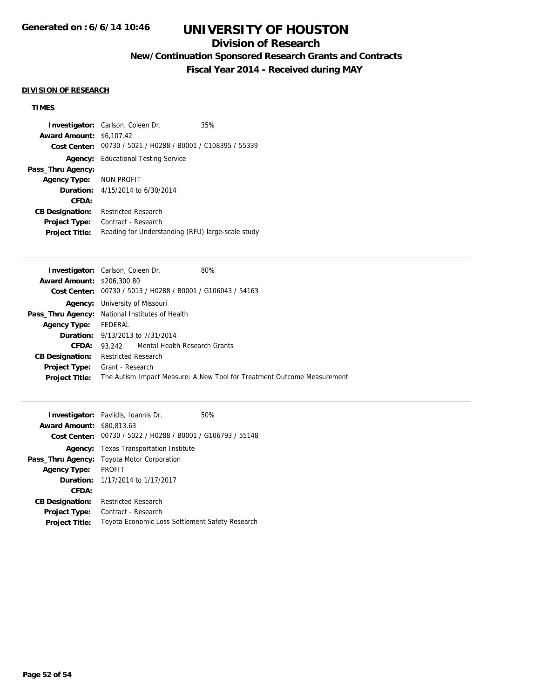## **Division of Research**

**New/Continuation Sponsored Research Grants and Contracts**

**Fiscal Year 2014 - Received during MAY**

#### **DIVISION OF RESEARCH**

## **TIMES**

|                         | <b>Investigator:</b> Carlson, Coleen Dr.          | 35% |
|-------------------------|---------------------------------------------------|-----|
| <b>Award Amount:</b>    | \$6,107.42                                        |     |
| Cost Center:            | 00730 / 5021 / H0288 / B0001 / C108395 / 55339    |     |
|                         | <b>Agency:</b> Educational Testing Service        |     |
| Pass_Thru Agency:       |                                                   |     |
| Agency Type: NON PROFIT |                                                   |     |
|                         | <b>Duration:</b> $4/15/2014$ to $6/30/2014$       |     |
| CFDA:                   |                                                   |     |
| <b>CB Designation:</b>  | Restricted Research                               |     |
| <b>Project Type:</b>    | Contract - Research                               |     |
| <b>Project Title:</b>   | Reading for Understanding (RFU) large-scale study |     |

| <b>Investigator:</b> Carlson, Coleen Dr.        |                                       |                                                | 80%                                                                     |
|-------------------------------------------------|---------------------------------------|------------------------------------------------|-------------------------------------------------------------------------|
| <b>Award Amount: \$206,300.80</b>               |                                       |                                                |                                                                         |
| <b>Cost Center:</b>                             |                                       | 00730 / 5013 / H0288 / B0001 / G106043 / 54163 |                                                                         |
|                                                 | <b>Agency:</b> University of Missouri |                                                |                                                                         |
| Pass_Thru Agency: National Institutes of Health |                                       |                                                |                                                                         |
| <b>Agency Type:</b>                             | FEDERAL                               |                                                |                                                                         |
|                                                 |                                       | <b>Duration:</b> 9/13/2013 to 7/31/2014        |                                                                         |
| CFDA:                                           |                                       | 93.242 Mental Health Research Grants           |                                                                         |
| <b>CB Designation:</b>                          | <b>Restricted Research</b>            |                                                |                                                                         |
| <b>Project Type:</b> Grant - Research           |                                       |                                                |                                                                         |
| <b>Project Title:</b>                           |                                       |                                                | The Autism Impact Measure: A New Tool for Treatment Outcome Measurement |
|                                                 |                                       |                                                |                                                                         |

|                                  | <b>Investigator:</b> Pavlidis, Ioannis Dr.                  | 50% |
|----------------------------------|-------------------------------------------------------------|-----|
| <b>Award Amount: \$80,813.63</b> |                                                             |     |
|                                  | Cost Center: 00730 / 5022 / H0288 / B0001 / G106793 / 55148 |     |
| Agency:                          | <b>Texas Transportation Institute</b>                       |     |
| Pass_Thru Agency:                | <b>Toyota Motor Corporation</b>                             |     |
| <b>Agency Type:</b>              | <b>PROFIT</b>                                               |     |
|                                  | <b>Duration:</b> 1/17/2014 to 1/17/2017                     |     |
| CFDA:                            |                                                             |     |
| <b>CB Designation:</b>           | <b>Restricted Research</b>                                  |     |
| <b>Project Type:</b>             | Contract - Research                                         |     |
| <b>Project Title:</b>            | Toyota Economic Loss Settlement Safety Research             |     |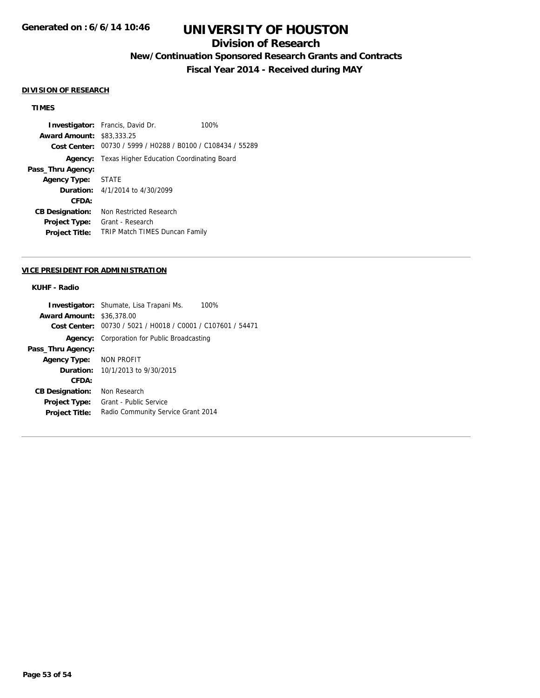## **Division of Research**

**New/Continuation Sponsored Research Grants and Contracts**

**Fiscal Year 2014 - Received during MAY**

#### **DIVISION OF RESEARCH**

#### **TIMES**

**Investigator:** Francis, David Dr. 100% **Award Amount:** \$83,333.25 **Cost Center:** 00730 / 5999 / H0288 / B0100 / C108434 / 55289 **Agency:** Texas Higher Education Coordinating Board **Pass\_Thru Agency: Agency Type:** STATE **Duration:** 4/1/2014 to 4/30/2099 **CFDA: CB Designation:** Non Restricted Research **Project Type:** Grant - Research **Project Title:** TRIP Match TIMES Duncan Family

#### **VICE PRESIDENT FOR ADMINISTRATION**

### **KUHF - Radio**

|                                  | <b>Investigator:</b> Shumate, Lisa Trapani Ms.<br>100%      |
|----------------------------------|-------------------------------------------------------------|
| <b>Award Amount: \$36,378.00</b> |                                                             |
|                                  | Cost Center: 00730 / 5021 / H0018 / C0001 / C107601 / 54471 |
| Agency:                          | Corporation for Public Broadcasting                         |
| Pass_Thru Agency:                |                                                             |
| <b>Agency Type:</b>              | NON PROFIT                                                  |
| <b>Duration:</b>                 | 10/1/2013 to 9/30/2015                                      |
| CFDA:                            |                                                             |
| <b>CB Designation:</b>           | Non Research                                                |
| <b>Project Type:</b>             | Grant - Public Service                                      |
| <b>Project Title:</b>            | Radio Community Service Grant 2014                          |
|                                  |                                                             |